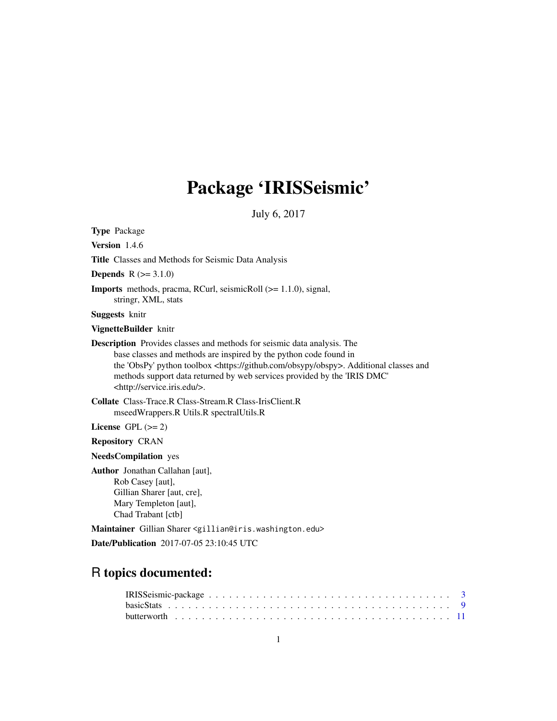# Package 'IRISSeismic'

July 6, 2017

Type Package Version 1.4.6 Title Classes and Methods for Seismic Data Analysis **Depends**  $R (= 3.1.0)$ Imports methods, pracma, RCurl, seismicRoll (>= 1.1.0), signal, stringr, XML, stats Suggests knitr VignetteBuilder knitr Description Provides classes and methods for seismic data analysis. The base classes and methods are inspired by the python code found in the 'ObsPy' python toolbox <https://github.com/obsypy/obspy>. Additional classes and methods support data returned by web services provided by the 'IRIS DMC' <http://service.iris.edu/>. Collate Class-Trace.R Class-Stream.R Class-IrisClient.R mseedWrappers.R Utils.R spectralUtils.R License GPL  $(>= 2)$ Repository CRAN NeedsCompilation yes Author Jonathan Callahan [aut], Rob Casey [aut], Gillian Sharer [aut, cre], Mary Templeton [aut], Chad Trabant [ctb]

Maintainer Gillian Sharer <gillian@iris.washington.edu>

Date/Publication 2017-07-05 23:10:45 UTC

# R topics documented: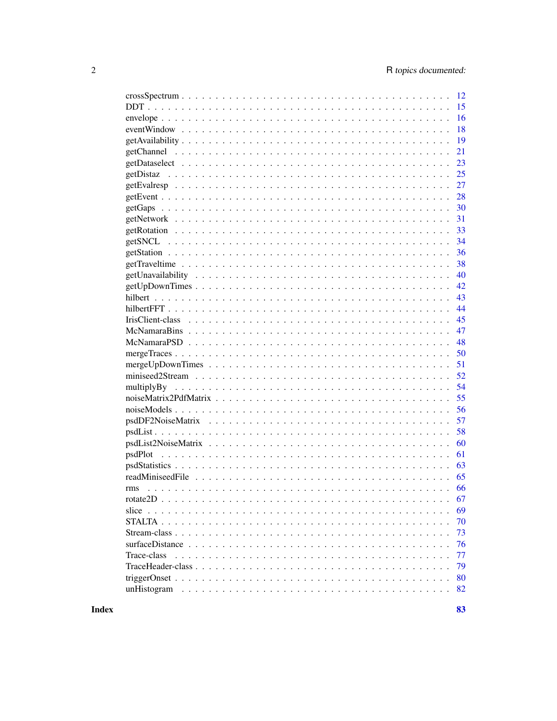| 12                |
|-------------------|
| 15                |
| 16                |
| 18                |
| 19                |
| 21                |
| 23                |
| 25                |
| 27                |
| 28                |
| 30                |
| 31                |
| 33                |
| 34                |
| 36                |
| 38                |
| 40                |
| 42                |
| 43                |
| 44                |
| 45                |
| 47                |
| 48                |
| 50                |
| 51                |
| 52                |
| 54                |
| 55                |
| 56                |
| 57                |
| 58                |
| 60                |
| 61<br>psdPlot     |
| 63                |
| 65                |
| 66<br>rms         |
| 67<br>rotate2D    |
| 69<br>slice       |
| 70                |
|                   |
| 73                |
| 76                |
| Trace-class<br>77 |
| 79                |
| 80                |
| unHistogram<br>82 |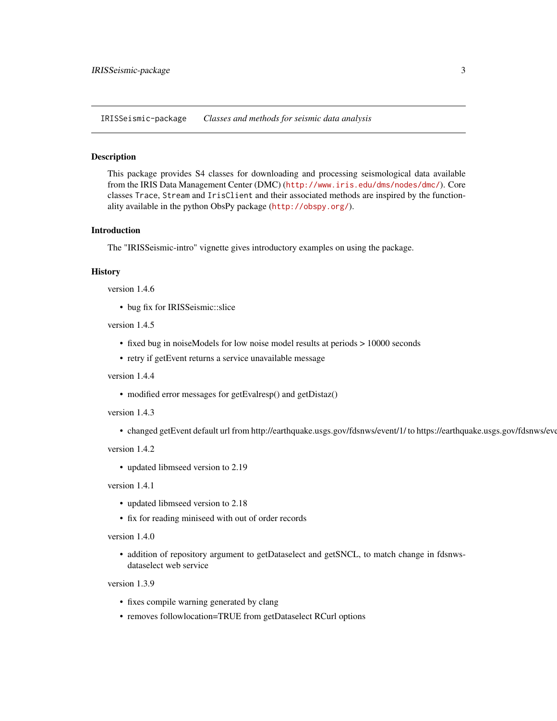<span id="page-2-0"></span>IRISSeismic-package *Classes and methods for seismic data analysis*

#### Description

This package provides S4 classes for downloading and processing seismological data available from the IRIS Data Management Center (DMC) (<http://www.iris.edu/dms/nodes/dmc/>). Core classes Trace, Stream and IrisClient and their associated methods are inspired by the functionality available in the python ObsPy package (<http://obspy.org/>).

#### Introduction

The "IRISSeismic-intro" vignette gives introductory examples on using the package.

#### **History**

version 1.4.6

• bug fix for IRISSeismic::slice

version 1.4.5

- fixed bug in noiseModels for low noise model results at periods > 10000 seconds
- retry if getEvent returns a service unavailable message

version 1.4.4

• modified error messages for getEvalresp() and getDistaz()

version 1.4.3

• changed getEvent default url from http://earthquake.usgs.gov/fdsnws/event/1/ to https://earthquake.usgs.gov/fdsnws/event/1/

version 1.4.2

• updated libmseed version to 2.19

version 1.4.1

- updated libmseed version to 2.18
- fix for reading miniseed with out of order records

#### version 1.4.0

• addition of repository argument to getDataselect and getSNCL, to match change in fdsnwsdataselect web service

version 1.3.9

- fixes compile warning generated by clang
- removes followlocation=TRUE from getDataselect RCurl options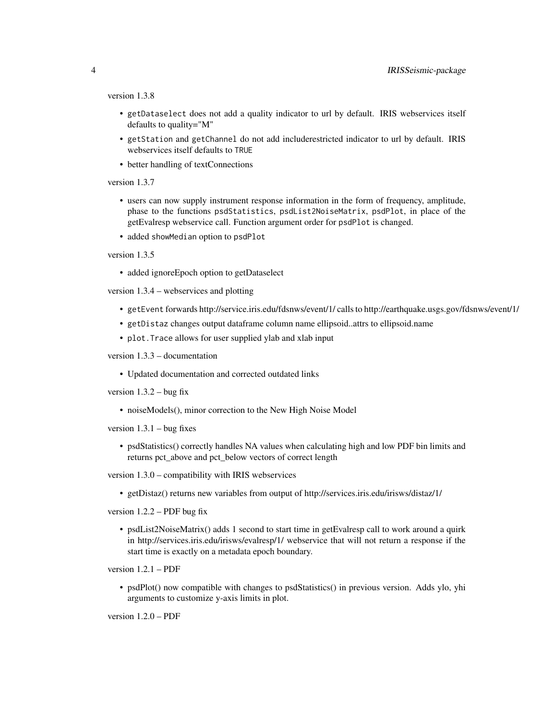version 1.3.8

- getDataselect does not add a quality indicator to url by default. IRIS webservices itself defaults to quality="M"
- getStation and getChannel do not add includerestricted indicator to url by default. IRIS webservices itself defaults to TRUE
- better handling of textConnections

version 1.3.7

- users can now supply instrument response information in the form of frequency, amplitude, phase to the functions psdStatistics, psdList2NoiseMatrix, psdPlot, in place of the getEvalresp webservice call. Function argument order for psdPlot is changed.
- added showMedian option to psdPlot

# version 1.3.5

• added ignoreEpoch option to getDataselect

version 1.3.4 – webservices and plotting

- getEvent forwards http://service.iris.edu/fdsnws/event/1/ calls to http://earthquake.usgs.gov/fdsnws/event/1/
- getDistaz changes output dataframe column name ellipsoid..attrs to ellipsoid.name
- plot.Trace allows for user supplied ylab and xlab input

version 1.3.3 – documentation

• Updated documentation and corrected outdated links

version  $1.3.2 - b$ ug fix

• noiseModels(), minor correction to the New High Noise Model

version  $1.3.1 - b$ ug fixes

• psdStatistics() correctly handles NA values when calculating high and low PDF bin limits and returns pct\_above and pct\_below vectors of correct length

version 1.3.0 – compatibility with IRIS webservices

• getDistaz() returns new variables from output of http://services.iris.edu/irisws/distaz/1/

version  $1.2.2 - PDF$  bug fix

• psdList2NoiseMatrix() adds 1 second to start time in getEvalresp call to work around a quirk in http://services.iris.edu/irisws/evalresp/1/ webservice that will not return a response if the start time is exactly on a metadata epoch boundary.

version 1.2.1 – PDF

• psdPlot() now compatible with changes to psdStatistics() in previous version. Adds ylo, yhi arguments to customize y-axis limits in plot.

version 1.2.0 – PDF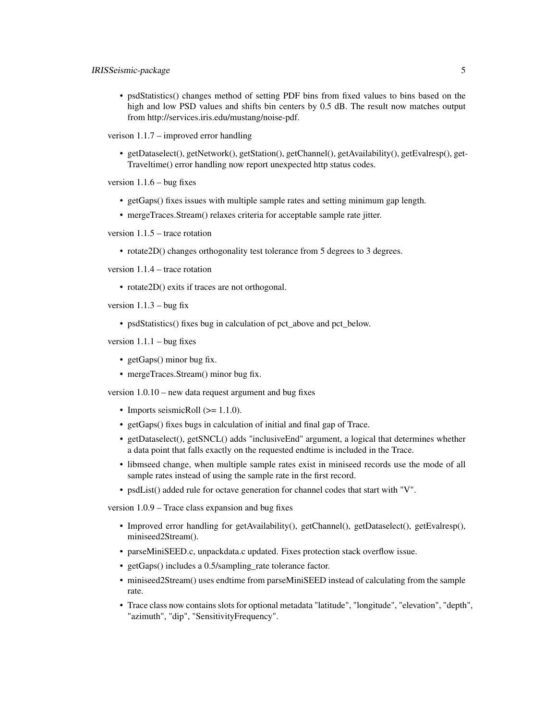• psdStatistics() changes method of setting PDF bins from fixed values to bins based on the high and low PSD values and shifts bin centers by 0.5 dB. The result now matches output from http://services.iris.edu/mustang/noise-pdf.

verison 1.1.7 – improved error handling

• getDataselect(), getNetwork(), getStation(), getChannel(), getAvailability(), getEvalresp(), get-Traveltime() error handling now report unexpected http status codes.

version  $1.1.6$  – bug fixes

- getGaps() fixes issues with multiple sample rates and setting minimum gap length.
- mergeTraces.Stream() relaxes criteria for acceptable sample rate jitter.

version 1.1.5 – trace rotation

• rotate2D() changes orthogonality test tolerance from 5 degrees to 3 degrees.

version 1.1.4 – trace rotation

• rotate2D() exits if traces are not orthogonal.

version  $1.1.3 - b$ ug fix

• psdStatistics() fixes bug in calculation of pct\_above and pct\_below.

version  $1.1.1 - b$ ug fixes

- getGaps() minor bug fix.
- mergeTraces.Stream() minor bug fix.

version 1.0.10 – new data request argument and bug fixes

- Imports seismicRoll  $(>= 1.1.0)$ .
- getGaps() fixes bugs in calculation of initial and final gap of Trace.
- getDataselect(), getSNCL() adds "inclusiveEnd" argument, a logical that determines whether a data point that falls exactly on the requested endtime is included in the Trace.
- libmseed change, when multiple sample rates exist in miniseed records use the mode of all sample rates instead of using the sample rate in the first record.
- psdList() added rule for octave generation for channel codes that start with "V".

version 1.0.9 – Trace class expansion and bug fixes

- Improved error handling for getAvailability(), getChannel(), getDataselect(), getEvalresp(), miniseed2Stream().
- parseMiniSEED.c, unpackdata.c updated. Fixes protection stack overflow issue.
- getGaps() includes a 0.5/sampling\_rate tolerance factor.
- miniseed2Stream() uses endtime from parseMiniSEED instead of calculating from the sample rate.
- Trace class now contains slots for optional metadata "latitude", "longitude", "elevation", "depth", "azimuth", "dip", "SensitivityFrequency".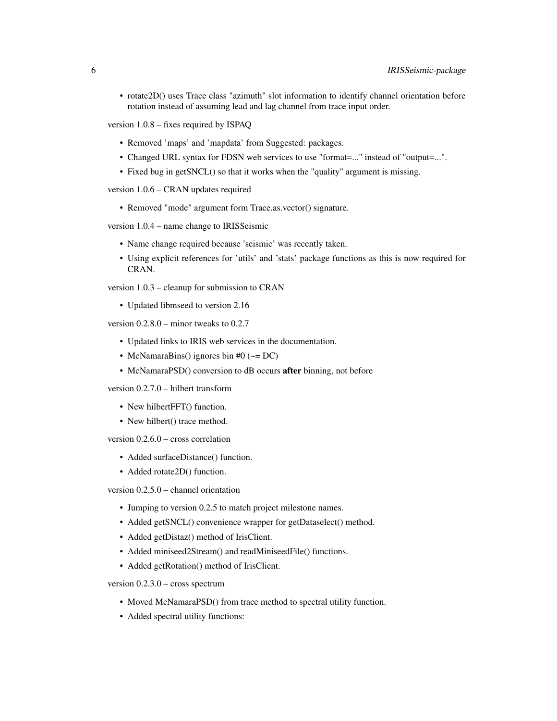• rotate2D() uses Trace class "azimuth" slot information to identify channel orientation before rotation instead of assuming lead and lag channel from trace input order.

version 1.0.8 – fixes required by ISPAQ

- Removed 'maps' and 'mapdata' from Suggested: packages.
- Changed URL syntax for FDSN web services to use "format=..." instead of "output=...".
- Fixed bug in getSNCL() so that it works when the "quality" argument is missing.

version 1.0.6 – CRAN updates required

• Removed "mode" argument form Trace.as.vector() signature.

version 1.0.4 – name change to IRISSeismic

- Name change required because 'seismic' was recently taken.
- Using explicit references for 'utils' and 'stats' package functions as this is now required for CRAN.

version 1.0.3 – cleanup for submission to CRAN

• Updated libmseed to version 2.16

version 0.2.8.0 – minor tweaks to 0.2.7

- Updated links to IRIS web services in the documentation.
- McNamaraBins() ignores bin #0 ( $\sim$  = DC)
- McNamaraPSD() conversion to dB occurs after binning, not before

version 0.2.7.0 – hilbert transform

- New hilbertFFT() function.
- New hilbert() trace method.

version 0.2.6.0 – cross correlation

- Added surfaceDistance() function.
- Added rotate2D() function.

version 0.2.5.0 – channel orientation

- Jumping to version 0.2.5 to match project milestone names.
- Added getSNCL() convenience wrapper for getDataselect() method.
- Added getDistaz() method of IrisClient.
- Added miniseed2Stream() and readMiniseedFile() functions.
- Added getRotation() method of IrisClient.

version 0.2.3.0 – cross spectrum

- Moved McNamaraPSD() from trace method to spectral utility function.
- Added spectral utility functions: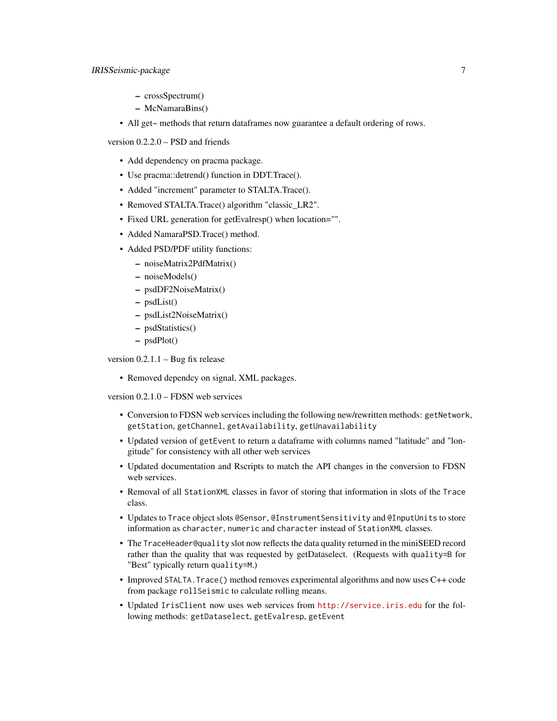- crossSpectrum()
- McNamaraBins()
- All get~ methods that return dataframes now guarantee a default ordering of rows.

version 0.2.2.0 – PSD and friends

- Add dependency on pracma package.
- Use pracma::detrend() function in DDT.Trace().
- Added "increment" parameter to STALTA.Trace().
- Removed STALTA.Trace() algorithm "classic\_LR2".
- Fixed URL generation for getEvalresp() when location="".
- Added NamaraPSD.Trace() method.
- Added PSD/PDF utility functions:
	- noiseMatrix2PdfMatrix()
	- noiseModels()
	- psdDF2NoiseMatrix()
	- psdList()
	- psdList2NoiseMatrix()
	- psdStatistics()
	- psdPlot()

version 0.2.1.1 – Bug fix release

• Removed dependcy on signal, XML packages.

version 0.2.1.0 – FDSN web services

- Conversion to FDSN web services including the following new/rewritten methods: getNetwork, getStation, getChannel, getAvailability, getUnavailability
- Updated version of getEvent to return a dataframe with columns named "latitude" and "longitude" for consistency with all other web services
- Updated documentation and Rscripts to match the API changes in the conversion to FDSN web services.
- Removal of all StationXML classes in favor of storing that information in slots of the Trace class.
- Updates to Trace object slots @Sensor, @InstrumentSensitivity and @InputUnits to store information as character, numeric and character instead of StationXML classes.
- The TraceHeader@quality slot now reflects the data quality returned in the miniSEED record rather than the quality that was requested by getDataselect. (Requests with quality=B for "Best" typically return quality=M.)
- Improved STALTA.Trace() method removes experimental algorithms and now uses C++ code from package rollSeismic to calculate rolling means.
- Updated IrisClient now uses web services from <http://service.iris.edu> for the following methods: getDataselect, getEvalresp, getEvent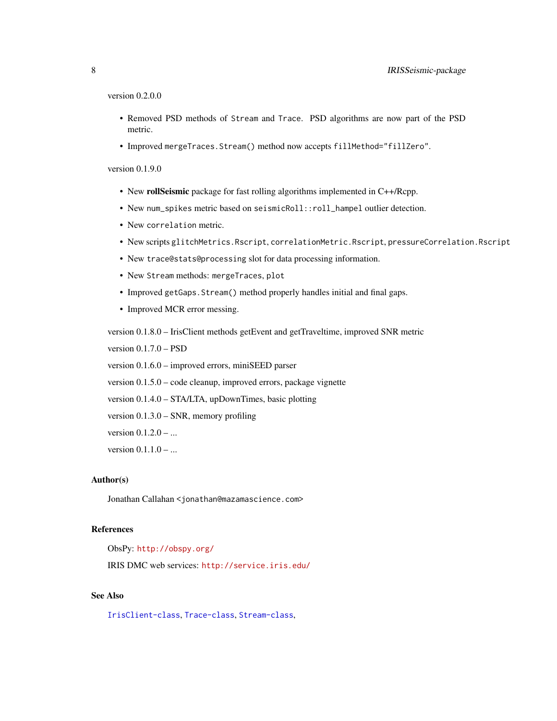version 0.2.0.0

- Removed PSD methods of Stream and Trace. PSD algorithms are now part of the PSD metric.
- Improved mergeTraces.Stream() method now accepts fillMethod="fillZero".

#### version 0.1.9.0

- New rollSeismic package for fast rolling algorithms implemented in C++/Rcpp.
- New num\_spikes metric based on seismicRoll::roll\_hampel outlier detection.
- New correlation metric.
- New scripts glitchMetrics.Rscript, correlationMetric.Rscript, pressureCorrelation.Rscript
- New trace@stats@processing slot for data processing information.
- New Stream methods: mergeTraces, plot
- Improved getGaps.Stream() method properly handles initial and final gaps.
- Improved MCR error messing.

version 0.1.8.0 – IrisClient methods getEvent and getTraveltime, improved SNR metric

version 0.1.7.0 – PSD

version 0.1.6.0 – improved errors, miniSEED parser

version 0.1.5.0 – code cleanup, improved errors, package vignette

version 0.1.4.0 – STA/LTA, upDownTimes, basic plotting

version 0.1.3.0 – SNR, memory profiling

version  $0.1.2.0 - ...$ 

version  $0.1.1.0 - ...$ 

#### Author(s)

Jonathan Callahan <jonathan@mazamascience.com>

#### References

ObsPy: <http://obspy.org/>

IRIS DMC web services: <http://service.iris.edu/>

#### See Also

[IrisClient-class](#page-44-1), [Trace-class](#page-76-1), [Stream-class](#page-72-1),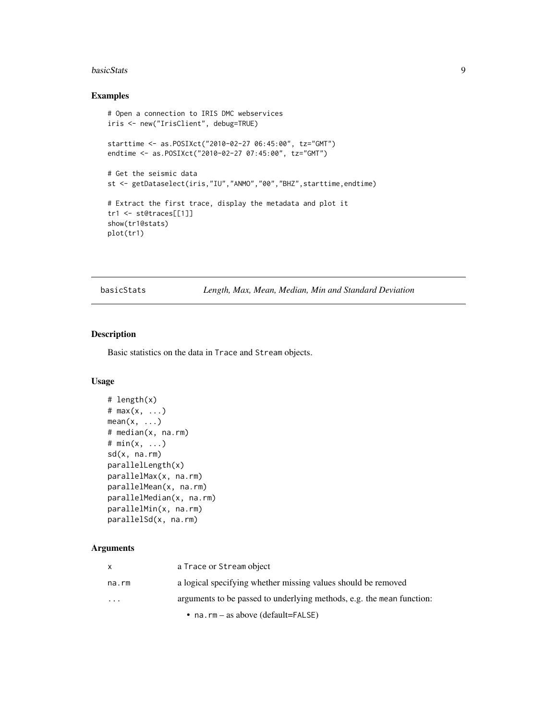#### <span id="page-8-0"></span>**basicStats** 9

# Examples

```
# Open a connection to IRIS DMC webservices
iris <- new("IrisClient", debug=TRUE)
starttime <- as.POSIXct("2010-02-27 06:45:00", tz="GMT")
endtime <- as.POSIXct("2010-02-27 07:45:00", tz="GMT")
# Get the seismic data
st <- getDataselect(iris,"IU","ANMO","00","BHZ",starttime,endtime)
# Extract the first trace, display the metadata and plot it
tr1 <- st@traces[[1]]
show(tr1@stats)
plot(tr1)
```
basicStats *Length, Max, Mean, Median, Min and Standard Deviation*

#### Description

Basic statistics on the data in Trace and Stream objects.

#### Usage

```
# length(x)
# max(x, ...)
mean(x, \ldots)# median(x, na.rm)
# min(x, ...)
sd(x, na.rm)
parallelLength(x)
parallelMax(x, na.rm)
parallelMean(x, na.rm)
parallelMedian(x, na.rm)
parallelMin(x, na.rm)
parallelSd(x, na.rm)
```
#### Arguments

| $\mathbf{x}$         | a Trace or Stream object                                              |
|----------------------|-----------------------------------------------------------------------|
| na.rm                | a logical specifying whether missing values should be removed         |
| $\ddot{\phantom{0}}$ | arguments to be passed to underlying methods, e.g. the mean function: |
|                      | • na.rm – as above (default=FALSE)                                    |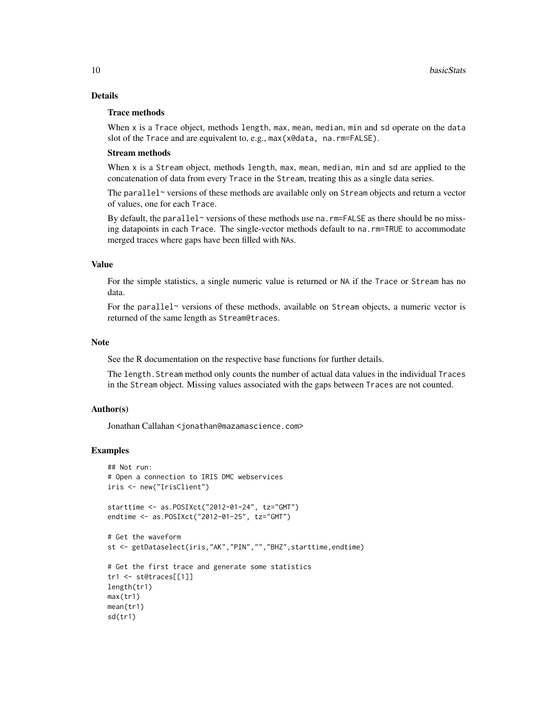# Details

# Trace methods

When  $x$  is a Trace object, methods length, max, mean, median, min and sd operate on the data slot of the Trace and are equivalent to, e.g., max(x@data, na.rm=FALSE).

#### Stream methods

When x is a Stream object, methods length, max, mean, median, min and sd are applied to the concatenation of data from every Trace in the Stream, treating this as a single data series.

The parallel~ versions of these methods are available only on Stream objects and return a vector of values, one for each Trace.

By default, the parallel~ versions of these methods use na.  $rm=FALSE$  as there should be no missing datapoints in each Trace. The single-vector methods default to na.rm=TRUE to accommodate merged traces where gaps have been filled with NAs.

# Value

For the simple statistics, a single numeric value is returned or NA if the Trace or Stream has no data.

For the parallel~ versions of these methods, available on Stream objects, a numeric vector is returned of the same length as Stream@traces.

#### Note

See the R documentation on the respective base functions for further details.

The length.Stream method only counts the number of actual data values in the individual Traces in the Stream object. Missing values associated with the gaps between Traces are not counted.

#### Author(s)

Jonathan Callahan <jonathan@mazamascience.com>

# Examples

```
## Not run:
# Open a connection to IRIS DMC webservices
iris <- new("IrisClient")
starttime <- as.POSIXct("2012-01-24", tz="GMT")
endtime <- as.POSIXct("2012-01-25", tz="GMT")
# Get the waveform
st <- getDataselect(iris,"AK","PIN","","BHZ",starttime,endtime)
# Get the first trace and generate some statistics
tr1 <- st@traces[[1]]
length(tr1)
max(tr1)
mean(tr1)
sd(tr1)
```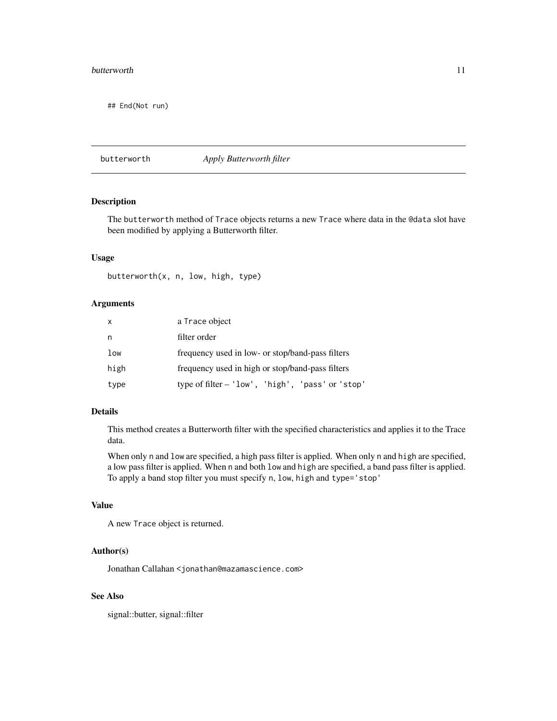#### <span id="page-10-0"></span>butterworth the contract of the contract of the contract of the contract of the contract of the contract of the contract of the contract of the contract of the contract of the contract of the contract of the contract of th

## End(Not run)

butterworth *Apply Butterworth filter*

# Description

The butterworth method of Trace objects returns a new Trace where data in the @data slot have been modified by applying a Butterworth filter.

# Usage

butterworth(x, n, low, high, type)

# Arguments

| X    | a Trace object                                   |
|------|--------------------------------------------------|
| n    | filter order                                     |
| low  | frequency used in low- or stop/band-pass filters |
| high | frequency used in high or stop/band-pass filters |
| type | type of filter - 'low', 'high', 'pass' or 'stop' |

# Details

This method creates a Butterworth filter with the specified characteristics and applies it to the Trace data.

When only n and low are specified, a high pass filter is applied. When only n and high are specified, a low pass filter is applied. When n and both low and high are specified, a band pass filter is applied. To apply a band stop filter you must specify n, low, high and type='stop'

# Value

A new Trace object is returned.

# Author(s)

Jonathan Callahan <jonathan@mazamascience.com>

# See Also

signal::butter, signal::filter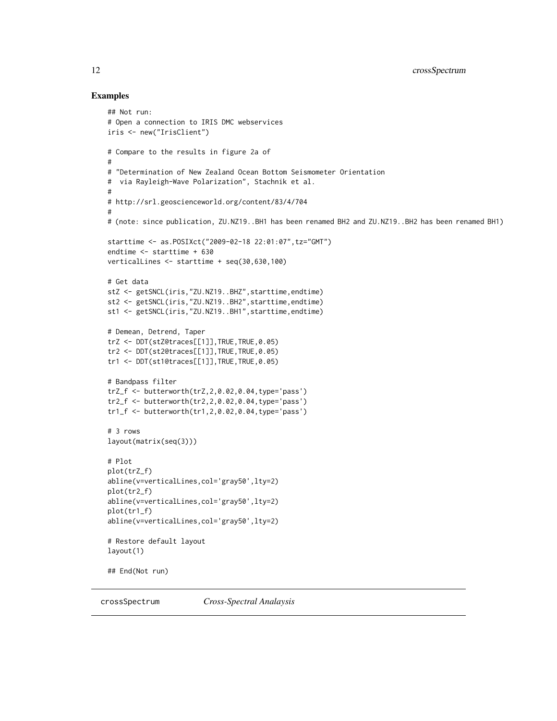#### Examples

```
## Not run:
# Open a connection to IRIS DMC webservices
iris <- new("IrisClient")
# Compare to the results in figure 2a of
#
# "Determination of New Zealand Ocean Bottom Seismometer Orientation
# via Rayleigh-Wave Polarization", Stachnik et al.
#
# http://srl.geoscienceworld.org/content/83/4/704
#
# (note: since publication, ZU.NZ19..BH1 has been renamed BH2 and ZU.NZ19..BH2 has been renamed BH1)
starttime <- as.POSIXct("2009-02-18 22:01:07",tz="GMT")
endtime <- starttime + 630
verticalLines <- starttime + seq(30,630,100)
# Get data
stZ <- getSNCL(iris,"ZU.NZ19..BHZ",starttime,endtime)
st2 <- getSNCL(iris,"ZU.NZ19..BH2",starttime,endtime)
st1 <- getSNCL(iris,"ZU.NZ19..BH1",starttime,endtime)
# Demean, Detrend, Taper
trZ <- DDT(stZ@traces[[1]],TRUE,TRUE,0.05)
tr2 <- DDT(st2@traces[[1]],TRUE,TRUE,0.05)
tr1 <- DDT(st1@traces[[1]], TRUE, TRUE, 0.05)
# Bandpass filter
trZ_f <- butterworth(trZ,2,0.02,0.04,type='pass')
tr2_f <- butterworth(tr2,2,0.02,0.04,type='pass')
tr1_f \leftarrow \text{butterworth}(tr1, 2, 0.02, 0.04, type='pass')# 3 rows
layout(matrix(seq(3)))
# Plot
plot(trZ_f)
abline(v=verticalLines,col='gray50',lty=2)
plot(tr2_f)
abline(v=verticalLines,col='gray50',lty=2)
plot(tr1_f)
abline(v=verticalLines,col='gray50',lty=2)
# Restore default layout
layout(1)
## End(Not run)
```
crossSpectrum *Cross-Spectral Analaysis*

<span id="page-11-0"></span>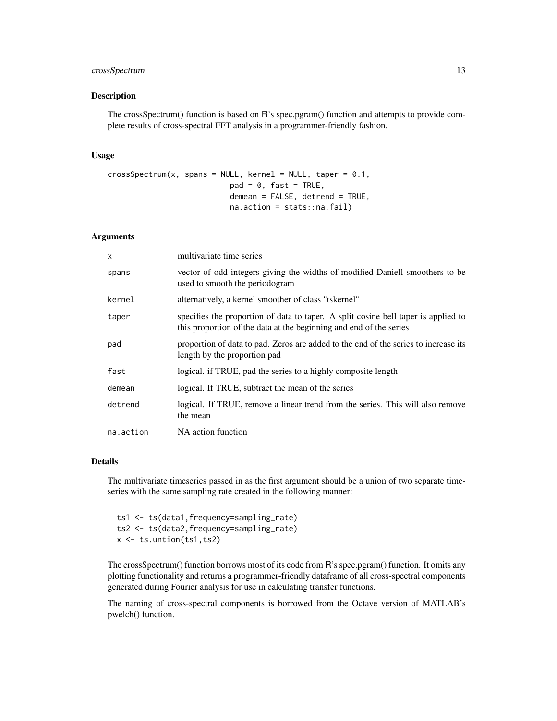# crossSpectrum 13

#### Description

The crossSpectrum() function is based on R's spec.pgram() function and attempts to provide complete results of cross-spectral FFT analysis in a programmer-friendly fashion.

#### Usage

```
crossSpectrum(x, spans = NULL, kernel = NULL, taper = 0.1,
                           pad = 0, fast = TRUE,
                           demean = FALSE, detrend = TRUE,
                           na.action = stats::na.fail)
```
# Arguments

| X         | multivariate time series                                                                                                                                 |
|-----------|----------------------------------------------------------------------------------------------------------------------------------------------------------|
| spans     | vector of odd integers giving the widths of modified Daniell smoothers to be<br>used to smooth the periodogram                                           |
| kernel    | alternatively, a kernel smoother of class "tskernel"                                                                                                     |
| taper     | specifies the proportion of data to taper. A split cosine bell taper is applied to<br>this proportion of the data at the beginning and end of the series |
| pad       | proportion of data to pad. Zeros are added to the end of the series to increase its<br>length by the proportion pad                                      |
| fast      | logical. if TRUE, pad the series to a highly composite length                                                                                            |
| demean    | logical. If TRUE, subtract the mean of the series                                                                                                        |
| detrend   | logical. If TRUE, remove a linear trend from the series. This will also remove<br>the mean                                                               |
| na.action | NA action function                                                                                                                                       |

# Details

The multivariate timeseries passed in as the first argument should be a union of two separate timeseries with the same sampling rate created in the following manner:

ts1 <- ts(data1,frequency=sampling\_rate) ts2 <- ts(data2,frequency=sampling\_rate) x <- ts.untion(ts1,ts2)

The crossSpectrum() function borrows most of its code from R's spec.pgram() function. It omits any plotting functionality and returns a programmer-friendly dataframe of all cross-spectral components generated during Fourier analysis for use in calculating transfer functions.

The naming of cross-spectral components is borrowed from the Octave version of MATLAB's pwelch() function.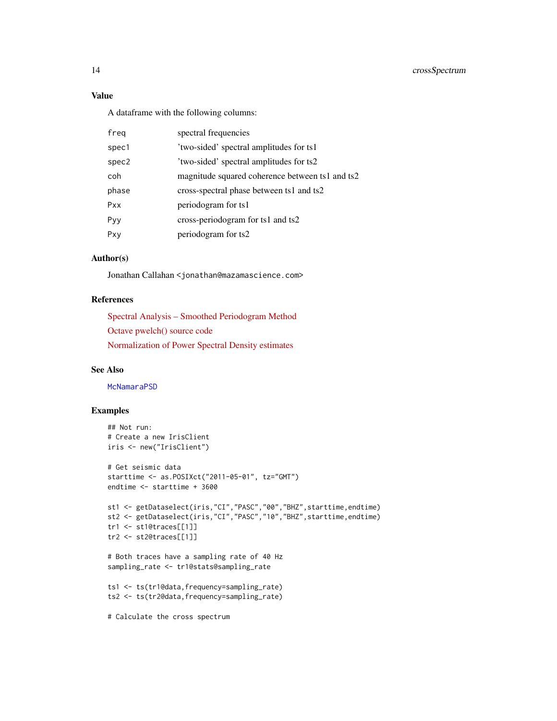# 14 crossSpectrum

# Value

A dataframe with the following columns:

| freg  | spectral frequencies                            |
|-------|-------------------------------------------------|
| spec1 | 'two-sided' spectral amplitudes for ts1         |
| spec2 | 'two-sided' spectral amplitudes for ts2         |
| coh   | magnitude squared coherence between ts1 and ts2 |
| phase | cross-spectral phase between ts1 and ts2        |
| Pxx   | periodogram for ts1                             |
| Pyy   | cross-periodogram for ts1 and ts2               |
| Pxy   | periodogram for ts2                             |
|       |                                                 |

# Author(s)

Jonathan Callahan <jonathan@mazamascience.com>

# References

[Spectral Analysis – Smoothed Periodogram Method](http://terascan.smast.umassd.edu/nasdata/archive/achaudhu.old/docs/TIMESERIES/notes_6.pdf) [Octave pwelch\(\) source code](http://octave-signal.sourcearchive.com/documentation/1.0.7/pwelch_8m-source.html) [Normalization of Power Spectral Density estimates](https://CRAN.R-project.org/package=psd/vignettes/normalization.pdf)

# See Also

**[McNamaraPSD](#page-47-1)** 

# Examples

```
## Not run:
# Create a new IrisClient
iris <- new("IrisClient")
# Get seismic data
starttime <- as.POSIXct("2011-05-01", tz="GMT")
endtime <- starttime + 3600
st1 <- getDataselect(iris,"CI","PASC","00","BHZ",starttime,endtime)
st2 <- getDataselect(iris,"CI","PASC","10","BHZ",starttime,endtime)
tr1 <- st1@traces[[1]]
tr2 <- st2@traces[[1]]
# Both traces have a sampling rate of 40 Hz
sampling_rate <- tr1@stats@sampling_rate
ts1 <- ts(tr1@data,frequency=sampling_rate)
ts2 <- ts(tr2@data,frequency=sampling_rate)
# Calculate the cross spectrum
```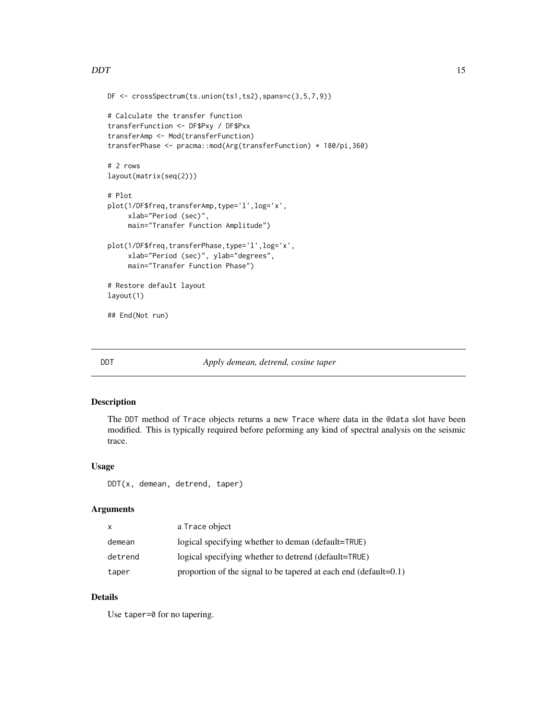#### <span id="page-14-0"></span> $\overline{D}$ DDT  $\overline{D}$

```
DF <- crossSpectrum(ts.union(ts1,ts2),spans=c(3,5,7,9))
# Calculate the transfer function
transferFunction <- DF$Pxy / DF$Pxx
transferAmp <- Mod(transferFunction)
transferPhase <- pracma::mod(Arg(transferFunction) * 180/pi,360)
# 2 rows
layout(matrix(seq(2)))
# Plot
plot(1/DF$freq,transferAmp,type='l',log='x',
     xlab="Period (sec)",
     main="Transfer Function Amplitude")
plot(1/DF$freq,transferPhase,type='l',log='x',
     xlab="Period (sec)", ylab="degrees",
     main="Transfer Function Phase")
# Restore default layout
layout(1)
## End(Not run)
```
<span id="page-14-1"></span>

#### DDT *Apply demean, detrend, cosine taper*

#### Description

The DDT method of Trace objects returns a new Trace where data in the @data slot have been modified. This is typically required before peforming any kind of spectral analysis on the seismic trace.

#### Usage

DDT(x, demean, detrend, taper)

#### Arguments

| x       | a Trace object                                                       |
|---------|----------------------------------------------------------------------|
| demean  | logical specifying whether to deman (default=TRUE)                   |
| detrend | logical specifying whether to detrend (default=TRUE)                 |
| taper   | proportion of the signal to be tapered at each end (default= $0.1$ ) |

# Details

Use taper=0 for no tapering.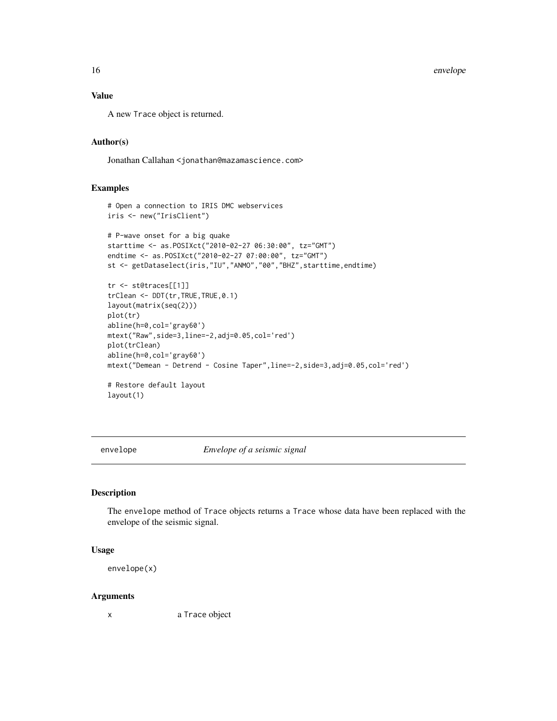16 envelope and the set of the set of the set of the set of the set of the set of the set of the set of the set of the set of the set of the set of the set of the set of the set of the set of the set of the set of the set

# Value

A new Trace object is returned.

# Author(s)

Jonathan Callahan <jonathan@mazamascience.com>

# Examples

```
# Open a connection to IRIS DMC webservices
iris <- new("IrisClient")
# P-wave onset for a big quake
starttime <- as.POSIXct("2010-02-27 06:30:00", tz="GMT")
endtime <- as.POSIXct("2010-02-27 07:00:00", tz="GMT")
st <- getDataselect(iris,"IU","ANMO","00","BHZ",starttime,endtime)
tr <- st@traces[[1]]
trClean <- DDT(tr,TRUE,TRUE,0.1)
layout(matrix(seq(2)))
plot(tr)
abline(h=0,col='gray60')
mtext("Raw",side=3,line=-2,adj=0.05,col='red')
plot(trClean)
abline(h=0,col='gray60')
mtext("Demean - Detrend - Cosine Taper",line=-2,side=3,adj=0.05,col='red')
# Restore default layout
layout(1)
```
envelope *Envelope of a seismic signal*

#### Description

The envelope method of Trace objects returns a Trace whose data have been replaced with the envelope of the seismic signal.

#### Usage

envelope(x)

#### **Arguments**

x a Trace object

<span id="page-15-0"></span>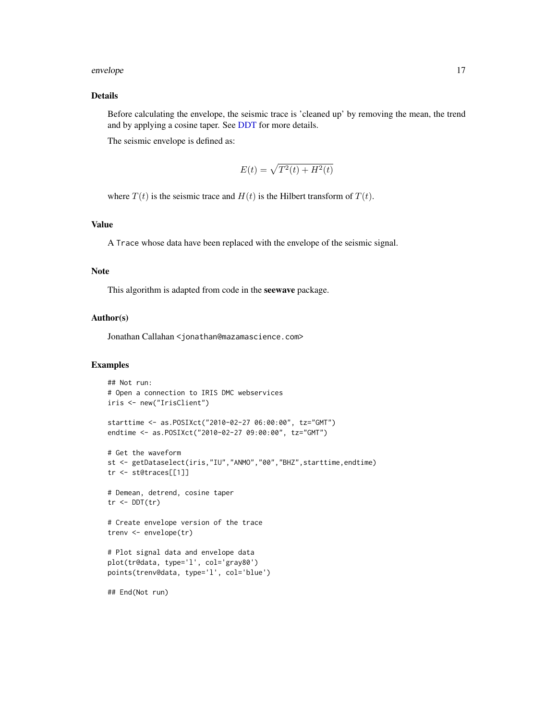#### envelope to the set of the set of the set of the set of the set of the set of the set of the set of the set of the set of the set of the set of the set of the set of the set of the set of the set of the set of the set of t

# Details

Before calculating the envelope, the seismic trace is 'cleaned up' by removing the mean, the trend and by applying a cosine taper. See [DDT](#page-14-1) for more details.

The seismic envelope is defined as:

$$
E(t) = \sqrt{T^2(t) + H^2(t)}
$$

where  $T(t)$  is the seismic trace and  $H(t)$  is the Hilbert transform of  $T(t)$ .

# Value

A Trace whose data have been replaced with the envelope of the seismic signal.

#### Note

This algorithm is adapted from code in the seewave package.

#### Author(s)

Jonathan Callahan <jonathan@mazamascience.com>

# Examples

```
## Not run:
# Open a connection to IRIS DMC webservices
iris <- new("IrisClient")
starttime <- as.POSIXct("2010-02-27 06:00:00", tz="GMT")
endtime <- as.POSIXct("2010-02-27 09:00:00", tz="GMT")
# Get the waveform
st <- getDataselect(iris,"IU","ANMO","00","BHZ",starttime,endtime)
tr <- st@traces[[1]]
# Demean, detrend, cosine taper
tr <- DDT(tr)# Create envelope version of the trace
trenv <- envelope(tr)
# Plot signal data and envelope data
plot(tr@data, type='l', col='gray80')
points(trenv@data, type='l', col='blue')
## End(Not run)
```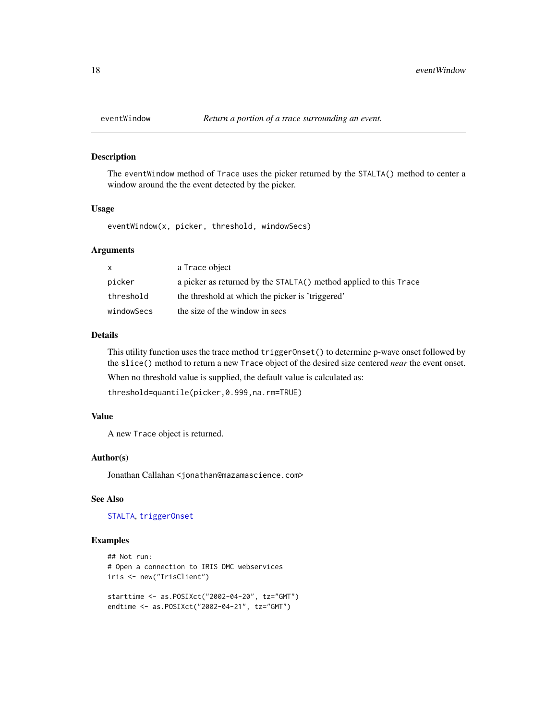<span id="page-17-0"></span>

#### Description

The eventWindow method of Trace uses the picker returned by the STALTA() method to center a window around the the event detected by the picker.

#### Usage

eventWindow(x, picker, threshold, windowSecs)

# Arguments

| X          | a Trace object                                                    |
|------------|-------------------------------------------------------------------|
| picker     | a picker as returned by the STALTA() method applied to this Trace |
| threshold  | the threshold at which the picker is 'triggered'                  |
| windowSecs | the size of the window in secs                                    |

# Details

This utility function uses the trace method triggerOnset() to determine p-wave onset followed by the slice() method to return a new Trace object of the desired size centered *near* the event onset. When no threshold value is supplied, the default value is calculated as:

threshold=quantile(picker,0.999,na.rm=TRUE)

# Value

A new Trace object is returned.

#### Author(s)

Jonathan Callahan <jonathan@mazamascience.com>

#### See Also

[STALTA](#page-69-1), [triggerOnset](#page-79-1)

#### Examples

```
## Not run:
# Open a connection to IRIS DMC webservices
iris <- new("IrisClient")
starttime <- as.POSIXct("2002-04-20", tz="GMT")
```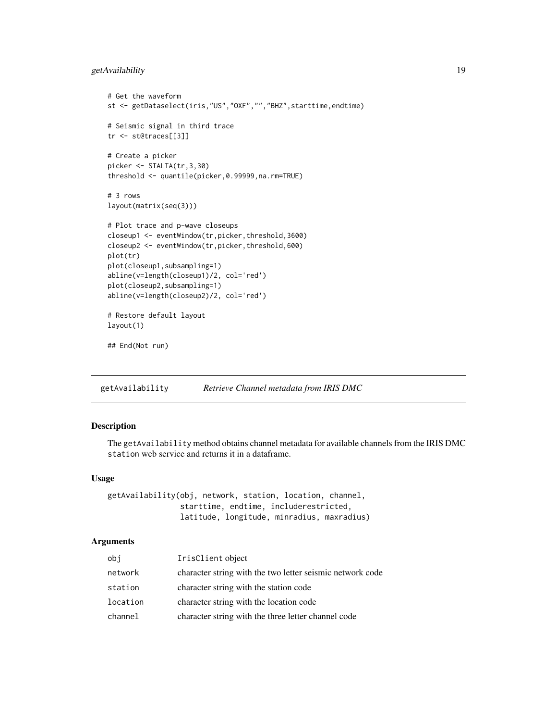# <span id="page-18-0"></span>getAvailability 19

```
# Get the waveform
st <- getDataselect(iris,"US","OXF","","BHZ",starttime,endtime)
# Seismic signal in third trace
tr <- st@traces[[3]]
# Create a picker
picker <- STALTA(tr,3,30)
threshold <- quantile(picker,0.99999,na.rm=TRUE)
# 3 rows
layout(matrix(seq(3)))
# Plot trace and p-wave closeups
closeup1 <- eventWindow(tr,picker,threshold,3600)
closeup2 <- eventWindow(tr,picker,threshold,600)
plot(tr)
plot(closeup1,subsampling=1)
abline(v=length(closeup1)/2, col='red')
plot(closeup2,subsampling=1)
abline(v=length(closeup2)/2, col='red')
# Restore default layout
layout(1)
## End(Not run)
```
<span id="page-18-1"></span>getAvailability *Retrieve Channel metadata from IRIS DMC*

# Description

The getAvailability method obtains channel metadata for available channels from the IRIS DMC station web service and returns it in a dataframe.

#### Usage

getAvailability(obj, network, station, location, channel, starttime, endtime, includerestricted, latitude, longitude, minradius, maxradius)

# Arguments

| obj      | IrisClient object                                         |
|----------|-----------------------------------------------------------|
| network  | character string with the two letter seismic network code |
| station  | character string with the station code                    |
| location | character string with the location code                   |
| channel  | character string with the three letter channel code       |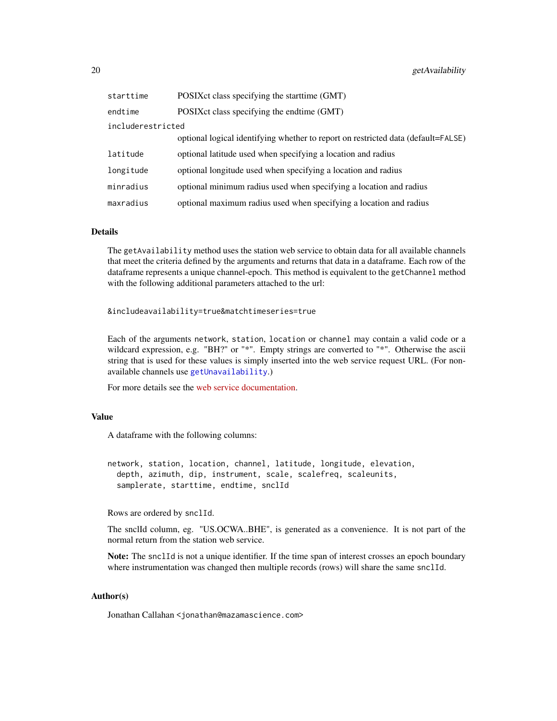| starttime         | POSIX ct class specifying the start time (GMT)                                    |  |
|-------------------|-----------------------------------------------------------------------------------|--|
| endtime           | POSIX ct class specifying the endtime (GMT)                                       |  |
| includerestricted |                                                                                   |  |
|                   | optional logical identifying whether to report on restricted data (default=FALSE) |  |
| latitude          | optional latitude used when specifying a location and radius                      |  |
| longitude         | optional longitude used when specifying a location and radius                     |  |
| minradius         | optional minimum radius used when specifying a location and radius                |  |
| maxradius         | optional maximum radius used when specifying a location and radius                |  |

#### Details

The getAvailability method uses the station web service to obtain data for all available channels that meet the criteria defined by the arguments and returns that data in a dataframe. Each row of the dataframe represents a unique channel-epoch. This method is equivalent to the getChannel method with the following additional parameters attached to the url:

&includeavailability=true&matchtimeseries=true

Each of the arguments network, station, location or channel may contain a valid code or a wildcard expression, e.g. "BH?" or "\*". Empty strings are converted to "\*". Otherwise the ascii string that is used for these values is simply inserted into the web service request URL. (For nonavailable channels use [getUnavailability](#page-39-1).)

For more details see the [web service documentation.](http://service.iris.edu/fdsnws/station/1/)

# Value

A dataframe with the following columns:

network, station, location, channel, latitude, longitude, elevation, depth, azimuth, dip, instrument, scale, scalefreq, scaleunits, samplerate, starttime, endtime, snclId

Rows are ordered by snclId.

The snclId column, eg. "US.OCWA..BHE", is generated as a convenience. It is not part of the normal return from the station web service.

Note: The snclId is not a unique identifier. If the time span of interest crosses an epoch boundary where instrumentation was changed then multiple records (rows) will share the same snclId.

# Author(s)

Jonathan Callahan <jonathan@mazamascience.com>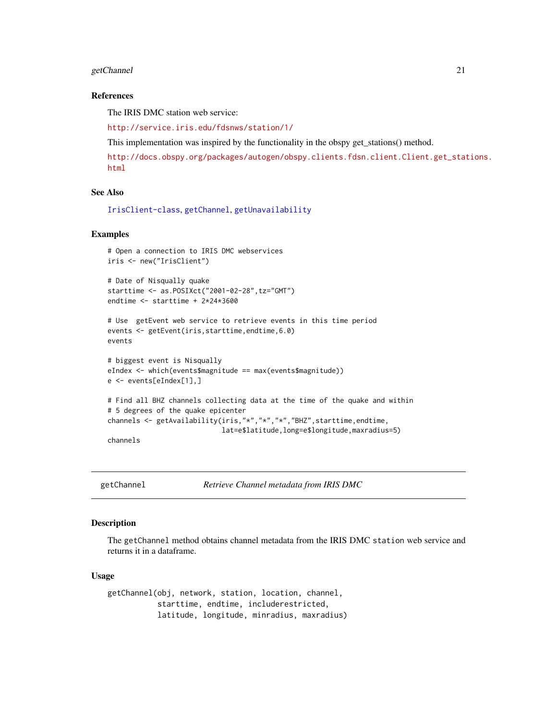# <span id="page-20-0"></span>getChannel 21

#### References

The IRIS DMC station web service:

<http://service.iris.edu/fdsnws/station/1/>

This implementation was inspired by the functionality in the obspy get\_stations() method.

[http://docs.obspy.org/packages/autogen/obspy.clients.fdsn.client.Client.get\\_stat](http://docs.obspy.org/packages/autogen/obspy.clients.fdsn.client.Client.get_stations.html)ions. [html](http://docs.obspy.org/packages/autogen/obspy.clients.fdsn.client.Client.get_stations.html)

#### See Also

[IrisClient-class](#page-44-1), [getChannel](#page-20-1), [getUnavailability](#page-39-1)

#### Examples

```
# Open a connection to IRIS DMC webservices
iris <- new("IrisClient")
# Date of Nisqually quake
starttime <- as.POSIXct("2001-02-28",tz="GMT")
endtime <- starttime + 2*24*3600
# Use getEvent web service to retrieve events in this time period
events <- getEvent(iris,starttime,endtime,6.0)
events
# biggest event is Nisqually
eIndex <- which(events$magnitude == max(events$magnitude))
e <- events[eIndex[1],]
# Find all BHZ channels collecting data at the time of the quake and within
# 5 degrees of the quake epicenter
channels <- getAvailability(iris,"*","*","*","BHZ",starttime,endtime,
                            lat=e$latitude,long=e$longitude,maxradius=5)
channels
```
<span id="page-20-1"></span>getChannel *Retrieve Channel metadata from IRIS DMC*

#### Description

The getChannel method obtains channel metadata from the IRIS DMC station web service and returns it in a dataframe.

# Usage

getChannel(obj, network, station, location, channel, starttime, endtime, includerestricted, latitude, longitude, minradius, maxradius)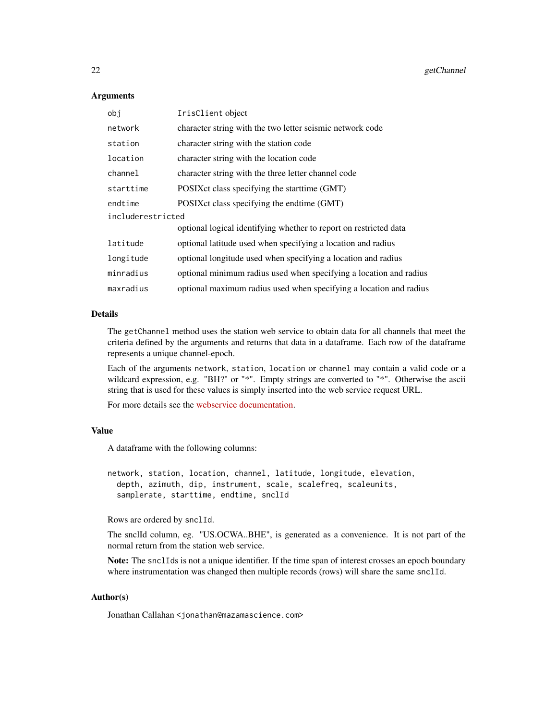#### Arguments

| obi               | IrisClient object                                                  |  |
|-------------------|--------------------------------------------------------------------|--|
| network           | character string with the two letter seismic network code          |  |
| station           | character string with the station code                             |  |
| location          | character string with the location code                            |  |
| channel           | character string with the three letter channel code                |  |
| starttime         | POSIX ct class specifying the start time (GMT)                     |  |
| endtime           | POSIX ct class specifying the endtime (GMT)                        |  |
| includerestricted |                                                                    |  |
|                   | optional logical identifying whether to report on restricted data  |  |
| latitude          | optional latitude used when specifying a location and radius       |  |
| longitude         | optional longitude used when specifying a location and radius      |  |
| minradius         | optional minimum radius used when specifying a location and radius |  |
| maxradius         | optional maximum radius used when specifying a location and radius |  |

# Details

The getChannel method uses the station web service to obtain data for all channels that meet the criteria defined by the arguments and returns that data in a dataframe. Each row of the dataframe represents a unique channel-epoch.

Each of the arguments network, station, location or channel may contain a valid code or a wildcard expression, e.g. "BH?" or "\*". Empty strings are converted to "\*". Otherwise the ascii string that is used for these values is simply inserted into the web service request URL.

For more details see the [webservice documentation.](http://service.iris.edu/fdsnws/station/1/)

# Value

A dataframe with the following columns:

```
network, station, location, channel, latitude, longitude, elevation,
  depth, azimuth, dip, instrument, scale, scalefreq, scaleunits,
  samplerate, starttime, endtime, snclId
```
Rows are ordered by snclId.

The snclId column, eg. "US.OCWA..BHE", is generated as a convenience. It is not part of the normal return from the station web service.

Note: The snclIds is not a unique identifier. If the time span of interest crosses an epoch boundary where instrumentation was changed then multiple records (rows) will share the same snclId.

# Author(s)

Jonathan Callahan <jonathan@mazamascience.com>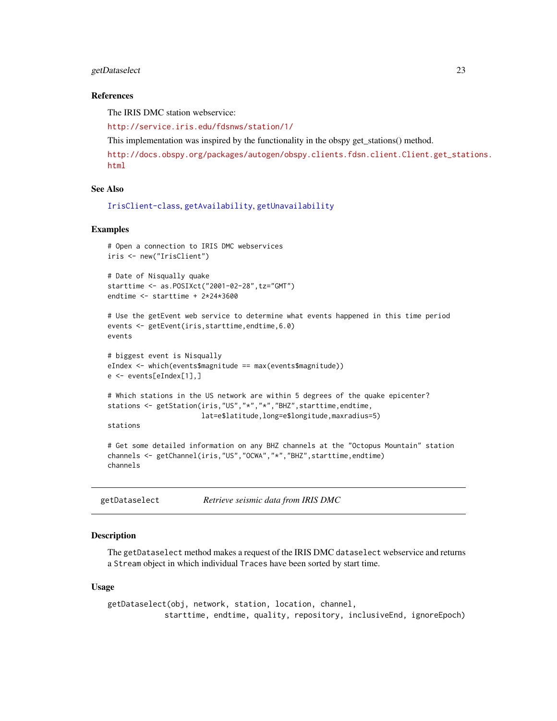# <span id="page-22-0"></span>getDataselect 23

#### References

The IRIS DMC station webservice:

<http://service.iris.edu/fdsnws/station/1/>

This implementation was inspired by the functionality in the obspy get\_stations() method.

[http://docs.obspy.org/packages/autogen/obspy.clients.fdsn.client.Client.get\\_stat](http://docs.obspy.org/packages/autogen/obspy.clients.fdsn.client.Client.get_stations.html)ions. [html](http://docs.obspy.org/packages/autogen/obspy.clients.fdsn.client.Client.get_stations.html)

#### See Also

[IrisClient-class](#page-44-1), [getAvailability](#page-18-1), [getUnavailability](#page-39-1)

#### Examples

```
# Open a connection to IRIS DMC webservices
iris <- new("IrisClient")
```

```
# Date of Nisqually quake
starttime <- as.POSIXct("2001-02-28",tz="GMT")
endtime <- starttime + 2*24*3600
```

```
# Use the getEvent web service to determine what events happened in this time period
events <- getEvent(iris,starttime,endtime,6.0)
events
```

```
# biggest event is Nisqually
eIndex <- which(events$magnitude == max(events$magnitude))
e <- events[eIndex[1],]
```

```
# Which stations in the US network are within 5 degrees of the quake epicenter?
stations <- getStation(iris,"US","*","*","BHZ",starttime,endtime,
                       lat=e$latitude,long=e$longitude,maxradius=5)
```
stations

```
# Get some detailed information on any BHZ channels at the "Octopus Mountain" station
channels <- getChannel(iris,"US","OCWA","*","BHZ",starttime,endtime)
channels
```
<span id="page-22-1"></span>getDataselect *Retrieve seismic data from IRIS DMC*

# Description

The getDataselect method makes a request of the IRIS DMC dataselect webservice and returns a Stream object in which individual Traces have been sorted by start time.

#### Usage

```
getDataselect(obj, network, station, location, channel,
            starttime, endtime, quality, repository, inclusiveEnd, ignoreEpoch)
```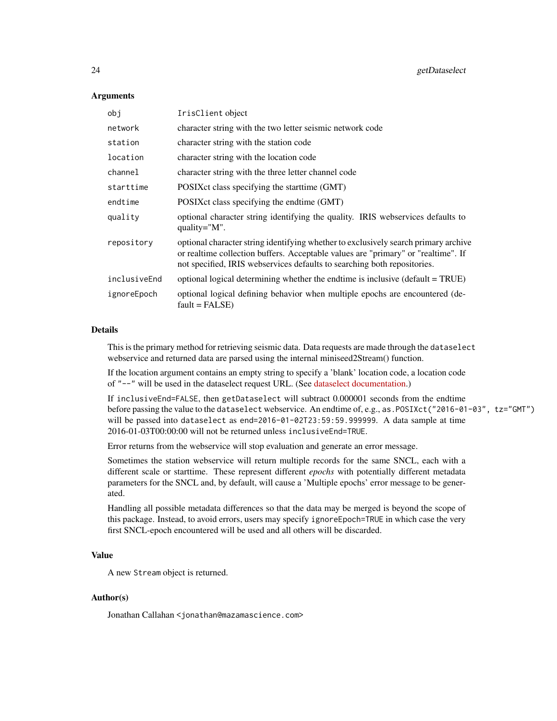# Arguments

| obi          | IrisClient object                                                                                                                                                                                                                                    |
|--------------|------------------------------------------------------------------------------------------------------------------------------------------------------------------------------------------------------------------------------------------------------|
| network      | character string with the two letter seismic network code                                                                                                                                                                                            |
| station      | character string with the station code                                                                                                                                                                                                               |
| location     | character string with the location code                                                                                                                                                                                                              |
| channel      | character string with the three letter channel code                                                                                                                                                                                                  |
| starttime    | POSIX ct class specifying the start time (GMT)                                                                                                                                                                                                       |
| endtime      | POSIX ct class specifying the endtime (GMT)                                                                                                                                                                                                          |
| quality      | optional character string identifying the quality. IRIS webservices defaults to<br>quality= $"M"$ .                                                                                                                                                  |
| repository   | optional character string identifying whether to exclusively search primary archive<br>or realtime collection buffers. Acceptable values are "primary" or "realtime". If<br>not specified, IRIS webservices defaults to searching both repositories. |
| inclusiveEnd | optional logical determining whether the endtime is inclusive (default = TRUE)                                                                                                                                                                       |
| ignoreEpoch  | optional logical defining behavior when multiple epochs are encountered (de-<br>$fault = FALSE)$                                                                                                                                                     |

# Details

This is the primary method for retrieving seismic data. Data requests are made through the dataselect webservice and returned data are parsed using the internal miniseed2Stream() function.

If the location argument contains an empty string to specify a 'blank' location code, a location code of "--" will be used in the dataselect request URL. (See [dataselect documentation.](http://service.iris.edu/fdsnws/dataselect/1/))

If inclusiveEnd=FALSE, then getDataselect will subtract 0.000001 seconds from the endtime before passing the value to the dataselect webservice. An endtime of, e.g., as.POSIXct("2016-01-03", tz="GMT") will be passed into dataselect as end=2016-01-02T23:59:59.999999. A data sample at time 2016-01-03T00:00:00 will not be returned unless inclusiveEnd=TRUE.

Error returns from the webservice will stop evaluation and generate an error message.

Sometimes the station webservice will return multiple records for the same SNCL, each with a different scale or starttime. These represent different *epochs* with potentially different metadata parameters for the SNCL and, by default, will cause a 'Multiple epochs' error message to be generated.

Handling all possible metadata differences so that the data may be merged is beyond the scope of this package. Instead, to avoid errors, users may specify ignoreEpoch=TRUE in which case the very first SNCL-epoch encountered will be used and all others will be discarded.

#### Value

A new Stream object is returned.

#### Author(s)

Jonathan Callahan <jonathan@mazamascience.com>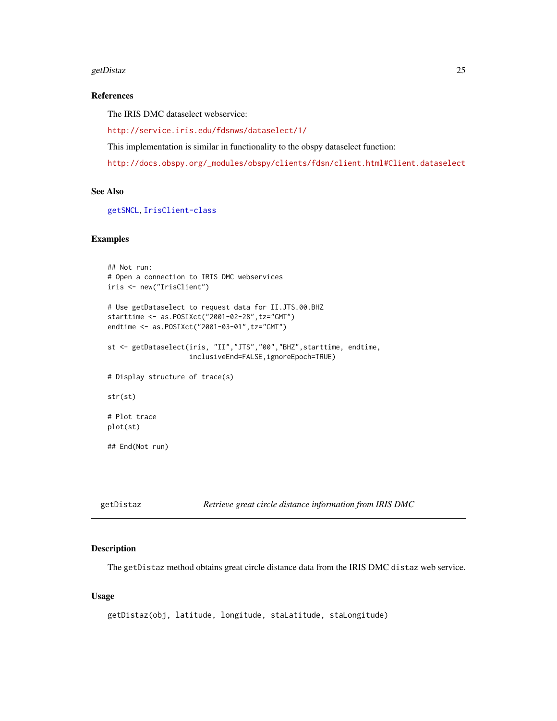#### <span id="page-24-0"></span>getDistaz 25

# References

The IRIS DMC dataselect webservice:

<http://service.iris.edu/fdsnws/dataselect/1/>

This implementation is similar in functionality to the obspy dataselect function:

[http://docs.obspy.org/\\_modules/obspy/clients/fdsn/client.html#Client.dataselect](http://docs.obspy.org/_modules/obspy/clients/fdsn/client.html#Client.dataselect)

#### See Also

[getSNCL](#page-33-1), [IrisClient-class](#page-44-1)

# Examples

```
## Not run:
# Open a connection to IRIS DMC webservices
iris <- new("IrisClient")
# Use getDataselect to request data for II.JTS.00.BHZ
starttime <- as.POSIXct("2001-02-28",tz="GMT")
endtime <- as.POSIXct("2001-03-01",tz="GMT")
st <- getDataselect(iris, "II","JTS","00","BHZ",starttime, endtime,
                    inclusiveEnd=FALSE,ignoreEpoch=TRUE)
# Display structure of trace(s)
str(st)
# Plot trace
plot(st)
## End(Not run)
```
getDistaz *Retrieve great circle distance information from IRIS DMC*

#### Description

The getDistaz method obtains great circle distance data from the IRIS DMC distaz web service.

# Usage

```
getDistaz(obj, latitude, longitude, staLatitude, staLongitude)
```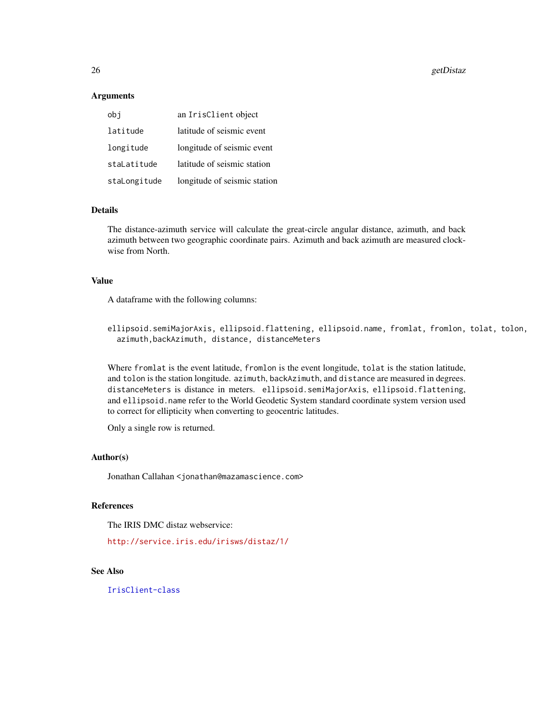26 getDistaz

#### Arguments

| obi          | an IrisClient object         |
|--------------|------------------------------|
| latitude     | latitude of seismic event    |
| longitude    | longitude of seismic event   |
| staLatitude  | latitude of seismic station  |
| staLongitude | longitude of seismic station |

# Details

The distance-azimuth service will calculate the great-circle angular distance, azimuth, and back azimuth between two geographic coordinate pairs. Azimuth and back azimuth are measured clockwise from North.

# Value

A dataframe with the following columns:

ellipsoid.semiMajorAxis, ellipsoid.flattening, ellipsoid.name, fromlat, fromlon, tolat, tolon, azimuth,backAzimuth, distance, distanceMeters

Where fromlat is the event latitude, fromlon is the event longitude, tolat is the station latitude, and tolon is the station longitude. azimuth, backAzimuth, and distance are measured in degrees. distanceMeters is distance in meters. ellipsoid.semiMajorAxis, ellipsoid.flattening, and ellipsoid.name refer to the World Geodetic System standard coordinate system version used to correct for ellipticity when converting to geocentric latitudes.

Only a single row is returned.

#### Author(s)

Jonathan Callahan <jonathan@mazamascience.com>

# References

The IRIS DMC distaz webservice:

<http://service.iris.edu/irisws/distaz/1/>

# See Also

[IrisClient-class](#page-44-1)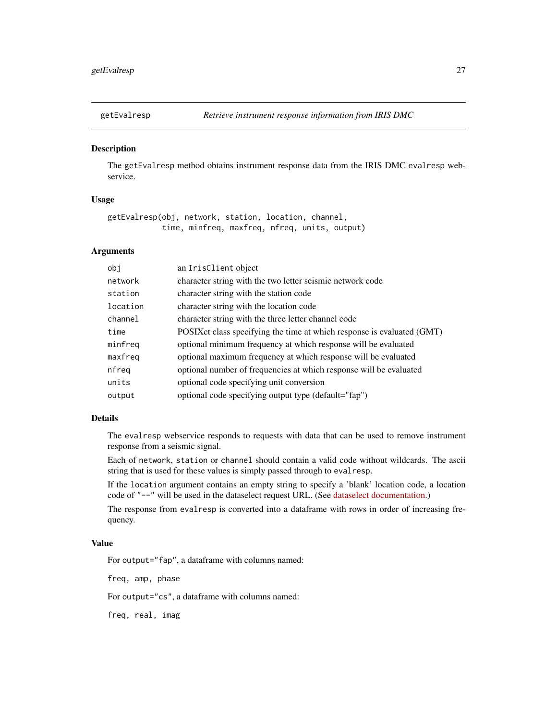<span id="page-26-0"></span>

#### **Description**

The getEvalresp method obtains instrument response data from the IRIS DMC evalresp webservice.

# Usage

getEvalresp(obj, network, station, location, channel, time, minfreq, maxfreq, nfreq, units, output)

# Arguments

| obj      | an IrisClient object                                                   |
|----------|------------------------------------------------------------------------|
| network  | character string with the two letter seismic network code              |
| station  | character string with the station code                                 |
| location | character string with the location code                                |
| channel  | character string with the three letter channel code                    |
| time     | POSIXct class specifying the time at which response is evaluated (GMT) |
| minfreq  | optional minimum frequency at which response will be evaluated         |
| maxfreq  | optional maximum frequency at which response will be evaluated         |
| nfreq    | optional number of frequencies at which response will be evaluated     |
| units    | optional code specifying unit conversion                               |
| output   | optional code specifying output type (default="fap")                   |
|          |                                                                        |

#### Details

The evalresp webservice responds to requests with data that can be used to remove instrument response from a seismic signal.

Each of network, station or channel should contain a valid code without wildcards. The ascii string that is used for these values is simply passed through to evalresp.

If the location argument contains an empty string to specify a 'blank' location code, a location code of "--" will be used in the dataselect request URL. (See [dataselect documentation.](http://service.iris.edu/fdsnws/dataselect/1/))

The response from evalresp is converted into a dataframe with rows in order of increasing frequency.

#### Value

For output="fap", a dataframe with columns named:

freq, amp, phase

For output="cs", a dataframe with columns named:

freq, real, imag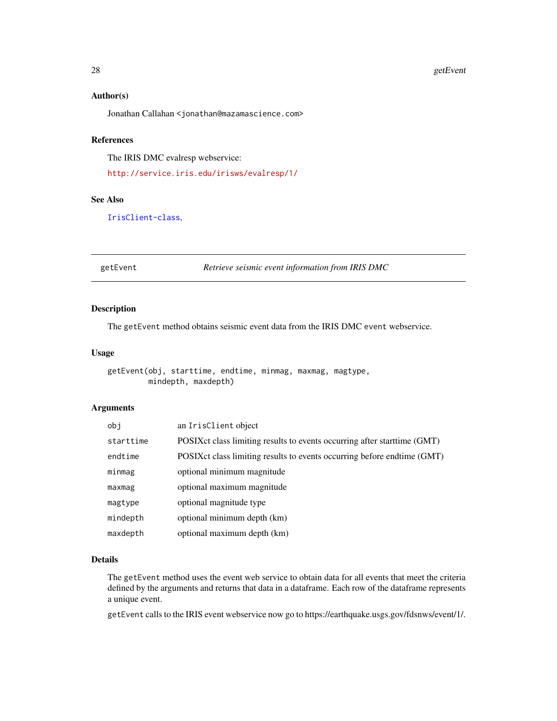#### <span id="page-27-0"></span>28 getEvent

# Author(s)

Jonathan Callahan <jonathan@mazamascience.com>

# References

The IRIS DMC evalresp webservice:

<http://service.iris.edu/irisws/evalresp/1/>

# See Also

[IrisClient-class](#page-44-1),

getEvent *Retrieve seismic event information from IRIS DMC*

# Description

The getEvent method obtains seismic event data from the IRIS DMC event webservice.

# Usage

```
getEvent(obj, starttime, endtime, minmag, maxmag, magtype,
        mindepth, maxdepth)
```
#### Arguments

| obi       | an IrisClient object                                                       |
|-----------|----------------------------------------------------------------------------|
| starttime | POSIX ct class limiting results to events occurring after start time (GMT) |
| endtime   | POSIX ct class limiting results to events occurring before endtime (GMT)   |
| minmag    | optional minimum magnitude                                                 |
| maxmag    | optional maximum magnitude                                                 |
| magtype   | optional magnitude type                                                    |
| mindepth  | optional minimum depth (km)                                                |
| maxdepth  | optional maximum depth (km)                                                |

#### Details

The getEvent method uses the event web service to obtain data for all events that meet the criteria defined by the arguments and returns that data in a dataframe. Each row of the dataframe represents a unique event.

getEvent calls to the IRIS event webservice now go to https://earthquake.usgs.gov/fdsnws/event/1/.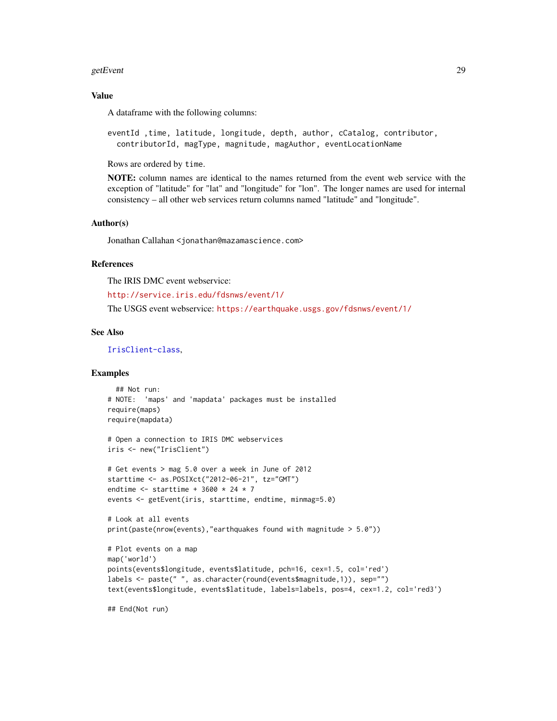#### getEvent 29

# Value

A dataframe with the following columns:

eventId ,time, latitude, longitude, depth, author, cCatalog, contributor, contributorId, magType, magnitude, magAuthor, eventLocationName

Rows are ordered by time.

NOTE: column names are identical to the names returned from the event web service with the exception of "latitude" for "lat" and "longitude" for "lon". The longer names are used for internal consistency – all other web services return columns named "latitude" and "longitude".

#### Author(s)

Jonathan Callahan <jonathan@mazamascience.com>

# References

The IRIS DMC event webservice:

<http://service.iris.edu/fdsnws/event/1/>

The USGS event webservice: <https://earthquake.usgs.gov/fdsnws/event/1/>

# See Also

[IrisClient-class](#page-44-1),

#### Examples

```
## Not run:
# NOTE: 'maps' and 'mapdata' packages must be installed
require(maps)
require(mapdata)
```

```
# Open a connection to IRIS DMC webservices
iris <- new("IrisClient")
```

```
# Get events > mag 5.0 over a week in June of 2012
starttime <- as.POSIXct("2012-06-21", tz="GMT")
endtime \le starttime + 3600 \star 24 \star 7
events <- getEvent(iris, starttime, endtime, minmag=5.0)
```

```
# Look at all events
print(paste(nrow(events),"earthquakes found with magnitude > 5.0"))
```

```
# Plot events on a map
map('world')
points(events$longitude, events$latitude, pch=16, cex=1.5, col='red')
labels <- paste(" ", as.character(round(events$magnitude,1)), sep="")
text(events$longitude, events$latitude, labels=labels, pos=4, cex=1.2, col='red3')
```
## End(Not run)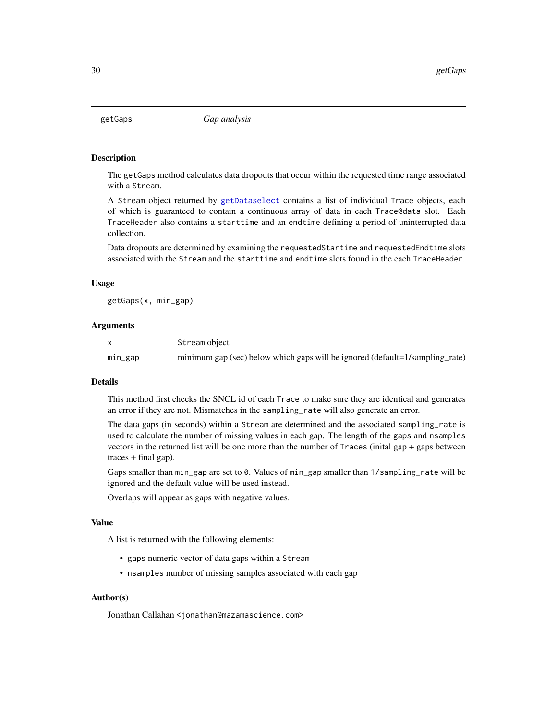<span id="page-29-0"></span>

#### Description

The getGaps method calculates data dropouts that occur within the requested time range associated with a Stream.

A Stream object returned by [getDataselect](#page-22-1) contains a list of individual Trace objects, each of which is guaranteed to contain a continuous array of data in each Trace@data slot. Each TraceHeader also contains a starttime and an endtime defining a period of uninterrupted data collection.

Data dropouts are determined by examining the requestedStartime and requestedEndtime slots associated with the Stream and the starttime and endtime slots found in the each TraceHeader.

#### Usage

getGaps(x, min\_gap)

#### Arguments

|         | Stream object                                                                |
|---------|------------------------------------------------------------------------------|
| min_gap | minimum gap (sec) below which gaps will be ignored (default=1/sampling_rate) |

#### Details

This method first checks the SNCL id of each Trace to make sure they are identical and generates an error if they are not. Mismatches in the sampling\_rate will also generate an error.

The data gaps (in seconds) within a Stream are determined and the associated sampling\_rate is used to calculate the number of missing values in each gap. The length of the gaps and nsamples vectors in the returned list will be one more than the number of Traces (inital gap + gaps between  $traces + final gap$ ).

Gaps smaller than min\_gap are set to 0. Values of min\_gap smaller than 1/sampling\_rate will be ignored and the default value will be used instead.

Overlaps will appear as gaps with negative values.

#### Value

A list is returned with the following elements:

- gaps numeric vector of data gaps within a Stream
- nsamples number of missing samples associated with each gap

#### Author(s)

Jonathan Callahan <jonathan@mazamascience.com>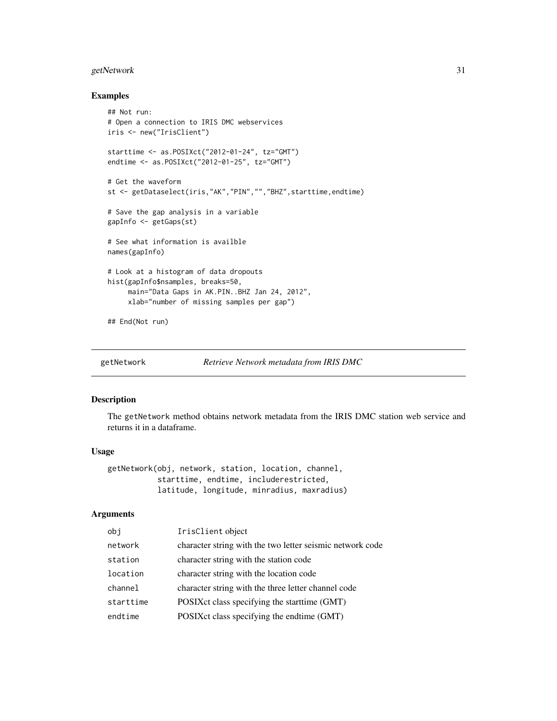# <span id="page-30-0"></span>getNetwork 31

#### Examples

```
## Not run:
# Open a connection to IRIS DMC webservices
iris <- new("IrisClient")
starttime <- as.POSIXct("2012-01-24", tz="GMT")
endtime <- as.POSIXct("2012-01-25", tz="GMT")
# Get the waveform
st <- getDataselect(iris,"AK","PIN","","BHZ",starttime,endtime)
# Save the gap analysis in a variable
gapInfo <- getGaps(st)
# See what information is availble
names(gapInfo)
# Look at a histogram of data dropouts
hist(gapInfo$nsamples, breaks=50,
     main="Data Gaps in AK.PIN..BHZ Jan 24, 2012",
     xlab="number of missing samples per gap")
## End(Not run)
```
getNetwork *Retrieve Network metadata from IRIS DMC*

#### Description

The getNetwork method obtains network metadata from the IRIS DMC station web service and returns it in a dataframe.

# Usage

getNetwork(obj, network, station, location, channel, starttime, endtime, includerestricted, latitude, longitude, minradius, maxradius)

#### Arguments

| obj       | IrisClient object                                         |
|-----------|-----------------------------------------------------------|
| network   | character string with the two letter seismic network code |
| station   | character string with the station code                    |
| location  | character string with the location code                   |
| channel   | character string with the three letter channel code       |
| starttime | POSIX ct class specifying the start time (GMT)            |
| endtime   | POSIX ct class specifying the endtime (GMT)               |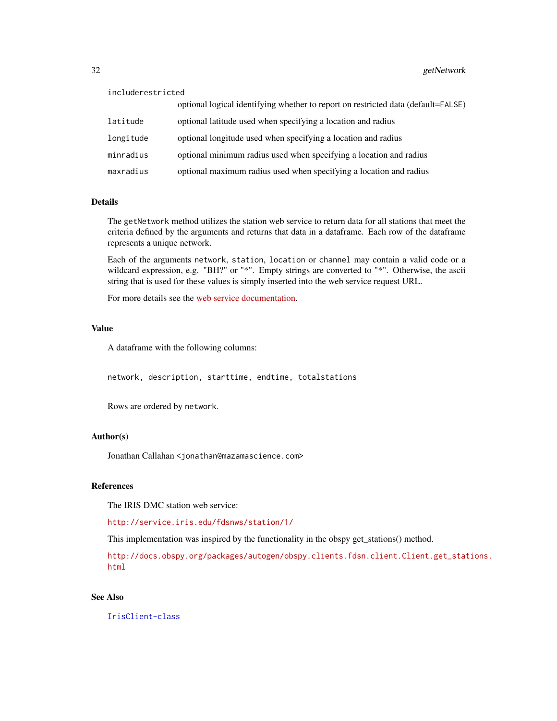| includerestricted |                                                                                   |
|-------------------|-----------------------------------------------------------------------------------|
|                   | optional logical identifying whether to report on restricted data (default=FALSE) |
| latitude          | optional latitude used when specifying a location and radius                      |
| longitude         | optional longitude used when specifying a location and radius                     |
| minradius         | optional minimum radius used when specifying a location and radius                |
| maxradius         | optional maximum radius used when specifying a location and radius                |

#### Details

The getNetwork method utilizes the station web service to return data for all stations that meet the criteria defined by the arguments and returns that data in a dataframe. Each row of the dataframe represents a unique network.

Each of the arguments network, station, location or channel may contain a valid code or a wildcard expression, e.g. "BH?" or "\*". Empty strings are converted to "\*". Otherwise, the ascii string that is used for these values is simply inserted into the web service request URL.

For more details see the [web service documentation.](http://service.iris.edu/fdsnws/station/1/)

#### Value

A dataframe with the following columns:

network, description, starttime, endtime, totalstations

Rows are ordered by network.

### Author(s)

Jonathan Callahan <jonathan@mazamascience.com>

# References

The IRIS DMC station web service:

<http://service.iris.edu/fdsnws/station/1/>

This implementation was inspired by the functionality in the obspy get\_stations() method.

[http://docs.obspy.org/packages/autogen/obspy.clients.fdsn.client.Client.get\\_stat](http://docs.obspy.org/packages/autogen/obspy.clients.fdsn.client.Client.get_stations.html)ions. [html](http://docs.obspy.org/packages/autogen/obspy.clients.fdsn.client.Client.get_stations.html)

# See Also

[IrisClient-class](#page-44-1)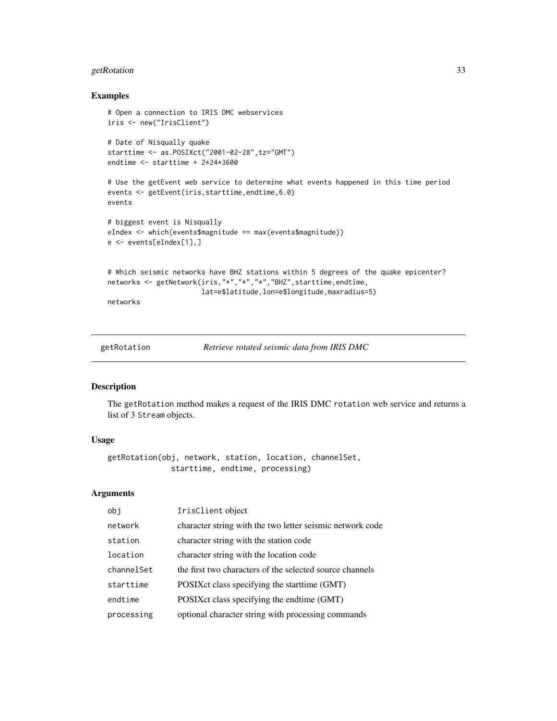# <span id="page-32-0"></span>getRotation 33

#### Examples

```
# Open a connection to IRIS DMC webservices
iris <- new("IrisClient")
# Date of Nisqually quake
starttime <- as.POSIXct("2001-02-28",tz="GMT")
endtime <- starttime + 2*24*3600
# Use the getEvent web service to determine what events happened in this time period
events <- getEvent(iris,starttime,endtime,6.0)
events
# biggest event is Nisqually
eIndex <- which(events$magnitude == max(events$magnitude))
e <- events[eIndex[1],]
# Which seismic networks have BHZ stations within 5 degrees of the quake epicenter?
networks <- getNetwork(iris,"*","*","*","BHZ",starttime,endtime,
                       lat=e$latitude,lon=e$longitude,maxradius=5)
networks
```
getRotation *Retrieve rotated seismic data from IRIS DMC*

#### Description

The getRotation method makes a request of the IRIS DMC rotation web service and returns a list of 3 Stream objects.

# Usage

```
getRotation(obj, network, station, location, channelSet,
              starttime, endtime, processing)
```
# Arguments

| obi        | IrisClient object                                         |
|------------|-----------------------------------------------------------|
| network    | character string with the two letter seismic network code |
| station    | character string with the station code                    |
| location   | character string with the location code                   |
| channelSet | the first two characters of the selected source channels  |
| starttime  | POSIX ct class specifying the start time (GMT)            |
| endtime    | POSIXct class specifying the endtime (GMT)                |
| processing | optional character string with processing commands        |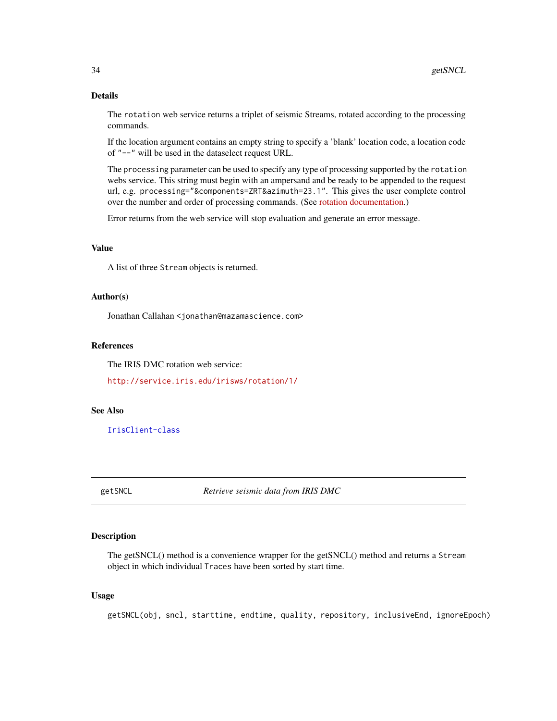# <span id="page-33-0"></span>Details

The rotation web service returns a triplet of seismic Streams, rotated according to the processing commands.

If the location argument contains an empty string to specify a 'blank' location code, a location code of "--" will be used in the dataselect request URL.

The processing parameter can be used to specify any type of processing supported by the rotation webs service. This string must begin with an ampersand and be ready to be appended to the request url, e.g. processing="&components=ZRT&azimuth=23.1". This gives the user complete control over the number and order of processing commands. (See [rotation documentation.](http://service.iris.edu/irisws/rotation/1/))

Error returns from the web service will stop evaluation and generate an error message.

#### Value

A list of three Stream objects is returned.

#### Author(s)

Jonathan Callahan <jonathan@mazamascience.com>

#### References

The IRIS DMC rotation web service:

<http://service.iris.edu/irisws/rotation/1/>

# See Also

[IrisClient-class](#page-44-1)

<span id="page-33-1"></span>getSNCL *Retrieve seismic data from IRIS DMC*

#### Description

The getSNCL() method is a convenience wrapper for the getSNCL() method and returns a Stream object in which individual Traces have been sorted by start time.

#### Usage

getSNCL(obj, sncl, starttime, endtime, quality, repository, inclusiveEnd, ignoreEpoch)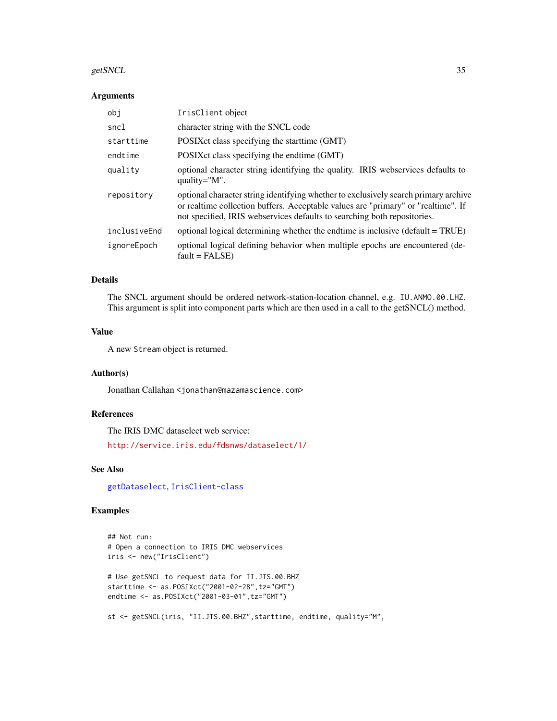#### getSNCL 35

# Arguments

| obj          | IrisClient object                                                                                                                                                                                                                                    |
|--------------|------------------------------------------------------------------------------------------------------------------------------------------------------------------------------------------------------------------------------------------------------|
| sncl         | character string with the SNCL code                                                                                                                                                                                                                  |
| starttime    | POSIX ct class specifying the start time (GMT)                                                                                                                                                                                                       |
| endtime      | POSIX ct class specifying the endtime (GMT)                                                                                                                                                                                                          |
| quality      | optional character string identifying the quality. IRIS webservices defaults to<br>quality= $"M"$ .                                                                                                                                                  |
| repository   | optional character string identifying whether to exclusively search primary archive<br>or realtime collection buffers. Acceptable values are "primary" or "realtime". If<br>not specified, IRIS webservices defaults to searching both repositories. |
| inclusiveEnd | optional logical determining whether the endtime is inclusive (default = TRUE)                                                                                                                                                                       |
| ignoreEpoch  | optional logical defining behavior when multiple epochs are encountered (de-<br>$fault = FALSE)$                                                                                                                                                     |

# Details

The SNCL argument should be ordered network-station-location channel, e.g. IU.ANMO.00.LHZ. This argument is split into component parts which are then used in a call to the getSNCL() method.

# Value

A new Stream object is returned.

# Author(s)

Jonathan Callahan <jonathan@mazamascience.com>

# References

The IRIS DMC dataselect web service:

<http://service.iris.edu/fdsnws/dataselect/1/>

# See Also

[getDataselect](#page-22-1), [IrisClient-class](#page-44-1)

# Examples

```
## Not run:
# Open a connection to IRIS DMC webservices
iris <- new("IrisClient")
# Use getSNCL to request data for II.JTS.00.BHZ
starttime <- as.POSIXct("2001-02-28",tz="GMT")
endtime <- as.POSIXct("2001-03-01",tz="GMT")
st <- getSNCL(iris, "II.JTS.00.BHZ",starttime, endtime, quality="M",
```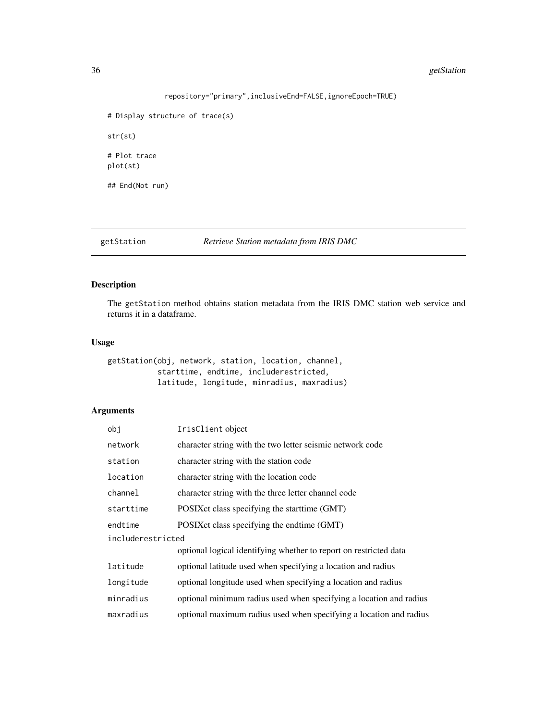# <span id="page-35-0"></span>36 getStation

```
repository="primary",inclusiveEnd=FALSE,ignoreEpoch=TRUE)
```

```
# Display structure of trace(s)
str(st)
# Plot trace
plot(st)
## End(Not run)
```
getStation *Retrieve Station metadata from IRIS DMC*

# Description

The getStation method obtains station metadata from the IRIS DMC station web service and returns it in a dataframe.

### Usage

```
getStation(obj, network, station, location, channel,
           starttime, endtime, includerestricted,
           latitude, longitude, minradius, maxradius)
```
# Arguments

| obj               | IrisClient object                                                  |
|-------------------|--------------------------------------------------------------------|
| network           | character string with the two letter seismic network code          |
| station           | character string with the station code                             |
| location          | character string with the location code                            |
| channel           | character string with the three letter channel code                |
| starttime         | POSIX ct class specifying the start time (GMT)                     |
| endtime           | POSIX ct class specifying the endtime (GMT)                        |
| includerestricted |                                                                    |
|                   | optional logical identifying whether to report on restricted data  |
| latitude          | optional latitude used when specifying a location and radius       |
| longitude         | optional longitude used when specifying a location and radius      |
| minradius         | optional minimum radius used when specifying a location and radius |
| maxradius         | optional maximum radius used when specifying a location and radius |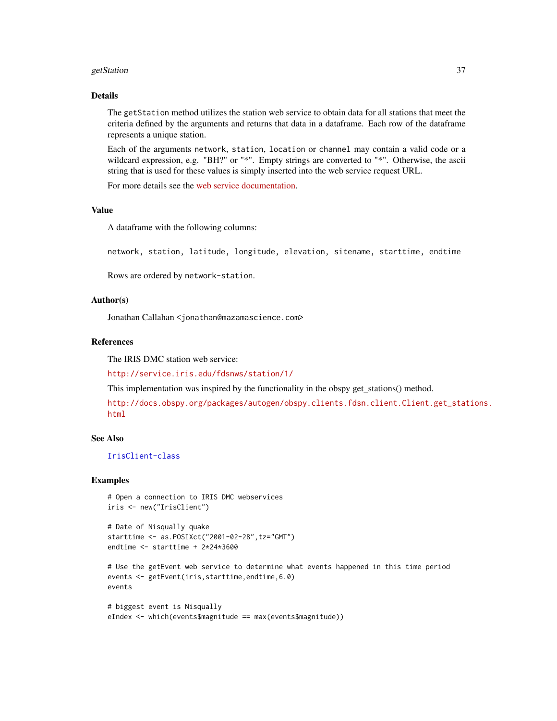#### getStation 37

### Details

The getStation method utilizes the station web service to obtain data for all stations that meet the criteria defined by the arguments and returns that data in a dataframe. Each row of the dataframe represents a unique station.

Each of the arguments network, station, location or channel may contain a valid code or a wildcard expression, e.g. "BH?" or "\*". Empty strings are converted to "\*". Otherwise, the ascii string that is used for these values is simply inserted into the web service request URL.

For more details see the [web service documentation.](http://service.iris.edu/fdsnws/station/1/)

### Value

A dataframe with the following columns:

network, station, latitude, longitude, elevation, sitename, starttime, endtime

Rows are ordered by network-station.

### Author(s)

Jonathan Callahan <jonathan@mazamascience.com>

## References

The IRIS DMC station web service:

<http://service.iris.edu/fdsnws/station/1/>

This implementation was inspired by the functionality in the obspy get\_stations() method.

[http://docs.obspy.org/packages/autogen/obspy.clients.fdsn.client.Client.get\\_stat](http://docs.obspy.org/packages/autogen/obspy.clients.fdsn.client.Client.get_stations.html)ions. [html](http://docs.obspy.org/packages/autogen/obspy.clients.fdsn.client.Client.get_stations.html)

### See Also

[IrisClient-class](#page-44-0)

#### Examples

```
# Open a connection to IRIS DMC webservices
iris <- new("IrisClient")
```

```
# Date of Nisqually quake
starttime <- as.POSIXct("2001-02-28",tz="GMT")
endtime <- starttime + 2*24*3600
```

```
# Use the getEvent web service to determine what events happened in this time period
events <- getEvent(iris,starttime,endtime,6.0)
events
```

```
# biggest event is Nisqually
eIndex <- which(events$magnitude == max(events$magnitude))
```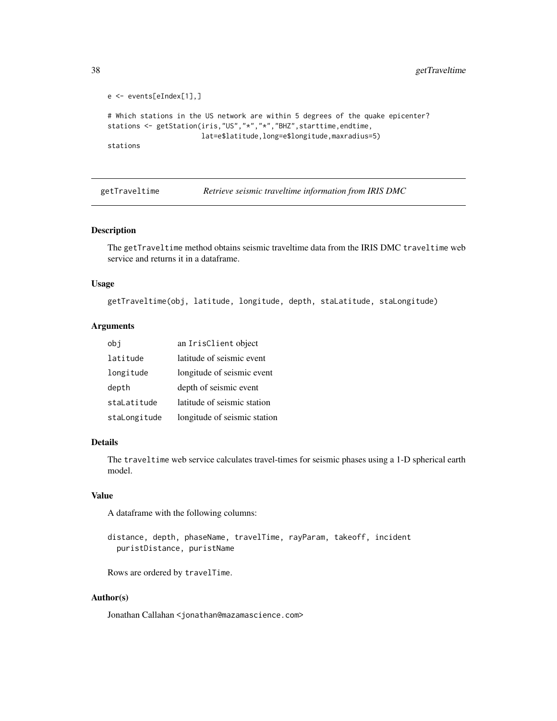```
e <- events[eIndex[1],]
# Which stations in the US network are within 5 degrees of the quake epicenter?
stations <- getStation(iris,"US","*","*","BHZ",starttime,endtime,
                       lat=e$latitude,long=e$longitude,maxradius=5)
stations
```
<span id="page-37-0"></span>getTraveltime *Retrieve seismic traveltime information from IRIS DMC*

#### Description

The getTraveltime method obtains seismic traveltime data from the IRIS DMC traveltime web service and returns it in a dataframe.

#### Usage

getTraveltime(obj, latitude, longitude, depth, staLatitude, staLongitude)

### Arguments

| obi          | an IrisClient object         |
|--------------|------------------------------|
| latitude     | latitude of seismic event    |
| longitude    | longitude of seismic event   |
| depth        | depth of seismic event       |
| staLatitude  | latitude of seismic station  |
| staLongitude | longitude of seismic station |

#### Details

The traveltime web service calculates travel-times for seismic phases using a 1-D spherical earth model.

# Value

A dataframe with the following columns:

distance, depth, phaseName, travelTime, rayParam, takeoff, incident puristDistance, puristName

Rows are ordered by travelTime.

# Author(s)

Jonathan Callahan <jonathan@mazamascience.com>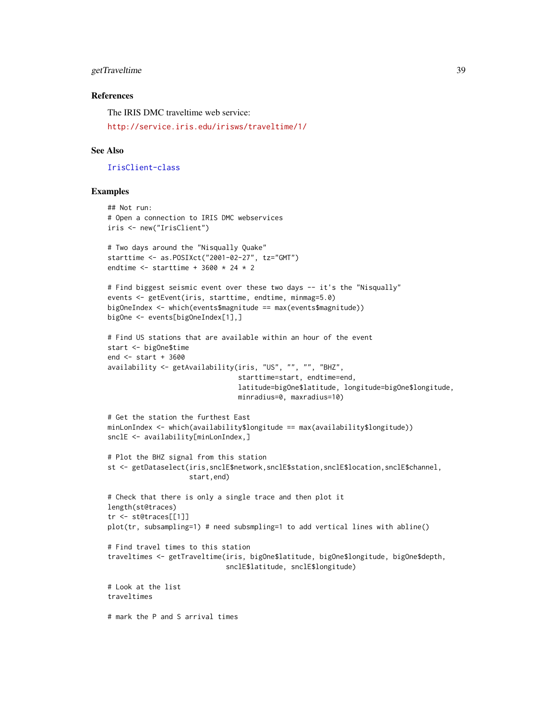# getTraveltime 39

### References

The IRIS DMC traveltime web service:

<http://service.iris.edu/irisws/traveltime/1/>

#### See Also

[IrisClient-class](#page-44-0)

# Examples

```
## Not run:
# Open a connection to IRIS DMC webservices
iris <- new("IrisClient")
# Two days around the "Nisqually Quake"
starttime <- as.POSIXct("2001-02-27", tz="GMT")
endtime <- starttime + 3600 * 24 * 2
# Find biggest seismic event over these two days -- it's the "Nisqually"
events <- getEvent(iris, starttime, endtime, minmag=5.0)
bigOneIndex <- which(events$magnitude == max(events$magnitude))
bigOne <- events[bigOneIndex[1],]
# Find US stations that are available within an hour of the event
start <- bigOne$time
end <- start + 3600
availability <- getAvailability(iris, "US", "", "", "BHZ",
                                starttime=start, endtime=end,
                                latitude=bigOne$latitude, longitude=bigOne$longitude,
                                minradius=0, maxradius=10)
# Get the station the furthest East
minLonIndex <- which(availability$longitude == max(availability$longitude))
snclE <- availability[minLonIndex,]
# Plot the BHZ signal from this station
st <- getDataselect(iris,snclE$network,snclE$station,snclE$location,snclE$channel,
                    start,end)
# Check that there is only a single trace and then plot it
length(st@traces)
tr <- st@traces[[1]]
plot(tr, subsampling=1) # need subsmpling=1 to add vertical lines with abline()
# Find travel times to this station
traveltimes <- getTraveltime(iris, bigOne$latitude, bigOne$longitude, bigOne$depth,
                             snclE$latitude, snclE$longitude)
# Look at the list
traveltimes
# mark the P and S arrival times
```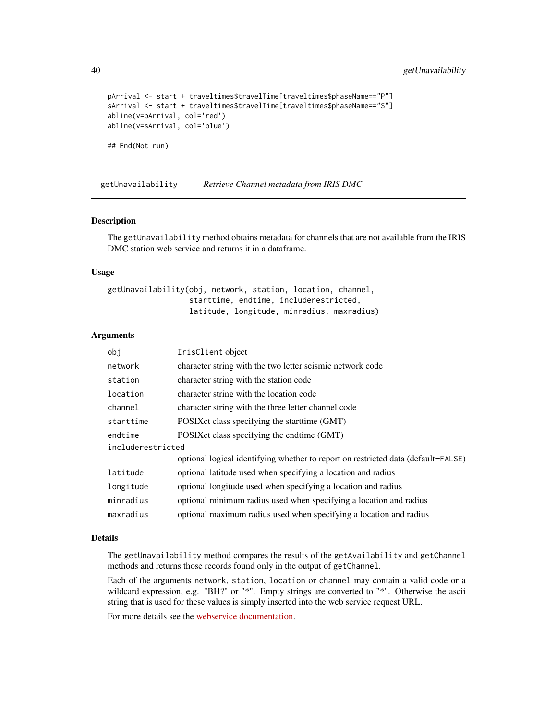```
pArrival <- start + traveltimes$travelTime[traveltimes$phaseName=="P"]
sArrival <- start + traveltimes$travelTime[traveltimes$phaseName=="S"]
abline(v=pArrival, col='red')
abline(v=sArrival, col='blue')
```

```
## End(Not run)
```
<span id="page-39-0"></span>getUnavailability *Retrieve Channel metadata from IRIS DMC*

### Description

The getUnavailability method obtains metadata for channels that are not available from the IRIS DMC station web service and returns it in a dataframe.

#### Usage

```
getUnavailability(obj, network, station, location, channel,
                  starttime, endtime, includerestricted,
                  latitude, longitude, minradius, maxradius)
```
# Arguments

| obi               | IrisClient object                                                                 |  |
|-------------------|-----------------------------------------------------------------------------------|--|
| network           | character string with the two letter seismic network code                         |  |
| station           | character string with the station code                                            |  |
| location          | character string with the location code                                           |  |
| channel           | character string with the three letter channel code                               |  |
| starttime         | POSIX ct class specifying the start time (GMT)                                    |  |
| endtime           | POSIX ct class specifying the endtime (GMT)                                       |  |
| includerestricted |                                                                                   |  |
|                   | optional logical identifying whether to report on restricted data (default=FALSE) |  |
| latitude          | optional latitude used when specifying a location and radius                      |  |
| longitude         | optional longitude used when specifying a location and radius                     |  |
| minradius         | optional minimum radius used when specifying a location and radius                |  |
| maxradius         | optional maximum radius used when specifying a location and radius                |  |

#### Details

The getUnavailability method compares the results of the getAvailability and getChannel methods and returns those records found only in the output of getChannel.

Each of the arguments network, station, location or channel may contain a valid code or a wildcard expression, e.g. "BH?" or "\*". Empty strings are converted to "\*". Otherwise the ascii string that is used for these values is simply inserted into the web service request URL.

For more details see the [webservice documentation.](http://service.iris.edu/fdsnws/station/1/)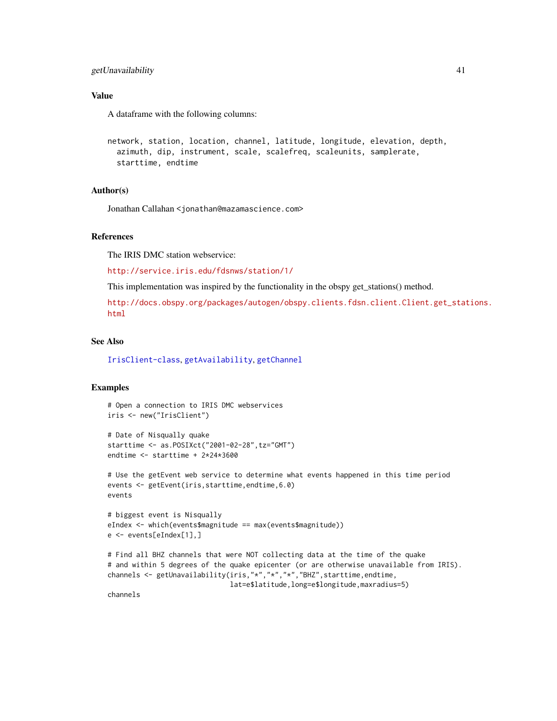# getUnavailability 41

# Value

A dataframe with the following columns:

```
network, station, location, channel, latitude, longitude, elevation, depth,
  azimuth, dip, instrument, scale, scalefreq, scaleunits, samplerate,
  starttime, endtime
```
# Author(s)

Jonathan Callahan <jonathan@mazamascience.com>

# References

The IRIS DMC station webservice:

<http://service.iris.edu/fdsnws/station/1/>

This implementation was inspired by the functionality in the obspy get\_stations() method.

[http://docs.obspy.org/packages/autogen/obspy.clients.fdsn.client.Client.get\\_stat](http://docs.obspy.org/packages/autogen/obspy.clients.fdsn.client.Client.get_stations.html)ions. [html](http://docs.obspy.org/packages/autogen/obspy.clients.fdsn.client.Client.get_stations.html)

#### See Also

[IrisClient-class](#page-44-0), [getAvailability](#page-18-0), [getChannel](#page-20-0)

### Examples

```
# Open a connection to IRIS DMC webservices
iris <- new("IrisClient")
```

```
# Date of Nisqually quake
starttime <- as.POSIXct("2001-02-28",tz="GMT")
endtime <- starttime + 2*24*3600
```

```
# Use the getEvent web service to determine what events happened in this time period
events <- getEvent(iris,starttime,endtime,6.0)
events
```

```
# biggest event is Nisqually
eIndex <- which(events$magnitude == max(events$magnitude))
e <- events[eIndex[1],]
```

```
# Find all BHZ channels that were NOT collecting data at the time of the quake
# and within 5 degrees of the quake epicenter (or are otherwise unavailable from IRIS).
channels <- getUnavailability(iris,"*","*","*","BHZ",starttime,endtime,
                             lat=e$latitude,long=e$longitude,maxradius=5)
```
channels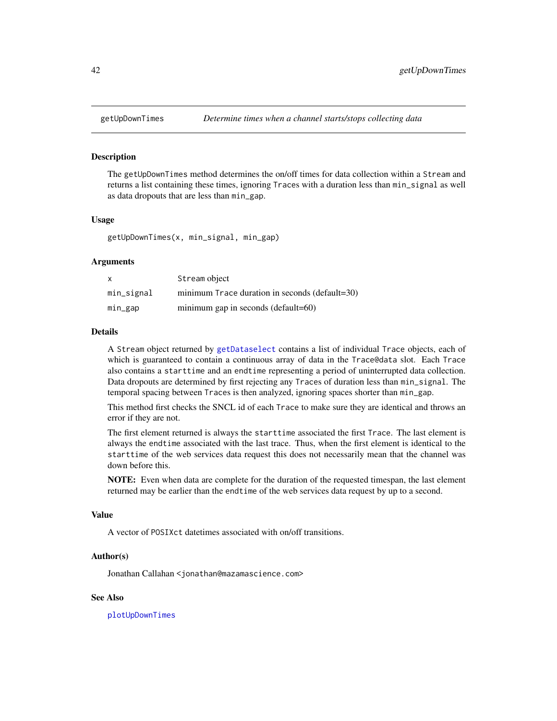<span id="page-41-0"></span>

#### Description

The getUpDownTimes method determines the on/off times for data collection within a Stream and returns a list containing these times, ignoring Traces with a duration less than min\_signal as well as data dropouts that are less than min\_gap.

### Usage

getUpDownTimes(x, min\_signal, min\_gap)

#### Arguments

|            | Stream object                                  |
|------------|------------------------------------------------|
| min_signal | minimum Trace duration in seconds (default=30) |
| min_gap    | minimum gap in seconds (default=60)            |

### Details

A Stream object returned by [getDataselect](#page-22-0) contains a list of individual Trace objects, each of which is guaranteed to contain a continuous array of data in the Trace@data slot. Each Trace also contains a starttime and an endtime representing a period of uninterrupted data collection. Data dropouts are determined by first rejecting any Traces of duration less than min\_signal. The temporal spacing between Traces is then analyzed, ignoring spaces shorter than min\_gap.

This method first checks the SNCL id of each Trace to make sure they are identical and throws an error if they are not.

The first element returned is always the starttime associated the first Trace. The last element is always the endtime associated with the last trace. Thus, when the first element is identical to the starttime of the web services data request this does not necessarily mean that the channel was down before this.

NOTE: Even when data are complete for the duration of the requested timespan, the last element returned may be earlier than the endtime of the web services data request by up to a second.

# Value

A vector of POSIXct datetimes associated with on/off transitions.

#### Author(s)

Jonathan Callahan <jonathan@mazamascience.com>

### See Also

[plotUpDownTimes](#page-72-0)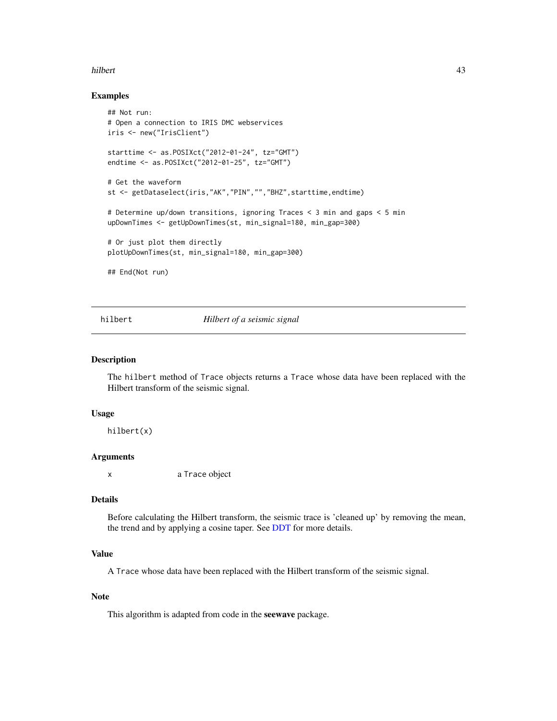#### hilbert **43**

#### Examples

```
## Not run:
# Open a connection to IRIS DMC webservices
iris <- new("IrisClient")
starttime <- as.POSIXct("2012-01-24", tz="GMT")
endtime <- as.POSIXct("2012-01-25", tz="GMT")
# Get the waveform
st <- getDataselect(iris,"AK","PIN","","BHZ",starttime,endtime)
# Determine up/down transitions, ignoring Traces < 3 min and gaps < 5 min
upDownTimes <- getUpDownTimes(st, min_signal=180, min_gap=300)
# Or just plot them directly
plotUpDownTimes(st, min_signal=180, min_gap=300)
## End(Not run)
```
### hilbert *Hilbert of a seismic signal*

### Description

The hilbert method of Trace objects returns a Trace whose data have been replaced with the Hilbert transform of the seismic signal.

#### Usage

hilbert(x)

### Arguments

x a Trace object

#### Details

Before calculating the Hilbert transform, the seismic trace is 'cleaned up' by removing the mean, the trend and by applying a cosine taper. See [DDT](#page-14-0) for more details.

### Value

A Trace whose data have been replaced with the Hilbert transform of the seismic signal.

### Note

This algorithm is adapted from code in the seewave package.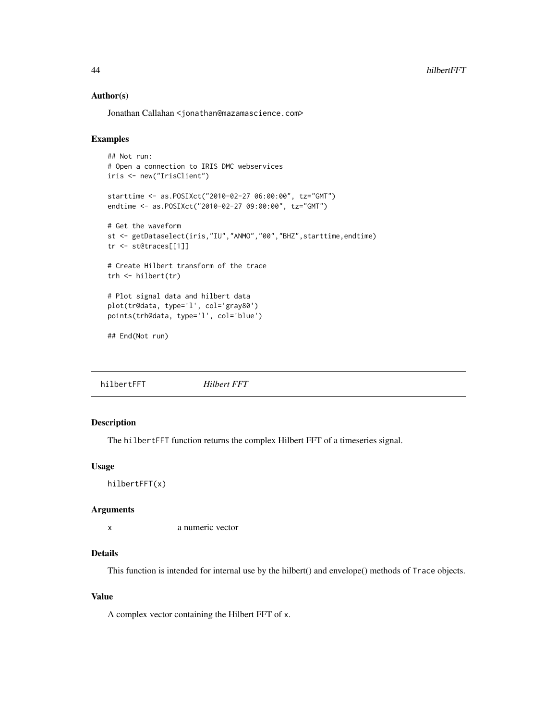### Author(s)

Jonathan Callahan <jonathan@mazamascience.com>

### Examples

```
## Not run:
# Open a connection to IRIS DMC webservices
iris <- new("IrisClient")
starttime <- as.POSIXct("2010-02-27 06:00:00", tz="GMT")
endtime <- as.POSIXct("2010-02-27 09:00:00", tz="GMT")
# Get the waveform
st <- getDataselect(iris,"IU","ANMO","00","BHZ",starttime,endtime)
tr <- st@traces[[1]]
# Create Hilbert transform of the trace
trh <- hilbert(tr)
# Plot signal data and hilbert data
plot(tr@data, type='l', col='gray80')
points(trh@data, type='l', col='blue')
## End(Not run)
```
hilbertFFT *Hilbert FFT*

# Description

The hilbertFFT function returns the complex Hilbert FFT of a timeseries signal.

### Usage

hilbertFFT(x)

### Arguments

x a numeric vector

# Details

This function is intended for internal use by the hilbert() and envelope() methods of Trace objects.

# Value

A complex vector containing the Hilbert FFT of x.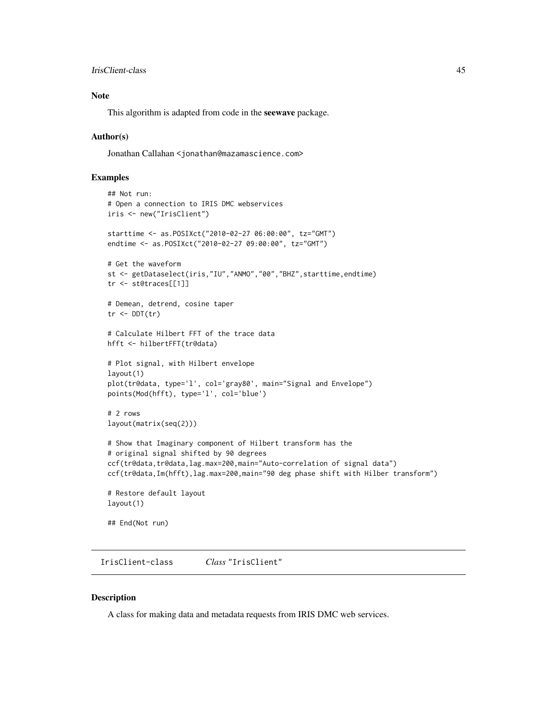```
IrisClient-class 45
```
# Note

This algorithm is adapted from code in the seewave package.

### Author(s)

Jonathan Callahan <jonathan@mazamascience.com>

# Examples

```
## Not run:
# Open a connection to IRIS DMC webservices
iris <- new("IrisClient")
starttime <- as.POSIXct("2010-02-27 06:00:00", tz="GMT")
endtime <- as.POSIXct("2010-02-27 09:00:00", tz="GMT")
# Get the waveform
st <- getDataselect(iris,"IU","ANMO","00","BHZ",starttime,endtime)
tr <- st@traces[[1]]
# Demean, detrend, cosine taper
tr < DDT(tr)# Calculate Hilbert FFT of the trace data
hfft <- hilbertFFT(tr@data)
# Plot signal, with Hilbert envelope
layout(1)
plot(tr@data, type='l', col='gray80', main="Signal and Envelope")
points(Mod(hfft), type='l', col='blue')
# 2 rows
layout(matrix(seq(2)))
# Show that Imaginary component of Hilbert transform has the
# original signal shifted by 90 degrees
ccf(tr@data,tr@data,lag.max=200,main="Auto-correlation of signal data")
ccf(tr@data,Im(hfft),lag.max=200,main="90 deg phase shift with Hilber transform")
# Restore default layout
layout(1)
## End(Not run)
```
<span id="page-44-0"></span>IrisClient-class *Class* "IrisClient"

### Description

A class for making data and metadata requests from IRIS DMC web services.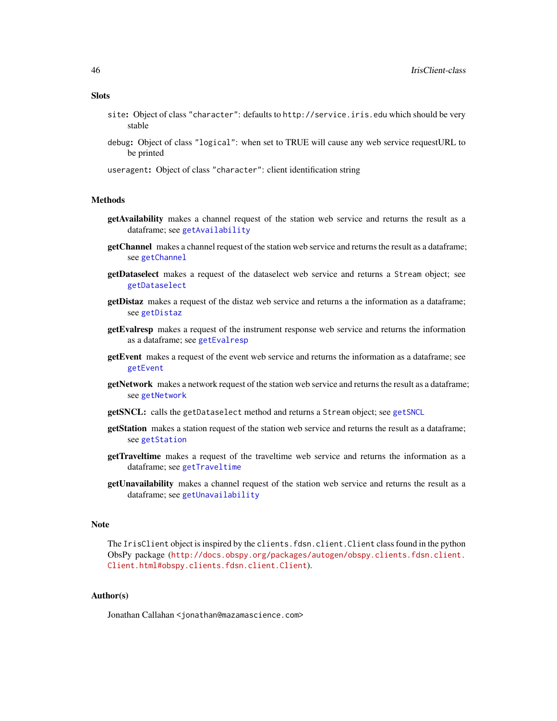- **Slots** 
	- site: Object of class "character": defaults to http://service.iris.edu which should be very stable
	- debug: Object of class "logical": when set to TRUE will cause any web service requestURL to be printed
	- useragent: Object of class "character": client identification string

### **Methods**

- getAvailability makes a channel request of the station web service and returns the result as a dataframe; see [getAvailability](#page-18-0)
- getChannel makes a channel request of the station web service and returns the result as a dataframe; see [getChannel](#page-20-0)
- getDataselect makes a request of the dataselect web service and returns a Stream object; see [getDataselect](#page-22-0)
- getDistaz makes a request of the distaz web service and returns a the information as a dataframe; see [getDistaz](#page-24-0)
- getEvalresp makes a request of the instrument response web service and returns the information as a dataframe; see [getEvalresp](#page-26-0)
- getEvent makes a request of the event web service and returns the information as a dataframe; see [getEvent](#page-27-0)
- getNetwork makes a network request of the station web service and returns the result as a dataframe; see [getNetwork](#page-30-0)
- getSNCL: calls the getDataselect method and returns a Stream object; see [getSNCL](#page-33-0)
- getStation makes a station request of the station web service and returns the result as a dataframe; see [getStation](#page-35-0)
- getTraveltime makes a request of the traveltime web service and returns the information as a dataframe; see [getTraveltime](#page-37-0)
- getUnavailability makes a channel request of the station web service and returns the result as a dataframe; see [getUnavailability](#page-39-0)

### Note

The IrisClient object is inspired by the clients.fdsn.client.Client class found in the python ObsPy package ([http://docs.obspy.org/packages/autogen/obspy.clients.fdsn.client.](http://docs.obspy.org/packages/autogen/obspy.clients.fdsn.client.Client.html#obspy.clients.fdsn.client.Client) [Client.html#obspy.clients.fdsn.client.Client](http://docs.obspy.org/packages/autogen/obspy.clients.fdsn.client.Client.html#obspy.clients.fdsn.client.Client)).

### Author(s)

Jonathan Callahan <jonathan@mazamascience.com>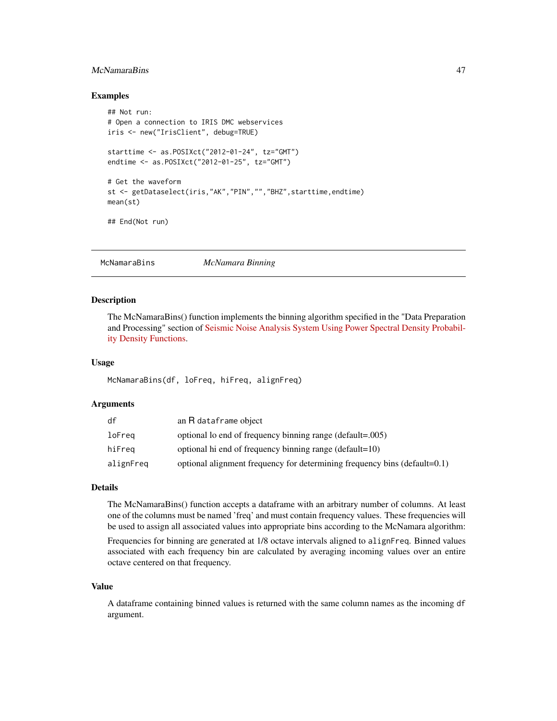# McNamaraBins 47

### Examples

```
## Not run:
# Open a connection to IRIS DMC webservices
iris <- new("IrisClient", debug=TRUE)
starttime <- as.POSIXct("2012-01-24", tz="GMT")
endtime <- as.POSIXct("2012-01-25", tz="GMT")
# Get the waveform
st <- getDataselect(iris,"AK","PIN","","BHZ",starttime,endtime)
mean(st)
## End(Not run)
```
<span id="page-46-0"></span>McNamaraBins *McNamara Binning*

### Description

The McNamaraBins() function implements the binning algorithm specified in the "Data Preparation and Processing" section of [Seismic Noise Analysis System Using Power Spectral Density Probabil](http://pubs.usgs.gov/of/2005/1438/pdf/OFR-1438.pdf)[ity Density Functions.](http://pubs.usgs.gov/of/2005/1438/pdf/OFR-1438.pdf)

### Usage

McNamaraBins(df, loFreq, hiFreq, alignFreq)

# Arguments

| df        | an R dataframe object                                                     |
|-----------|---------------------------------------------------------------------------|
| loFreg    | optional lo end of frequency binning range (default=.005)                 |
| hiFreq    | optional hi end of frequency binning range (default=10)                   |
| alignFreq | optional alignment frequency for determining frequency bins (default=0.1) |

# Details

The McNamaraBins() function accepts a dataframe with an arbitrary number of columns. At least one of the columns must be named 'freq' and must contain frequency values. These frequencies will be used to assign all associated values into appropriate bins according to the McNamara algorithm:

Frequencies for binning are generated at 1/8 octave intervals aligned to alignFreq. Binned values associated with each frequency bin are calculated by averaging incoming values over an entire octave centered on that frequency.

### Value

A dataframe containing binned values is returned with the same column names as the incoming df argument.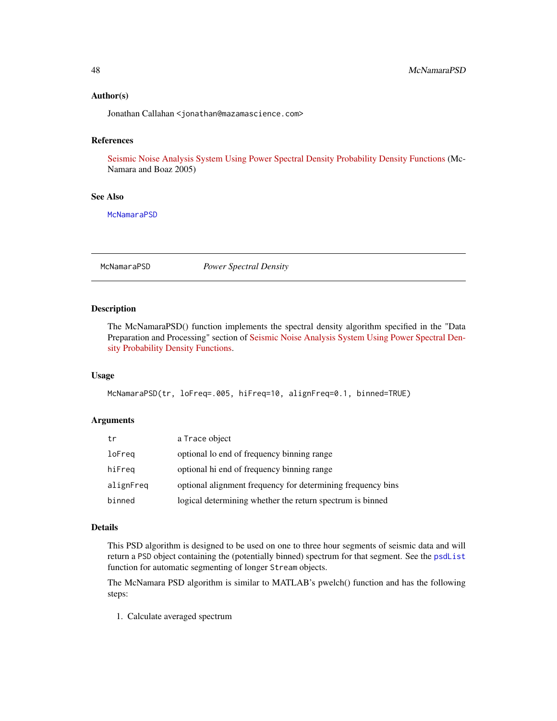### Author(s)

Jonathan Callahan <jonathan@mazamascience.com>

# References

[Seismic Noise Analysis System Using Power Spectral Density Probability Density Functions](http://pubs.usgs.gov/of/2005/1438/pdf/OFR-1438.pdf) (Mc-Namara and Boaz 2005)

### See Also

**[McNamaraPSD](#page-47-0)** 

<span id="page-47-0"></span>McNamaraPSD *Power Spectral Density*

### Description

The McNamaraPSD() function implements the spectral density algorithm specified in the "Data Preparation and Processing" section of [Seismic Noise Analysis System Using Power Spectral Den](http://pubs.usgs.gov/of/2005/1438/pdf/OFR-1438.pdf)[sity Probability Density Functions.](http://pubs.usgs.gov/of/2005/1438/pdf/OFR-1438.pdf)

### Usage

McNamaraPSD(tr, loFreq=.005, hiFreq=10, alignFreq=0.1, binned=TRUE)

### Arguments

| tr        | a Trace object                                              |
|-----------|-------------------------------------------------------------|
| loFreq    | optional lo end of frequency binning range                  |
| hiFreq    | optional hi end of frequency binning range                  |
| alignFreq | optional alignment frequency for determining frequency bins |
| binned    | logical determining whether the return spectrum is binned   |

### Details

This PSD algorithm is designed to be used on one to three hour segments of seismic data and will return a PSD object containing the (potentially binned) spectrum for that segment. See the [psdList](#page-57-0) function for automatic segmenting of longer Stream objects.

The McNamara PSD algorithm is similar to MATLAB's pwelch() function and has the following steps:

1. Calculate averaged spectrum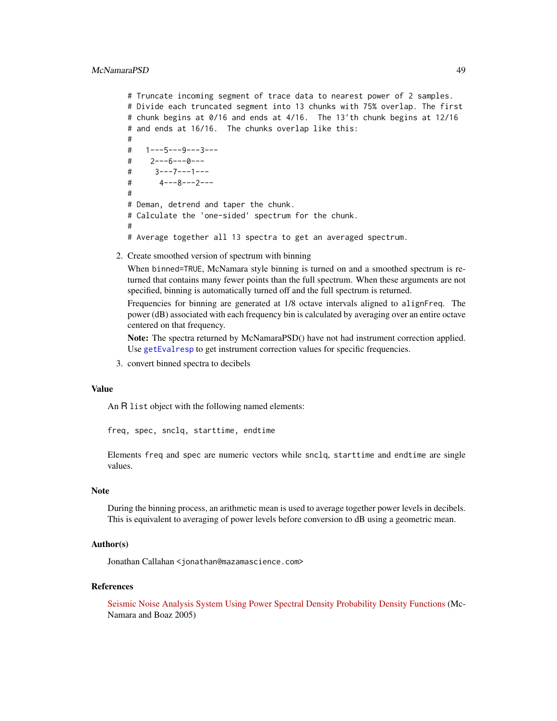```
# Truncate incoming segment of trace data to nearest power of 2 samples.
# Divide each truncated segment into 13 chunks with 75% overlap. The first
# chunk begins at 0/16 and ends at 4/16. The 13'th chunk begins at 12/16
# and ends at 16/16. The chunks overlap like this:
#
# 1---5---9---3---
# 2---6---0---
# 3---7---1---
# 4---8---2---
#
# Deman, detrend and taper the chunk.
# Calculate the 'one-sided' spectrum for the chunk.
#
# Average together all 13 spectra to get an averaged spectrum.
```
2. Create smoothed version of spectrum with binning

When binned=TRUE, McNamara style binning is turned on and a smoothed spectrum is returned that contains many fewer points than the full spectrum. When these arguments are not specified, binning is automatically turned off and the full spectrum is returned.

Frequencies for binning are generated at 1/8 octave intervals aligned to alignFreq. The power (dB) associated with each frequency bin is calculated by averaging over an entire octave centered on that frequency.

Note: The spectra returned by McNamaraPSD() have not had instrument correction applied. Use [getEvalresp](#page-26-0) to get instrument correction values for specific frequencies.

3. convert binned spectra to decibels

#### Value

An R list object with the following named elements:

freq, spec, snclq, starttime, endtime

Elements freq and spec are numeric vectors while snclq, starttime and endtime are single values.

### **Note**

During the binning process, an arithmetic mean is used to average together power levels in decibels. This is equivalent to averaging of power levels before conversion to dB using a geometric mean.

# Author(s)

Jonathan Callahan <jonathan@mazamascience.com>

### References

[Seismic Noise Analysis System Using Power Spectral Density Probability Density Functions](http://pubs.usgs.gov/of/2005/1438/pdf/OFR-1438.pdf) (Mc-Namara and Boaz 2005)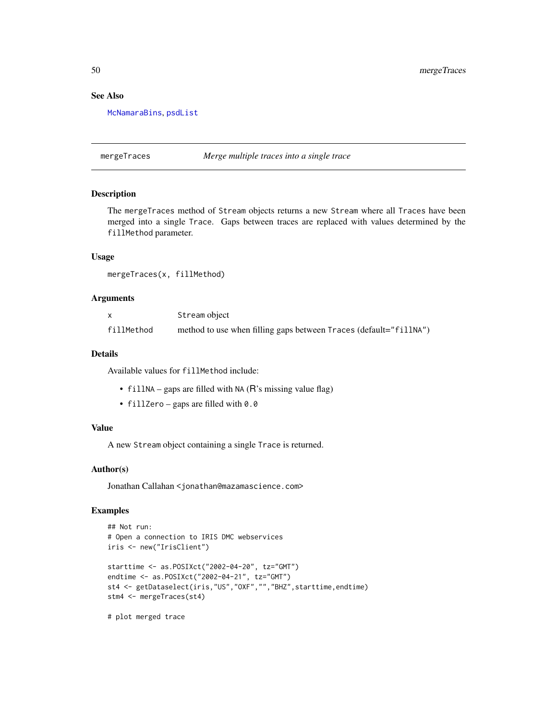# See Also

[McNamaraBins](#page-46-0), [psdList](#page-57-0)

mergeTraces *Merge multiple traces into a single trace*

### Description

The mergeTraces method of Stream objects returns a new Stream where all Traces have been merged into a single Trace. Gaps between traces are replaced with values determined by the fillMethod parameter.

### Usage

mergeTraces(x, fillMethod)

### Arguments

|            | Stream object                                                     |
|------------|-------------------------------------------------------------------|
| fillMethod | method to use when filling gaps between Traces (default="fillNA") |

### Details

Available values for fillMethod include:

- fillNA gaps are filled with NA ( $\overline{R}$ 's missing value flag)
- fillZero gaps are filled with 0.0

#### Value

A new Stream object containing a single Trace is returned.

#### Author(s)

Jonathan Callahan <jonathan@mazamascience.com>

# Examples

```
## Not run:
# Open a connection to IRIS DMC webservices
iris <- new("IrisClient")
starttime <- as.POSIXct("2002-04-20", tz="GMT")
endtime <- as.POSIXct("2002-04-21", tz="GMT")
st4 <- getDataselect(iris,"US","OXF","","BHZ",starttime,endtime)
stm4 <- mergeTraces(st4)
```
# plot merged trace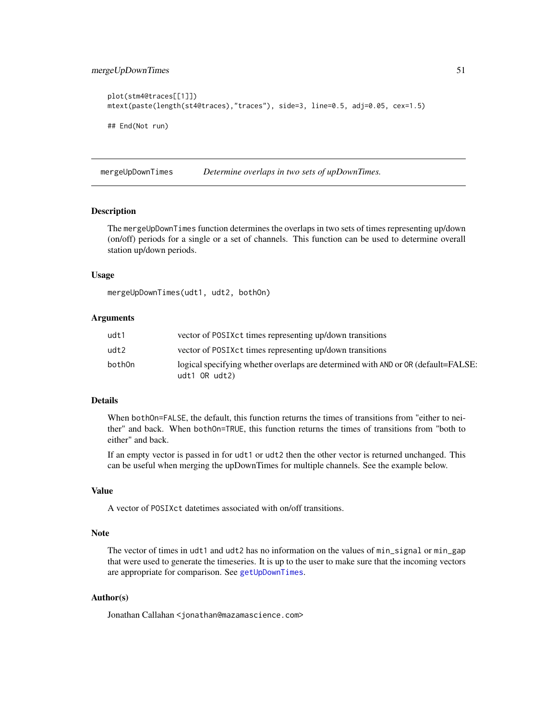# mergeUpDownTimes 51

```
plot(stm4@traces[[1]])
mtext(paste(length(st4@traces),"traces"), side=3, line=0.5, adj=0.05, cex=1.5)
## End(Not run)
```
mergeUpDownTimes *Determine overlaps in two sets of upDownTimes.*

### Description

The mergeUpDownTimes function determines the overlaps in two sets of times representing up/down (on/off) periods for a single or a set of channels. This function can be used to determine overall station up/down periods.

### Usage

mergeUpDownTimes(udt1, udt2, bothOn)

### Arguments

| udt1   | vector of POSIX ct times representing up/down transitions                                              |
|--------|--------------------------------------------------------------------------------------------------------|
| udt2   | vector of POSIX ct times representing up/down transitions                                              |
| both0n | logical specifying whether overlaps are determined with AND or OR (default=FALSE:<br>$udt1$ OR $udt2)$ |

# Details

When bothOn=FALSE, the default, this function returns the times of transitions from "either to neither" and back. When bothOn=TRUE, this function returns the times of transitions from "both to either" and back.

If an empty vector is passed in for udt1 or udt2 then the other vector is returned unchanged. This can be useful when merging the upDownTimes for multiple channels. See the example below.

### Value

A vector of POSIXct datetimes associated with on/off transitions.

#### Note

The vector of times in udt1 and udt2 has no information on the values of min\_signal or min\_gap that were used to generate the timeseries. It is up to the user to make sure that the incoming vectors are appropriate for comparison. See [getUpDownTimes](#page-41-0).

### Author(s)

Jonathan Callahan <jonathan@mazamascience.com>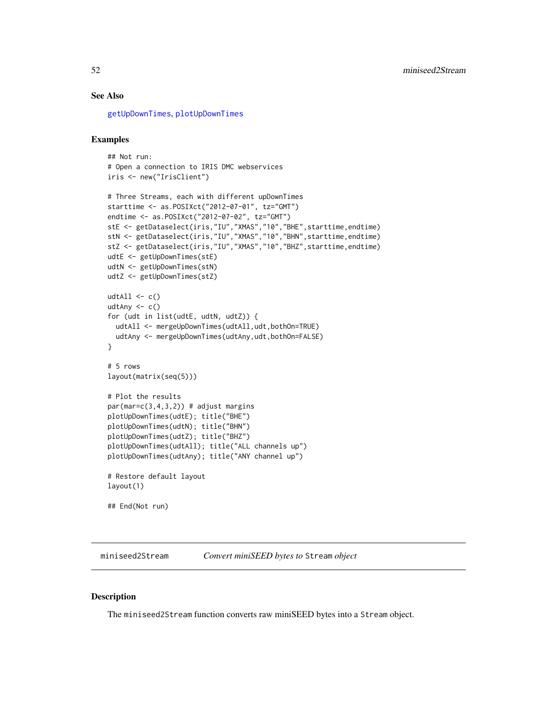# See Also

[getUpDownTimes](#page-41-0), [plotUpDownTimes](#page-72-0)

# Examples

```
## Not run:
# Open a connection to IRIS DMC webservices
iris <- new("IrisClient")
# Three Streams, each with different upDownTimes
starttime <- as.POSIXct("2012-07-01", tz="GMT")
endtime <- as.POSIXct("2012-07-02", tz="GMT")
stE <- getDataselect(iris,"IU","XMAS","10","BHE",starttime,endtime)
stN <- getDataselect(iris,"IU","XMAS","10","BHN",starttime,endtime)
stZ <- getDataselect(iris,"IU","XMAS","10","BHZ",starttime,endtime)
udtE <- getUpDownTimes(stE)
udtN <- getUpDownTimes(stN)
udtZ <- getUpDownTimes(stZ)
udtAll \leftarrow c()udtAny \leftarrow c()
for (udt in list(udtE, udtN, udtZ)) {
  udtAll <- mergeUpDownTimes(udtAll,udt,bothOn=TRUE)
  udtAny <- mergeUpDownTimes(udtAny,udt,bothOn=FALSE)
}
# 5 rows
layout(matrix(seq(5)))
# Plot the results
par(max=c(3,4,3,2)) # adjust margins
plotUpDownTimes(udtE); title("BHE")
plotUpDownTimes(udtN); title("BHN")
plotUpDownTimes(udtZ); title("BHZ")
plotUpDownTimes(udtAll); title("ALL channels up")
plotUpDownTimes(udtAny); title("ANY channel up")
# Restore default layout
layout(1)
## End(Not run)
```
<span id="page-51-0"></span>miniseed2Stream *Convert miniSEED bytes to* Stream *object*

# Description

The miniseed2Stream function converts raw miniSEED bytes into a Stream object.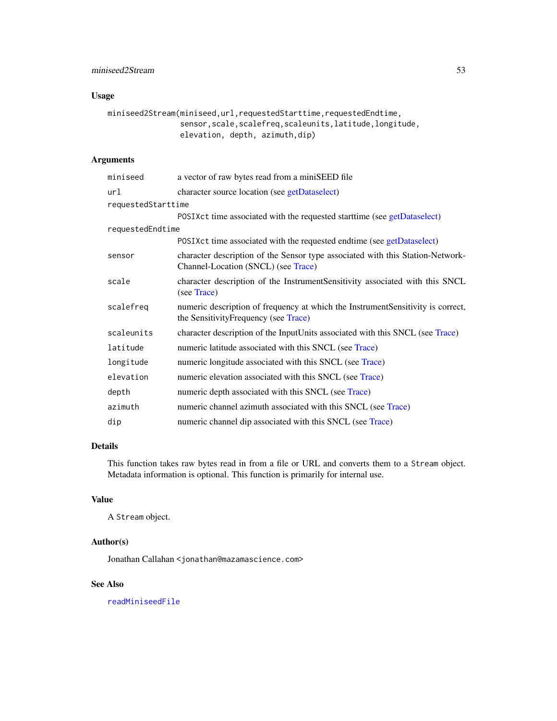# Usage

```
miniseed2Stream(miniseed,url,requestedStarttime,requestedEndtime,
                sensor,scale,scalefreq,scaleunits,latitude,longitude,
                elevation, depth, azimuth,dip)
```
# Arguments

| miniseed           | a vector of raw bytes read from a miniSEED file                                                                          |
|--------------------|--------------------------------------------------------------------------------------------------------------------------|
| url                | character source location (see getDataselect)                                                                            |
| requestedStarttime |                                                                                                                          |
|                    | POSIX ct time associated with the requested start time (see getDataselect)                                               |
| requestedEndtime   |                                                                                                                          |
|                    | POSIX ct time associated with the requested endtime (see getDataselect)                                                  |
| sensor             | character description of the Sensor type associated with this Station-Network-<br>Channel-Location (SNCL) (see Trace)    |
| scale              | character description of the Instrument Sensitivity associated with this SNCL<br>(see Trace)                             |
| scalefreq          | numeric description of frequency at which the Instrument Sensitivity is correct,<br>the SensitivityFrequency (see Trace) |
| scaleunits         | character description of the InputUnits associated with this SNCL (see Trace)                                            |
| latitude           | numeric latitude associated with this SNCL (see Trace)                                                                   |
| longitude          | numeric longitude associated with this SNCL (see Trace)                                                                  |
| elevation          | numeric elevation associated with this SNCL (see Trace)                                                                  |
| depth              | numeric depth associated with this SNCL (see Trace)                                                                      |
| azimuth            | numeric channel azimuth associated with this SNCL (see Trace)                                                            |
| dip                | numeric channel dip associated with this SNCL (see Trace)                                                                |

# Details

This function takes raw bytes read in from a file or URL and converts them to a Stream object. Metadata information is optional. This function is primarily for internal use.

#### Value

A Stream object.

# Author(s)

Jonathan Callahan <jonathan@mazamascience.com>

# See Also

[readMiniseedFile](#page-64-0)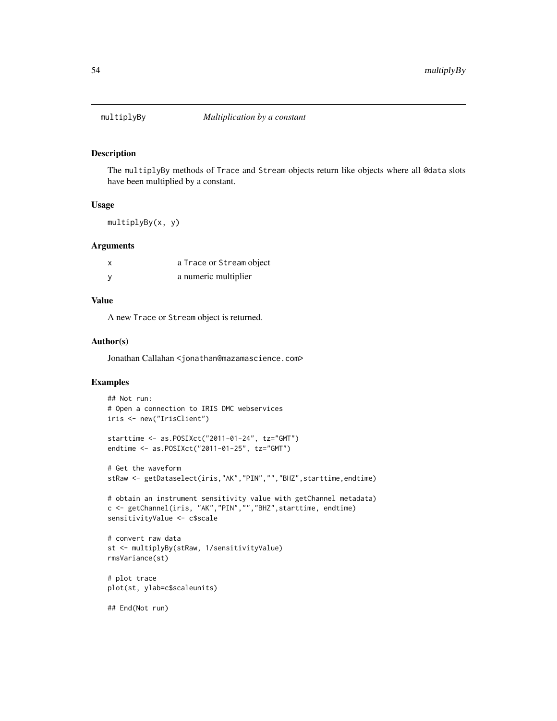#### Description

The multiplyBy methods of Trace and Stream objects return like objects where all @data slots have been multiplied by a constant.

# Usage

multiplyBy(x, y)

### Arguments

| a Trace or Stream object |
|--------------------------|
| a numeric multiplier     |

#### Value

A new Trace or Stream object is returned.

#### Author(s)

Jonathan Callahan <jonathan@mazamascience.com>

### Examples

```
## Not run:
# Open a connection to IRIS DMC webservices
iris <- new("IrisClient")
starttime <- as.POSIXct("2011-01-24", tz="GMT")
endtime <- as.POSIXct("2011-01-25", tz="GMT")
# Get the waveform
stRaw <- getDataselect(iris,"AK","PIN","","BHZ",starttime,endtime)
# obtain an instrument sensitivity value with getChannel metadata)
c <- getChannel(iris, "AK","PIN","","BHZ",starttime, endtime)
sensitivityValue <- c$scale
# convert raw data
st <- multiplyBy(stRaw, 1/sensitivityValue)
rmsVariance(st)
# plot trace
plot(st, ylab=c$scaleunits)
## End(Not run)
```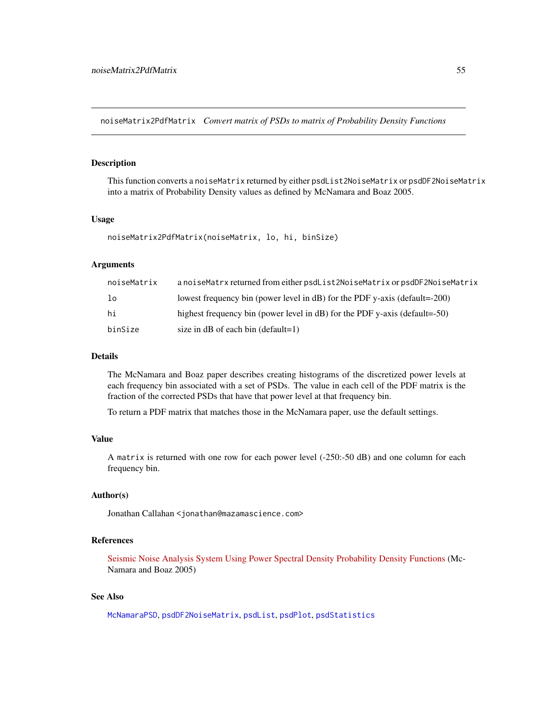noiseMatrix2PdfMatrix *Convert matrix of PSDs to matrix of Probability Density Functions*

#### Description

This function converts a noiseMatrix returned by either psdList2NoiseMatrix or psdDF2NoiseMatrix into a matrix of Probability Density values as defined by McNamara and Boaz 2005.

#### Usage

```
noiseMatrix2PdfMatrix(noiseMatrix, lo, hi, binSize)
```
# Arguments

| noiseMatrix | a noiseMatrx returned from either psdList2NoiseMatrix or psdDF2NoiseMatrix    |
|-------------|-------------------------------------------------------------------------------|
| $1\circ$    | lowest frequency bin (power level in $dB$ ) for the PDF y-axis (default=-200) |
| hi          | highest frequency bin (power level in dB) for the PDF y-axis (default=-50)    |
| binSize     | size in $dB$ of each bin (default=1)                                          |

### Details

The McNamara and Boaz paper describes creating histograms of the discretized power levels at each frequency bin associated with a set of PSDs. The value in each cell of the PDF matrix is the fraction of the corrected PSDs that have that power level at that frequency bin.

To return a PDF matrix that matches those in the McNamara paper, use the default settings.

### Value

A matrix is returned with one row for each power level (-250:-50 dB) and one column for each frequency bin.

### Author(s)

Jonathan Callahan <jonathan@mazamascience.com>

# References

[Seismic Noise Analysis System Using Power Spectral Density Probability Density Functions](http://pubs.usgs.gov/of/2005/1438/pdf/OFR-1438.pdf) (Mc-Namara and Boaz 2005)

# See Also

[McNamaraPSD](#page-47-0), [psdDF2NoiseMatrix](#page-56-0), [psdList](#page-57-0), [psdPlot](#page-60-0), [psdStatistics](#page-62-0)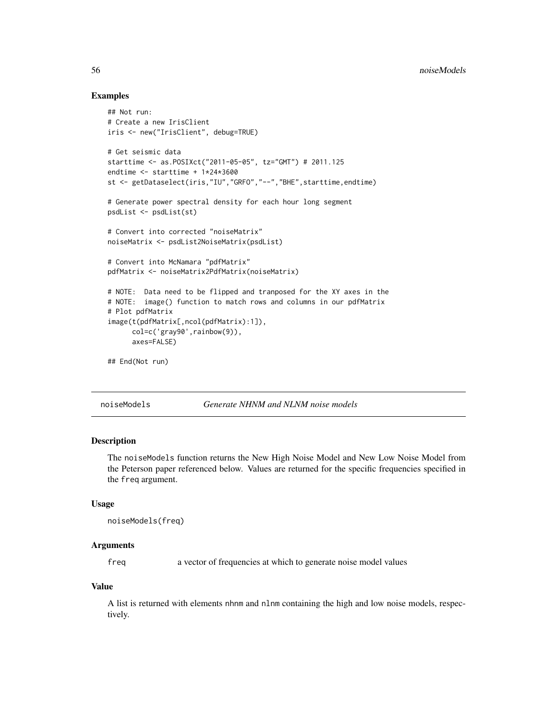### Examples

```
## Not run:
# Create a new IrisClient
iris <- new("IrisClient", debug=TRUE)
# Get seismic data
starttime <- as.POSIXct("2011-05-05", tz="GMT") # 2011.125
endtime <- starttime + 1*24*3600
st <- getDataselect(iris,"IU","GRFO","--","BHE",starttime,endtime)
# Generate power spectral density for each hour long segment
psdList <- psdList(st)
# Convert into corrected "noiseMatrix"
noiseMatrix <- psdList2NoiseMatrix(psdList)
# Convert into McNamara "pdfMatrix"
pdfMatrix <- noiseMatrix2PdfMatrix(noiseMatrix)
# NOTE: Data need to be flipped and tranposed for the XY axes in the
# NOTE: image() function to match rows and columns in our pdfMatrix
# Plot pdfMatrix
image(t(pdfMatrix[,ncol(pdfMatrix):1]),
      col=c('gray90',rainbow(9)),
      axes=FALSE)
## End(Not run)
```
noiseModels *Generate NHNM and NLNM noise models*

### **Description**

The noiseModels function returns the New High Noise Model and New Low Noise Model from the Peterson paper referenced below. Values are returned for the specific frequencies specified in the freq argument.

#### Usage

```
noiseModels(freq)
```
# Arguments

freq a vector of frequencies at which to generate noise model values

### Value

A list is returned with elements nhnm and nlnm containing the high and low noise models, respectively.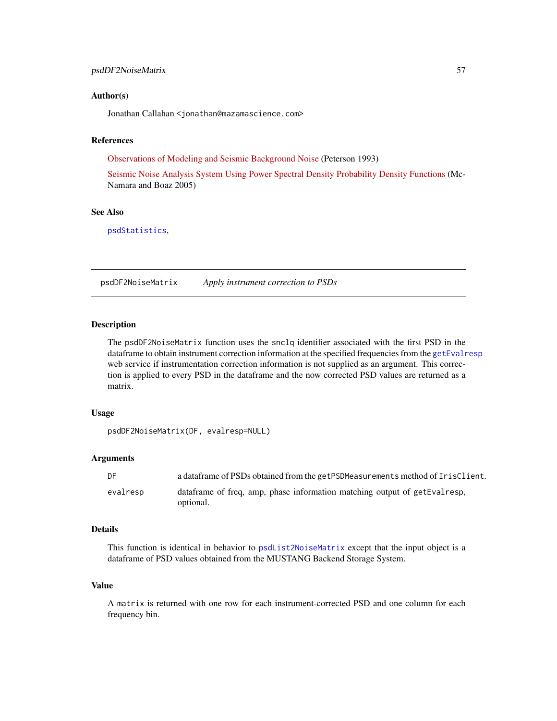### Author(s)

Jonathan Callahan <jonathan@mazamascience.com>

# References

[Observations of Modeling and Seismic Background Noise](http://pubs.usgs.gov/of/1993/0322/report.pdf) (Peterson 1993)

[Seismic Noise Analysis System Using Power Spectral Density Probability Density Functions](http://pubs.usgs.gov/of/2005/1438/pdf/OFR-1438.pdf) (Mc-Namara and Boaz 2005)

# See Also

[psdStatistics](#page-62-0),

<span id="page-56-0"></span>psdDF2NoiseMatrix *Apply instrument correction to PSDs*

# Description

The psdDF2NoiseMatrix function uses the snclq identifier associated with the first PSD in the dataframe to obtain instrument correction information at the specified frequencies from the [getEvalresp](#page-26-0) web service if instrumentation correction information is not supplied as an argument. This correction is applied to every PSD in the dataframe and the now corrected PSD values are returned as a matrix.

#### Usage

```
psdDF2NoiseMatrix(DF, evalresp=NULL)
```
#### **Arguments**

| DF       | a data frame of PSDs obtained from the getPSDMeasurements method of IrisClient.         |
|----------|-----------------------------------------------------------------------------------------|
| evalresp | data frame of freq, amp, phase information matching output of getEvalresp,<br>optional. |

#### Details

This function is identical in behavior to [psdList2NoiseMatrix](#page-59-0) except that the input object is a dataframe of PSD values obtained from the MUSTANG Backend Storage System.

### Value

A matrix is returned with one row for each instrument-corrected PSD and one column for each frequency bin.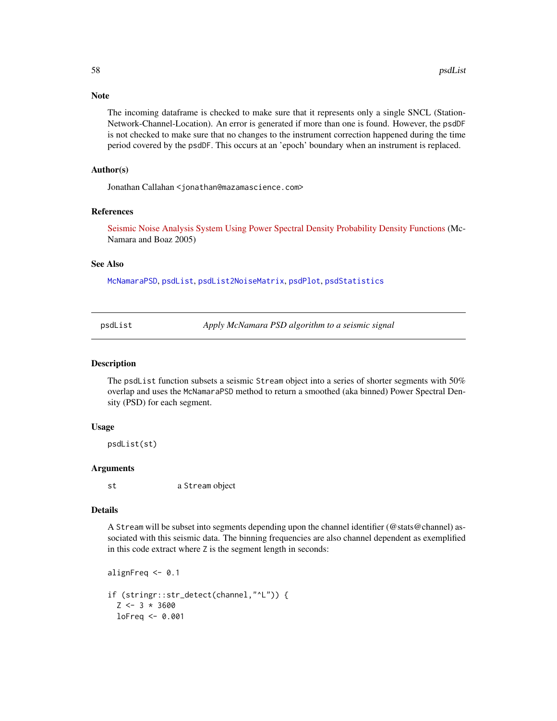# Note

The incoming dataframe is checked to make sure that it represents only a single SNCL (Station-Network-Channel-Location). An error is generated if more than one is found. However, the psdDF is not checked to make sure that no changes to the instrument correction happened during the time period covered by the psdDF. This occurs at an 'epoch' boundary when an instrument is replaced.

### Author(s)

Jonathan Callahan <jonathan@mazamascience.com>

#### References

[Seismic Noise Analysis System Using Power Spectral Density Probability Density Functions](http://pubs.usgs.gov/of/2005/1438/pdf/OFR-1438.pdf) (Mc-Namara and Boaz 2005)

### See Also

[McNamaraPSD](#page-47-0), [psdList](#page-57-0), [psdList2NoiseMatrix](#page-59-0), [psdPlot](#page-60-0), [psdStatistics](#page-62-0)

<span id="page-57-0"></span>psdList *Apply McNamara PSD algorithm to a seismic signal*

#### Description

The psdList function subsets a seismic Stream object into a series of shorter segments with 50% overlap and uses the McNamaraPSD method to return a smoothed (aka binned) Power Spectral Density (PSD) for each segment.

#### Usage

psdList(st)

### Arguments

st a Stream object

### Details

A Stream will be subset into segments depending upon the channel identifier (@stats@channel) associated with this seismic data. The binning frequencies are also channel dependent as exemplified in this code extract where Z is the segment length in seconds:

```
alignFreq <- 0.1
if (stringr::str_detect(channel,"^L")) {
  Z \leftarrow 3 * 3600loFreq <- 0.001
```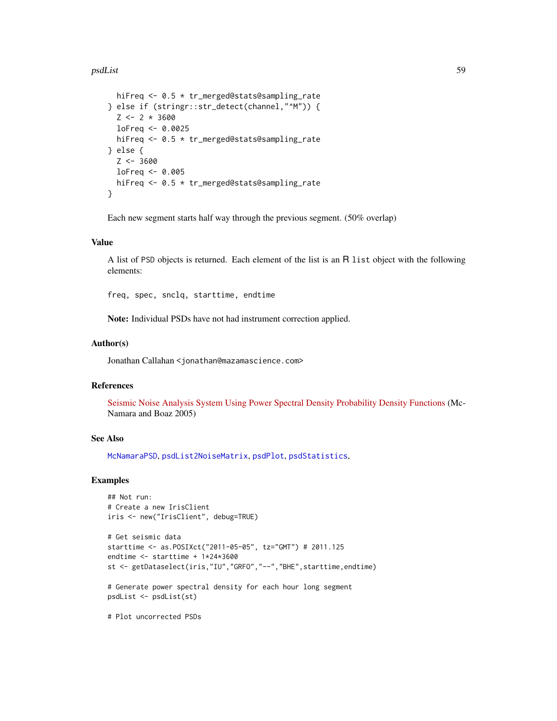### psdList 59

```
hiFreq <- 0.5 * tr_merged@stats@sampling_rate
} else if (stringr::str_detect(channel,"^M")) {
 Z \leftarrow 2 * 3600loFreq <- 0.0025
 hiFreq <- 0.5 * tr_merged@stats@sampling_rate
} else {
 Z < -3600loFreq < -0.005hiFreq <- 0.5 * tr_merged@stats@sampling_rate
}
```
Each new segment starts half way through the previous segment. (50% overlap)

### Value

A list of PSD objects is returned. Each element of the list is an R list object with the following elements:

freq, spec, snclq, starttime, endtime

Note: Individual PSDs have not had instrument correction applied.

### Author(s)

Jonathan Callahan <jonathan@mazamascience.com>

# References

[Seismic Noise Analysis System Using Power Spectral Density Probability Density Functions](http://pubs.usgs.gov/of/2005/1438/pdf/OFR-1438.pdf) (Mc-Namara and Boaz 2005)

### See Also

[McNamaraPSD](#page-47-0), [psdList2NoiseMatrix](#page-59-0), [psdPlot](#page-60-0), [psdStatistics](#page-62-0),

# Examples

```
## Not run:
# Create a new IrisClient
iris <- new("IrisClient", debug=TRUE)
```

```
# Get seismic data
starttime <- as.POSIXct("2011-05-05", tz="GMT") # 2011.125
endtime <- starttime + 1*24*3600
st <- getDataselect(iris,"IU","GRFO","--","BHE",starttime,endtime)
```

```
# Generate power spectral density for each hour long segment
psdList <- psdList(st)
```
# Plot uncorrected PSDs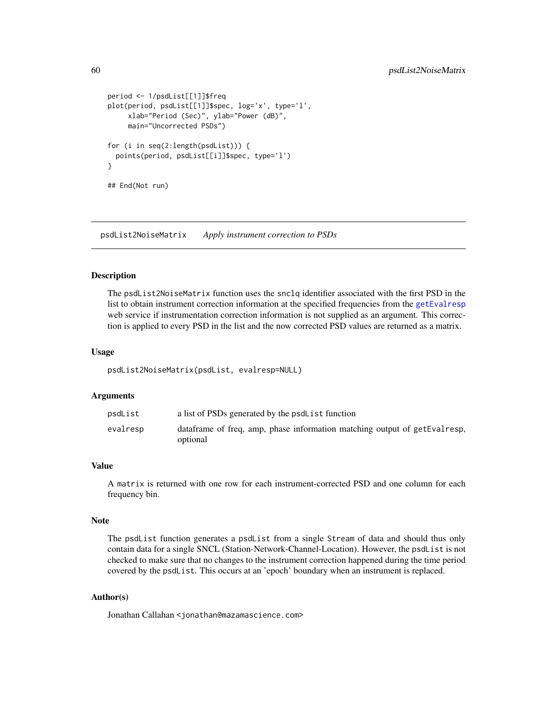```
period <- 1/psdList[[1]]$freq
plot(period, psdList[[1]]$spec, log='x', type='l',
     xlab="Period (Sec)", ylab="Power (dB)",
     main="Uncorrected PSDs")
for (i in seq(2:length(psdList))) {
 points(period, psdList[[i]]$spec, type='l')
}
## End(Not run)
```
<span id="page-59-0"></span>psdList2NoiseMatrix *Apply instrument correction to PSDs*

### Description

The psdList2NoiseMatrix function uses the snclq identifier associated with the first PSD in the list to obtain instrument correction information at the specified frequencies from the [getEvalresp](#page-26-0) web service if instrumentation correction information is not supplied as an argument. This correction is applied to every PSD in the list and the now corrected PSD values are returned as a matrix.

#### Usage

psdList2NoiseMatrix(psdList, evalresp=NULL)

### Arguments

| psdList  | a list of PSDs generated by the psdL ist function                                      |
|----------|----------------------------------------------------------------------------------------|
| evalresp | data frame of freq, amp, phase information matching output of getEvalresp,<br>optional |

#### Value

A matrix is returned with one row for each instrument-corrected PSD and one column for each frequency bin.

#### Note

The psdList function generates a psdList from a single Stream of data and should thus only contain data for a single SNCL (Station-Network-Channel-Location). However, the psdList is not checked to make sure that no changes to the instrument correction happened during the time period covered by the psdList. This occurs at an 'epoch' boundary when an instrument is replaced.

### Author(s)

Jonathan Callahan <jonathan@mazamascience.com>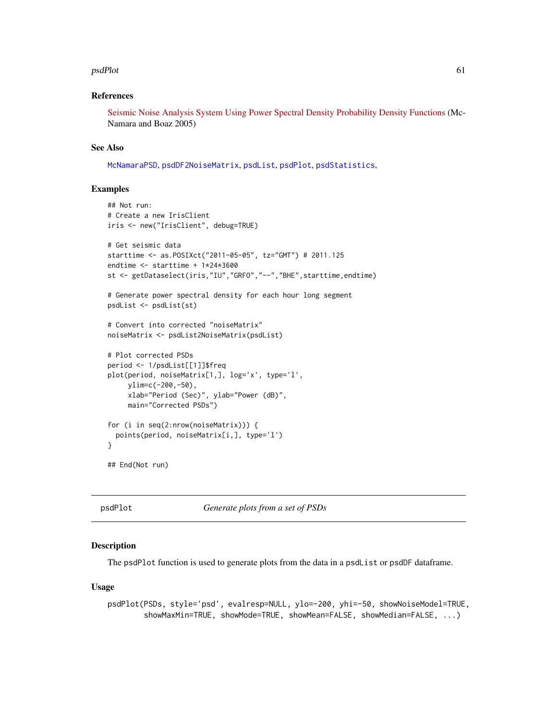#### psdPlot 61

### References

[Seismic Noise Analysis System Using Power Spectral Density Probability Density Functions](http://pubs.usgs.gov/of/2005/1438/pdf/OFR-1438.pdf) (Mc-Namara and Boaz 2005)

### See Also

[McNamaraPSD](#page-47-0), [psdDF2NoiseMatrix](#page-56-0), [psdList](#page-57-0), [psdPlot](#page-60-0), [psdStatistics](#page-62-0),

### Examples

```
## Not run:
# Create a new IrisClient
iris <- new("IrisClient", debug=TRUE)
# Get seismic data
starttime <- as.POSIXct("2011-05-05", tz="GMT") # 2011.125
endtime <- starttime + 1*24*3600
st <- getDataselect(iris,"IU","GRFO","--","BHE",starttime,endtime)
# Generate power spectral density for each hour long segment
psdList <- psdList(st)
# Convert into corrected "noiseMatrix"
noiseMatrix <- psdList2NoiseMatrix(psdList)
# Plot corrected PSDs
period <- 1/psdList[[1]]$freq
plot(period, noiseMatrix[1,], log='x', type='l',
    ylim=c(-200,-50),
     xlab="Period (Sec)", ylab="Power (dB)",
    main="Corrected PSDs")
for (i in seq(2:nrow(noiseMatrix))) {
 points(period, noiseMatrix[i,], type='l')
}
## End(Not run)
```
<span id="page-60-0"></span>

psdPlot *Generate plots from a set of PSDs*

# Description

The psdP1ot function is used to generate plots from the data in a psdList or psdDF dataframe.

### Usage

```
psdPlot(PSDs, style='psd', evalresp=NULL, ylo=-200, yhi=-50, showNoiseModel=TRUE,
        showMaxMin=TRUE, showMode=TRUE, showMean=FALSE, showMedian=FALSE, ...)
```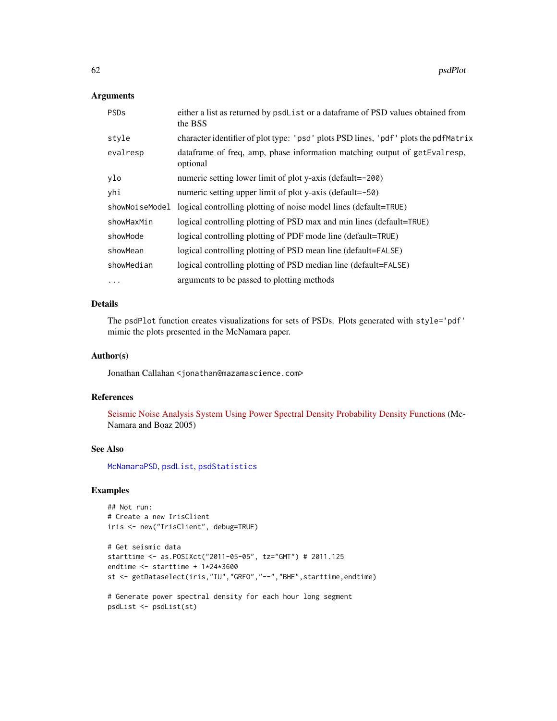# Arguments

| PSD <sub>s</sub> | either a list as returned by psdList or a data frame of PSD values obtained from<br>the BSS |
|------------------|---------------------------------------------------------------------------------------------|
| style            | character identifier of plot type: 'psd' plots PSD lines, 'pdf' plots the pdfMatrix         |
| evalresp         | dataframe of freq, amp, phase information matching output of getEvalresp,<br>optional       |
| ylo              | numeric setting lower limit of plot y-axis (default=-200)                                   |
| yhi              | numeric setting upper limit of plot y-axis (default=-50)                                    |
| showNoiseModel   | logical controlling plotting of noise model lines (default=TRUE)                            |
| showMaxMin       | logical controlling plotting of PSD max and min lines (default=TRUE)                        |
| showMode         | logical controlling plotting of PDF mode line (default=TRUE)                                |
| showMean         | logical controlling plotting of PSD mean line (default=FALSE)                               |
| showMedian       | logical controlling plotting of PSD median line (default=FALSE)                             |
| $\cdots$         | arguments to be passed to plotting methods                                                  |

# Details

The psdPlot function creates visualizations for sets of PSDs. Plots generated with style='pdf' mimic the plots presented in the McNamara paper.

# Author(s)

Jonathan Callahan <jonathan@mazamascience.com>

# References

[Seismic Noise Analysis System Using Power Spectral Density Probability Density Functions](http://pubs.usgs.gov/of/2005/1438/pdf/OFR-1438.pdf) (Mc-Namara and Boaz 2005)

# See Also

[McNamaraPSD](#page-47-0), [psdList](#page-57-0), [psdStatistics](#page-62-0)

# Examples

## Not run: # Create a new IrisClient iris <- new("IrisClient", debug=TRUE)

```
# Get seismic data
starttime <- as.POSIXct("2011-05-05", tz="GMT") # 2011.125
endtime <- starttime + 1*24*3600
st <- getDataselect(iris,"IU","GRFO","--","BHE",starttime,endtime)
```

```
# Generate power spectral density for each hour long segment
psdList <- psdList(st)
```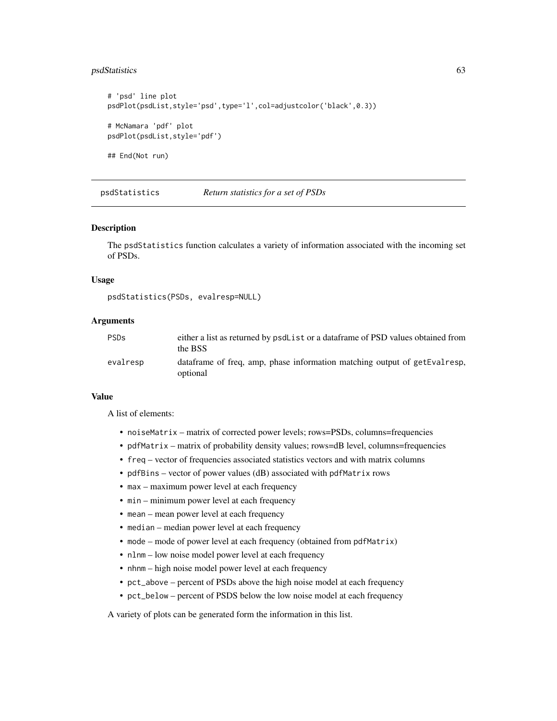# psdStatistics 63

```
# 'psd' line plot
psdPlot(psdList,style='psd',type='l',col=adjustcolor('black',0.3))
# McNamara 'pdf' plot
psdPlot(psdList,style='pdf')
## End(Not run)
```
<span id="page-62-0"></span>psdStatistics *Return statistics for a set of PSDs*

#### Description

The psdStatistics function calculates a variety of information associated with the incoming set of PSDs.

# Usage

```
psdStatistics(PSDs, evalresp=NULL)
```
# Arguments

| <b>PSDs</b> | either a list as returned by psdList or a data frame of PSD values obtained from<br>the BSS |
|-------------|---------------------------------------------------------------------------------------------|
| evalresp    | data frame of freq, amp, phase information matching output of getEvalresp,<br>optional      |

#### Value

A list of elements:

- noiseMatrix matrix of corrected power levels; rows=PSDs, columns=frequencies
- pdfMatrix matrix of probability density values; rows=dB level, columns=frequencies
- freq vector of frequencies associated statistics vectors and with matrix columns
- pdfBins vector of power values (dB) associated with pdfMatrix rows
- max maximum power level at each frequency
- min minimum power level at each frequency
- mean mean power level at each frequency
- median median power level at each frequency
- mode mode of power level at each frequency (obtained from pdfMatrix)
- nlnm low noise model power level at each frequency
- nhnm high noise model power level at each frequency
- pct\_above percent of PSDs above the high noise model at each frequency
- pct\_below percent of PSDS below the low noise model at each frequency

A variety of plots can be generated form the information in this list.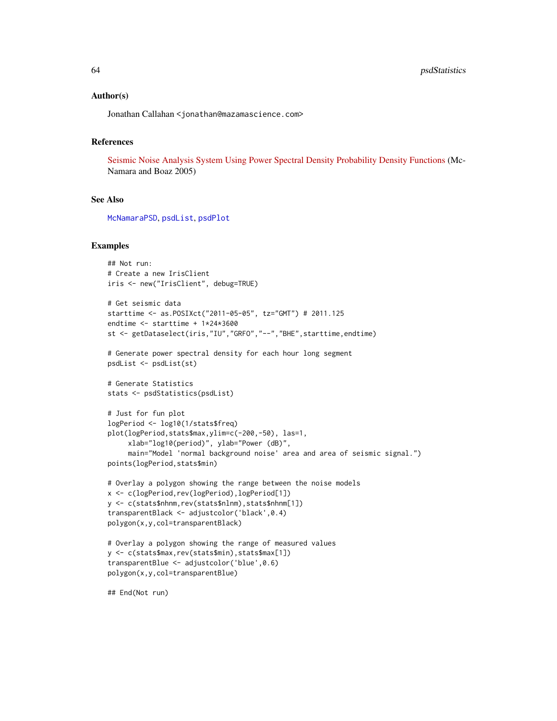### Author(s)

Jonathan Callahan <jonathan@mazamascience.com>

### References

[Seismic Noise Analysis System Using Power Spectral Density Probability Density Functions](http://pubs.usgs.gov/of/2005/1438/pdf/OFR-1438.pdf) (Mc-Namara and Boaz 2005)

### See Also

[McNamaraPSD](#page-47-0), [psdList](#page-57-0), [psdPlot](#page-60-0)

# Examples

```
## Not run:
# Create a new IrisClient
iris <- new("IrisClient", debug=TRUE)
# Get seismic data
starttime <- as.POSIXct("2011-05-05", tz="GMT") # 2011.125
endtime <- starttime + 1*24*3600
st <- getDataselect(iris,"IU","GRFO","--","BHE",starttime,endtime)
# Generate power spectral density for each hour long segment
psdList <- psdList(st)
# Generate Statistics
stats <- psdStatistics(psdList)
# Just for fun plot
logPeriod <- log10(1/stats$freq)
plot(logPeriod,stats$max,ylim=c(-200,-50), las=1,
     xlab="log10(period)", ylab="Power (dB)",
     main="Model 'normal background noise' area and area of seismic signal.")
points(logPeriod,stats$min)
# Overlay a polygon showing the range between the noise models
x <- c(logPeriod,rev(logPeriod),logPeriod[1])
y <- c(stats$nhnm,rev(stats$nlnm),stats$nhnm[1])
transparentBlack <- adjustcolor('black',0.4)
polygon(x,y,col=transparentBlack)
# Overlay a polygon showing the range of measured values
y <- c(stats$max,rev(stats$min),stats$max[1])
transparentBlue <- adjustcolor('blue',0.6)
polygon(x,y,col=transparentBlue)
## End(Not run)
```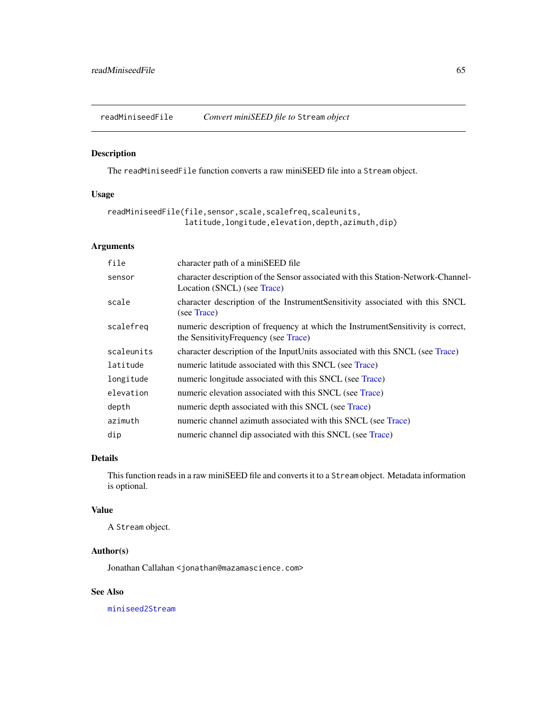<span id="page-64-0"></span>readMiniseedFile *Convert miniSEED file to* Stream *object*

### Description

The readMiniseedFile function converts a raw miniSEED file into a Stream object.

# Usage

```
readMiniseedFile(file,sensor,scale,scalefreq,scaleunits,
                 latitude,longitude,elevation,depth,azimuth,dip)
```
# Arguments

| file       | character path of a miniSEED file                                                                                         |
|------------|---------------------------------------------------------------------------------------------------------------------------|
| sensor     | character description of the Sensor associated with this Station-Network-Channel-<br>Location (SNCL) (see Trace)          |
| scale      | character description of the Instrument Sensitivity associated with this SNCL<br>(see Trace)                              |
| scalefreg  | numeric description of frequency at which the Instrument Sensitivity is correct,<br>the Sensitivity Frequency (see Trace) |
| scaleunits | character description of the InputUnits associated with this SNCL (see Trace)                                             |
| latitude   | numeric latitude associated with this SNCL (see Trace)                                                                    |
| longitude  | numeric longitude associated with this SNCL (see Trace)                                                                   |
| elevation  | numeric elevation associated with this SNCL (see Trace)                                                                   |
| depth      | numeric depth associated with this SNCL (see Trace)                                                                       |
| azimuth    | numeric channel azimuth associated with this SNCL (see Trace)                                                             |
| dip        | numeric channel dip associated with this SNCL (see Trace)                                                                 |

# Details

This function reads in a raw miniSEED file and converts it to a Stream object. Metadata information is optional.

# Value

A Stream object.

# Author(s)

Jonathan Callahan <jonathan@mazamascience.com>

# See Also

[miniseed2Stream](#page-51-0)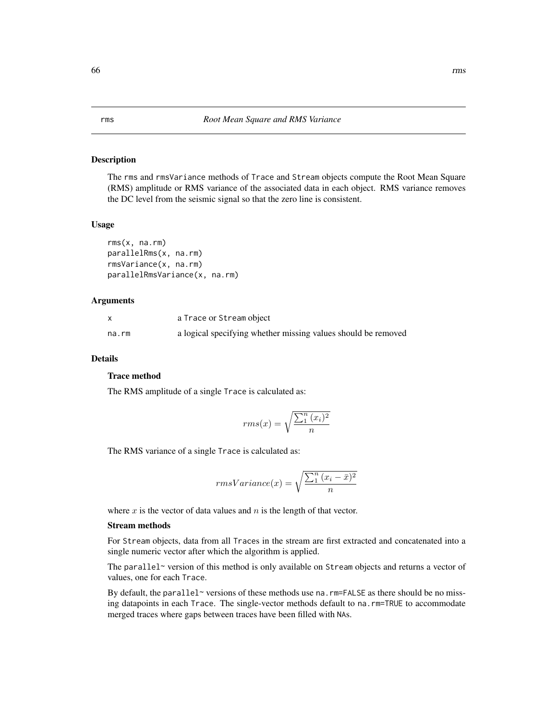# Description

The rms and rmsVariance methods of Trace and Stream objects compute the Root Mean Square (RMS) amplitude or RMS variance of the associated data in each object. RMS variance removes the DC level from the seismic signal so that the zero line is consistent.

## Usage

```
rms(x, na.rm)
parallelRms(x, na.rm)
rmsVariance(x, na.rm)
parallelRmsVariance(x, na.rm)
```
### Arguments

|       | a Trace or Stream object                                      |
|-------|---------------------------------------------------------------|
| na.rm | a logical specifying whether missing values should be removed |

### Details

# Trace method

The RMS amplitude of a single Trace is calculated as:

$$
rms(x) = \sqrt{\frac{\sum_{1}^{n} (x_i)^2}{n}}
$$

The RMS variance of a single Trace is calculated as:

$$
rmsVariance(x) = \sqrt{\frac{\sum_{1}^{n} (x_i - \bar{x})^2}{n}}
$$

where  $x$  is the vector of data values and  $n$  is the length of that vector.

#### Stream methods

For Stream objects, data from all Traces in the stream are first extracted and concatenated into a single numeric vector after which the algorithm is applied.

The parallel~ version of this method is only available on Stream objects and returns a vector of values, one for each Trace.

By default, the parallel~ versions of these methods use na.  $rm=FALSE$  as there should be no missing datapoints in each Trace. The single-vector methods default to na.rm=TRUE to accommodate merged traces where gaps between traces have been filled with NAs.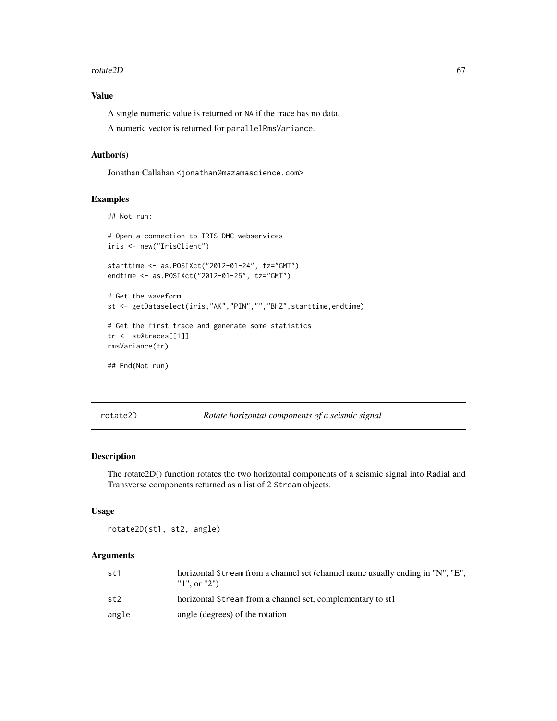#### $rotate2D$  67

# Value

A single numeric value is returned or NA if the trace has no data.

A numeric vector is returned for parallelRmsVariance.

# Author(s)

Jonathan Callahan <jonathan@mazamascience.com>

#### Examples

```
## Not run:
# Open a connection to IRIS DMC webservices
iris <- new("IrisClient")
starttime <- as.POSIXct("2012-01-24", tz="GMT")
endtime <- as.POSIXct("2012-01-25", tz="GMT")
# Get the waveform
st <- getDataselect(iris,"AK","PIN","","BHZ",starttime,endtime)
# Get the first trace and generate some statistics
tr <- st@traces[[1]]
rmsVariance(tr)
## End(Not run)
```
rotate2D *Rotate horizontal components of a seismic signal*

# Description

The rotate2D() function rotates the two horizontal components of a seismic signal into Radial and Transverse components returned as a list of 2 Stream objects.

#### Usage

```
rotate2D(st1, st2, angle)
```
# Arguments

| st1   | horizontal Stream from a channel set (channel name usually ending in "N", "E",<br>"1", or "2") |
|-------|------------------------------------------------------------------------------------------------|
| st2   | horizontal Stream from a channel set, complementary to st1                                     |
| angle | angle (degrees) of the rotation                                                                |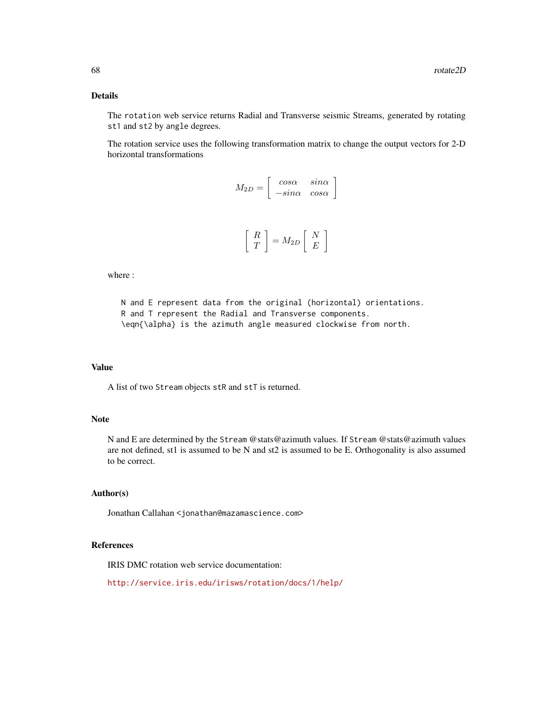# Details

The rotation web service returns Radial and Transverse seismic Streams, generated by rotating st1 and st2 by angle degrees.

The rotation service uses the following transformation matrix to change the output vectors for 2-D horizontal transformations

| $M_{2D}$ |                                                                                      | $sin\alpha$<br>$\begin{array}{ccc} cos\alpha & sin\alpha \ -sin\alpha & cos\alpha \end{array}$ |
|----------|--------------------------------------------------------------------------------------|------------------------------------------------------------------------------------------------|
|          | $\begin{bmatrix} R \\ T \end{bmatrix} = M_{2D} \begin{bmatrix} N \\ E \end{bmatrix}$ |                                                                                                |

where :

N and E represent data from the original (horizontal) orientations. R and T represent the Radial and Transverse components. \eqn{\alpha} is the azimuth angle measured clockwise from north.

#### Value

A list of two Stream objects stR and stT is returned.

### Note

N and E are determined by the Stream @stats@azimuth values. If Stream @stats@azimuth values are not defined, st1 is assumed to be N and st2 is assumed to be E. Orthogonality is also assumed to be correct.

### Author(s)

Jonathan Callahan <jonathan@mazamascience.com>

### References

IRIS DMC rotation web service documentation:

```
http://service.iris.edu/irisws/rotation/docs/1/help/
```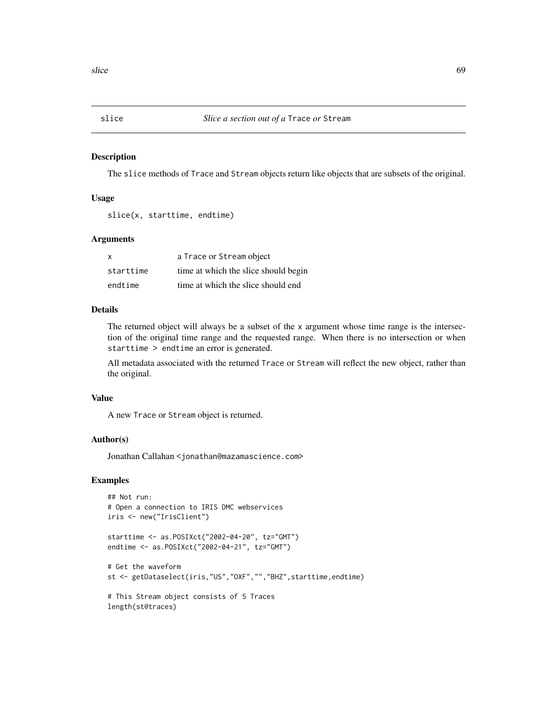### Description

The slice methods of Trace and Stream objects return like objects that are subsets of the original.

### Usage

slice(x, starttime, endtime)

# Arguments

| X         | a Trace or Stream object             |
|-----------|--------------------------------------|
| starttime | time at which the slice should begin |
| endtime   | time at which the slice should end   |

# Details

The returned object will always be a subset of the x argument whose time range is the intersection of the original time range and the requested range. When there is no intersection or when starttime > endtime an error is generated.

All metadata associated with the returned Trace or Stream will reflect the new object, rather than the original.

#### Value

A new Trace or Stream object is returned.

# Author(s)

Jonathan Callahan <jonathan@mazamascience.com>

# Examples

```
## Not run:
# Open a connection to IRIS DMC webservices
iris <- new("IrisClient")
starttime <- as.POSIXct("2002-04-20", tz="GMT")
endtime <- as.POSIXct("2002-04-21", tz="GMT")
# Get the waveform
st <- getDataselect(iris,"US","OXF","","BHZ",starttime,endtime)
# This Stream object consists of 5 Traces
length(st@traces)
```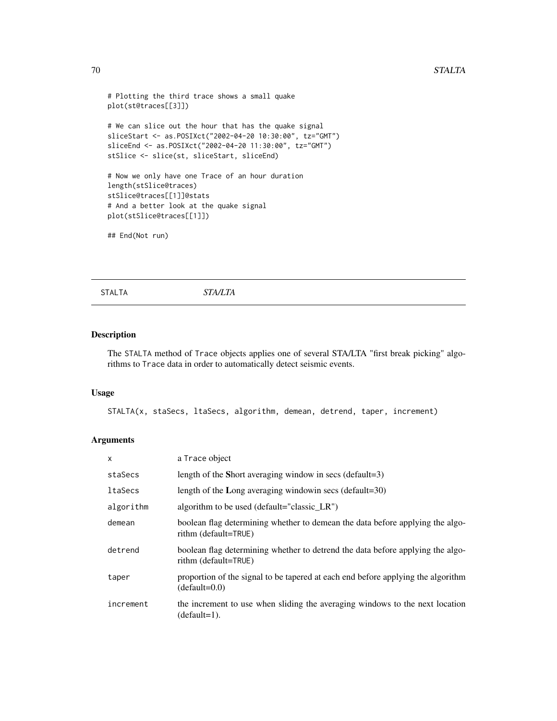### 70 STALTA

```
# Plotting the third trace shows a small quake
plot(st@traces[[3]])
# We can slice out the hour that has the quake signal
sliceStart <- as.POSIXct("2002-04-20 10:30:00", tz="GMT")
sliceEnd <- as.POSIXct("2002-04-20 11:30:00", tz="GMT")
stSlice <- slice(st, sliceStart, sliceEnd)
# Now we only have one Trace of an hour duration
length(stSlice@traces)
stSlice@traces[[1]]@stats
# And a better look at the quake signal
plot(stSlice@traces[[1]])
## End(Not run)
```
STALTA *STA/LTA*

# Description

The STALTA method of Trace objects applies one of several STA/LTA "first break picking" algorithms to Trace data in order to automatically detect seismic events.

### Usage

STALTA(x, staSecs, ltaSecs, algorithm, demean, detrend, taper, increment)

# Arguments

| $\mathsf{x}$ | a Trace object                                                                                         |
|--------------|--------------------------------------------------------------------------------------------------------|
| staSecs      | length of the Short averaging window in secs (default=3)                                               |
| ltaSecs      | length of the Long averaging windowin secs (default=30)                                                |
| algorithm    | algorithm to be used (default="classic LR")                                                            |
| demean       | boolean flag determining whether to demean the data before applying the algo-<br>rithm (default=TRUE)  |
| detrend      | boolean flag determining whether to detrend the data before applying the algo-<br>rithm (default=TRUE) |
| taper        | proportion of the signal to be tapered at each end before applying the algorithm<br>$(default=0.0)$    |
| increment    | the increment to use when sliding the averaging windows to the next location<br>$(default=1)$ .        |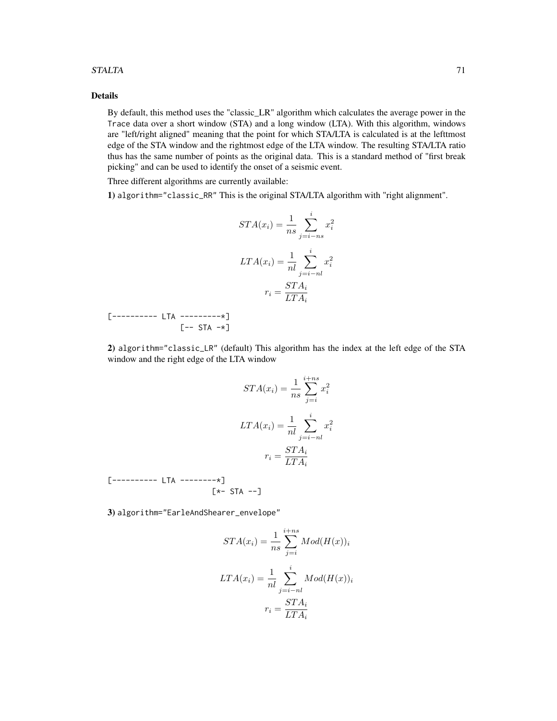#### $STALTA$   $71$

# Details

By default, this method uses the "classic\_LR" algorithm which calculates the average power in the Trace data over a short window (STA) and a long window (LTA). With this algorithm, windows are "left/right aligned" meaning that the point for which STA/LTA is calculated is at the lefttmost edge of the STA window and the rightmost edge of the LTA window. The resulting STA/LTA ratio thus has the same number of points as the original data. This is a standard method of "first break picking" and can be used to identify the onset of a seismic event.

Three different algorithms are currently available:

1) algorithm="classic\_RR" This is the original STA/LTA algorithm with "right alignment".

$$
STA(x_i) = \frac{1}{ns} \sum_{j=i-ns}^{i} x_i^2
$$

$$
LTA(x_i) = \frac{1}{nl} \sum_{j=i-nl}^{i} x_i^2
$$

$$
r_i = \frac{STA_i}{LTA_i}
$$

[---------- LTA ---------\*]  $[--$  STA  $-\star]$ 

2) algorithm="classic\_LR" (default) This algorithm has the index at the left edge of the STA window and the right edge of the LTA window

$$
STA(x_i) = \frac{1}{ns} \sum_{j=i}^{i+ns} x_i^2
$$

$$
LTA(x_i) = \frac{1}{nl} \sum_{j=i-nl}^{i} x_i^2
$$

$$
r_i = \frac{STA_i}{LTA_i}
$$

[---------- LTA --------\*] [\*- STA --]

3) algorithm="EarleAndShearer\_envelope"

$$
STA(x_i) = \frac{1}{ns} \sum_{j=i}^{i+ns} Mod(H(x))_i
$$

$$
LTA(x_i) = \frac{1}{nl} \sum_{j=i-nl}^{i} Mod(H(x))_i
$$

$$
r_i = \frac{STA_i}{LTA_i}
$$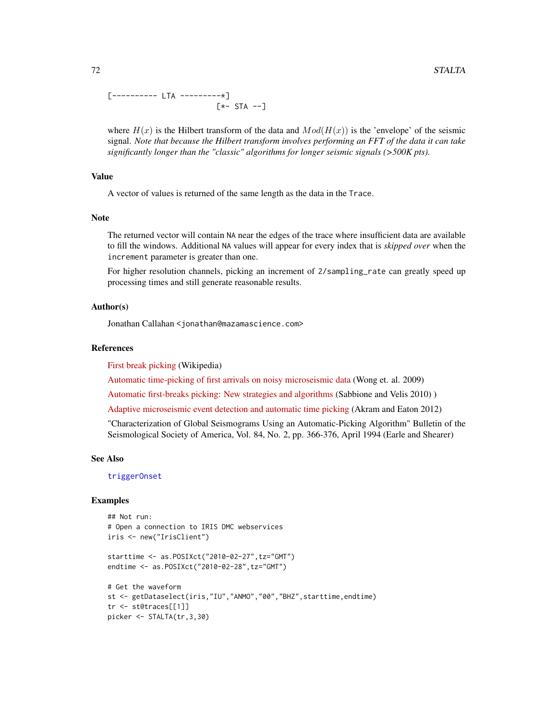[---------- LTA ---------\*] [\*- STA --]

where  $H(x)$  is the Hilbert transform of the data and  $Mod(H(x))$  is the 'envelope' of the seismic signal. *Note that because the Hilbert transform involves performing an FFT of the data it can take significantly longer than the "classic" algorithms for longer seismic signals (>500K pts).*

# Value

A vector of values is returned of the same length as the data in the Trace.

#### Note

The returned vector will contain NA near the edges of the trace where insufficient data are available to fill the windows. Additional NA values will appear for every index that is *skipped over* when the increment parameter is greater than one.

For higher resolution channels, picking an increment of 2/sampling\_rate can greatly speed up processing times and still generate reasonable results.

#### Author(s)

Jonathan Callahan <jonathan@mazamascience.com>

#### **References**

[First break picking](http://en.wikipedia.org/wiki/First_break_picking) (Wikipedia)

[Automatic time-picking of first arrivals on noisy microseismic data](http://www.crewes.org/ForOurSponsors/ConferenceAbstracts/2009/CSEG/Wong_CSEG_2009.pdf) (Wong et. al. 2009)

[Automatic first-breaks picking: New strategies and algorithms](http://www.fcaglp.unlp.edu.ar/~velis/papers/PickingGeop10.pdf) (Sabbione and Velis 2010) )

[Adaptive microseismic event detection and automatic time picking](http://cseg.ca/assets/files/resources/abstracts/2012/279_GC2012_Adaptive_Microseismic_Event_Detection.pdf) (Akram and Eaton 2012)

"Characterization of Global Seismograms Using an Automatic-Picking Algorithm" Bulletin of the Seismological Society of America, Vol. 84, No. 2, pp. 366-376, April 1994 (Earle and Shearer)

#### See Also

[triggerOnset](#page-79-0)

picker <- STALTA(tr,3,30)

# Examples

```
## Not run:
# Open a connection to IRIS DMC webservices
iris <- new("IrisClient")
starttime <- as.POSIXct("2010-02-27",tz="GMT")
endtime <- as.POSIXct("2010-02-28",tz="GMT")
# Get the waveform
st <- getDataselect(iris,"IU","ANMO","00","BHZ",starttime,endtime)
tr <- st@traces[[1]]
```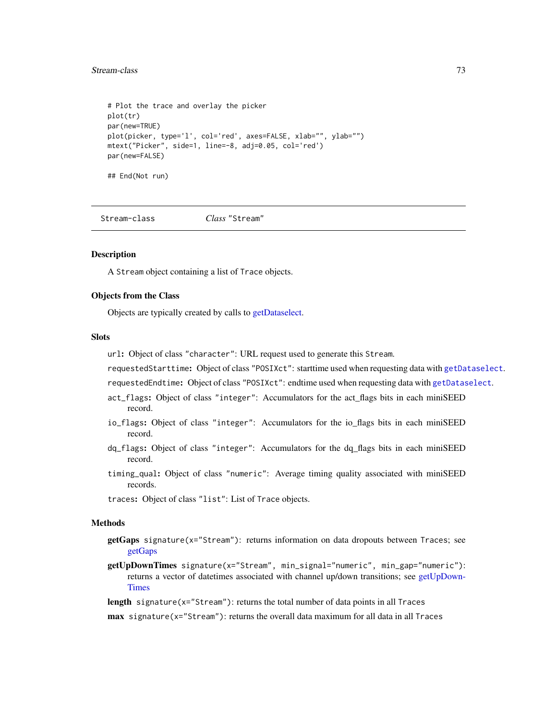#### <span id="page-72-1"></span>Stream-class 73

```
# Plot the trace and overlay the picker
plot(tr)
par(new=TRUE)
plot(picker, type='l', col='red', axes=FALSE, xlab="", ylab="")
mtext("Picker", side=1, line=-8, adj=0.05, col='red')
par(new=FALSE)
## End(Not run)
```
<span id="page-72-0"></span>Stream-class *Class* "Stream"

#### Description

A Stream object containing a list of Trace objects.

#### Objects from the Class

Objects are typically created by calls to [getDataselect.](#page-22-0)

#### **Slots**

url: Object of class "character": URL request used to generate this Stream.

requestedStarttime: Object of class "POSIXct": starttime used when requesting data with [getDataselect](#page-22-0).

requestedEndtime: Object of class "POSIXct": endtime used when requesting data with [getDataselect](#page-22-0).

- act\_flags: Object of class "integer": Accumulators for the act\_flags bits in each miniSEED record.
- io\_flags: Object of class "integer": Accumulators for the io\_flags bits in each miniSEED record.
- dq\_flags: Object of class "integer": Accumulators for the dq\_flags bits in each miniSEED record.
- timing\_qual: Object of class "numeric": Average timing quality associated with miniSEED records.

traces: Object of class "list": List of Trace objects.

#### Methods

- getGaps signature(x="Stream"): returns information on data dropouts between Traces; see [getGaps](#page-29-0)
- getUpDownTimes signature(x="Stream", min\_signal="numeric", min\_gap="numeric"): returns a vector of datetimes associated with channel up/down transitions; see [getUpDown-](#page-41-0)[Times](#page-41-0)
- length signature( $x=$ "Stream"): returns the total number of data points in all Traces

 $max$  signature( $x = "Stream"$ ): returns the overall data maximum for all data in all Traces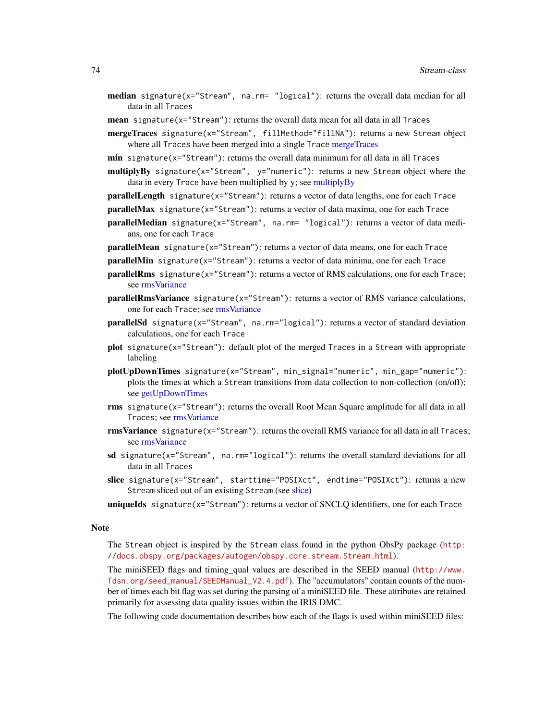- <span id="page-73-0"></span>**median** signature( $x =$ "Stream", na.rm= "logical"): returns the overall data median for all data in all Traces
- mean signature(x="Stream"): returns the overall data mean for all data in all Traces
- mergeTraces signature(x="Stream", fillMethod="fillNA"): returns a new Stream object where all Traces have been merged into a single Trace [mergeTraces](#page-49-0)
- **min** signature( $x =$ "Stream"): returns the overall data minimum for all data in all Traces

 $multiplyBy$  signature(x="Stream",  $y=$ "numeric"): returns a new Stream object where the data in every Trace have been multiplied by y; see [multiplyBy](#page-53-0)

- parallelLength signature(x="Stream"): returns a vector of data lengths, one for each Trace
- parallelMax signature(x="Stream"): returns a vector of data maxima, one for each Trace
- parallelMedian signature(x="Stream", na.rm= "logical"): returns a vector of data medians, one for each Trace
- parallelMean signature(x="Stream"): returns a vector of data means, one for each Trace
- parallelMin signature(x="Stream"): returns a vector of data minima, one for each Trace
- parallelRms signature(x="Stream"): returns a vector of RMS calculations, one for each Trace; see [rmsVariance](#page-65-0)
- $parallelRmsVariance$  signature(x="Stream"): returns a vector of RMS variance calculations, one for each Trace; see [rmsVariance](#page-65-0)
- parallelSd signature(x="Stream", na.rm="logical"): returns a vector of standard deviation calculations, one for each Trace
- plot signature(x="Stream"): default plot of the merged Traces in a Stream with appropriate labeling
- plotUpDownTimes signature(x="Stream", min\_signal="numeric", min\_gap="numeric"): plots the times at which a Stream transitions from data collection to non-collection (on/off); see [getUpDownTimes](#page-41-0)
- rms signature(x="Stream"): returns the overall Root Mean Square amplitude for all data in all Traces; see [rmsVariance](#page-65-0)
- **rmsVariance** signature(x="Stream"): returns the overall RMS variance for all data in all Traces; see [rmsVariance](#page-65-0)
- sd signature( $x =$ "Stream", na.rm="logical"): returns the overall standard deviations for all data in all Traces
- slice signature(x="Stream", starttime="POSIXct", endtime="POSIXct"): returns a new Stream sliced out of an existing Stream (see [slice\)](#page-68-0)
- uniqueIds signature(x="Stream"): returns a vector of SNCLQ identifiers, one for each Trace

#### Note

The Stream object is inspired by the Stream class found in the python ObsPy package ([http:](http://docs.obspy.org/packages/autogen/obspy.core.stream.Stream.html) [//docs.obspy.org/packages/autogen/obspy.core.stream.Stream.html](http://docs.obspy.org/packages/autogen/obspy.core.stream.Stream.html)).

The miniSEED flags and timing\_qual values are described in the SEED manual ([http://www.](http://www.fdsn.org/seed_manual/SEEDManual_V2.4.pdf) [fdsn.org/seed\\_manual/SEEDManual\\_V2.4.pdf](http://www.fdsn.org/seed_manual/SEEDManual_V2.4.pdf)). The "accumulators" contain counts of the number of times each bit flag was set during the parsing of a miniSEED file. These attributes are retained primarily for assessing data quality issues within the IRIS DMC.

The following code documentation describes how each of the flags is used within miniSEED files: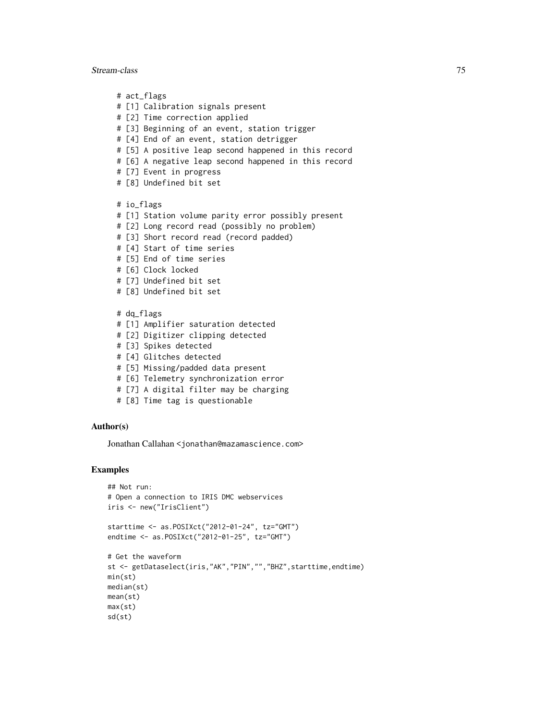#### Stream-class 75

# act\_flags # [1] Calibration signals present # [2] Time correction applied # [3] Beginning of an event, station trigger # [4] End of an event, station detrigger # [5] A positive leap second happened in this record # [6] A negative leap second happened in this record # [7] Event in progress # [8] Undefined bit set # io\_flags # [1] Station volume parity error possibly present # [2] Long record read (possibly no problem) # [3] Short record read (record padded) # [4] Start of time series # [5] End of time series # [6] Clock locked # [7] Undefined bit set # [8] Undefined bit set # dq\_flags # [1] Amplifier saturation detected # [2] Digitizer clipping detected # [3] Spikes detected # [4] Glitches detected # [5] Missing/padded data present # [6] Telemetry synchronization error # [7] A digital filter may be charging

# [8] Time tag is questionable

#### Author(s)

Jonathan Callahan <jonathan@mazamascience.com>

#### Examples

```
## Not run:
# Open a connection to IRIS DMC webservices
iris <- new("IrisClient")
starttime <- as.POSIXct("2012-01-24", tz="GMT")
endtime <- as.POSIXct("2012-01-25", tz="GMT")
# Get the waveform
st <- getDataselect(iris,"AK","PIN","","BHZ",starttime,endtime)
min(st)
median(st)
mean(st)
max(st)
sd(st)
```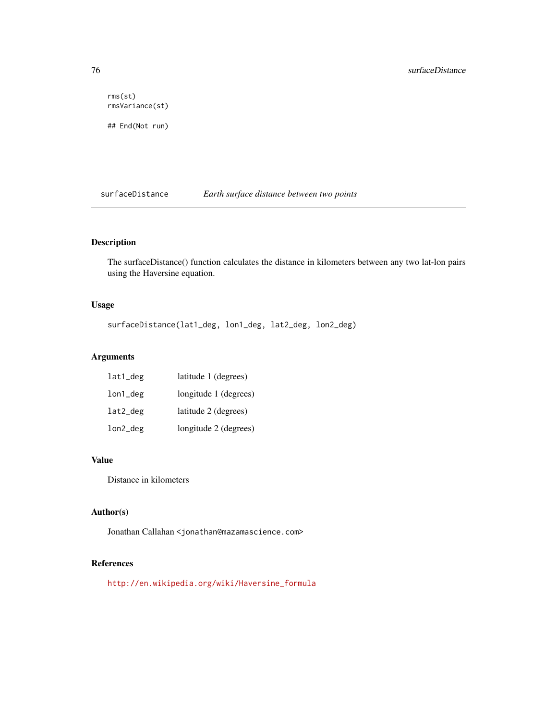rms(st) rmsVariance(st) ## End(Not run)

surfaceDistance *Earth surface distance between two points*

# Description

The surfaceDistance() function calculates the distance in kilometers between any two lat-lon pairs using the Haversine equation.

# Usage

surfaceDistance(lat1\_deg, lon1\_deg, lat2\_deg, lon2\_deg)

# Arguments

| lat1_deg | latitude 1 (degrees)  |
|----------|-----------------------|
| lon1_deg | longitude 1 (degrees) |
| lat2_deg | latitude 2 (degrees)  |
| lon2_deg | longitude 2 (degrees) |

# Value

Distance in kilometers

## Author(s)

Jonathan Callahan <jonathan@mazamascience.com>

# References

[http://en.wikipedia.org/wiki/Haversine\\_formula](http://en.wikipedia.org/wiki/Haversine_formula)

<span id="page-75-0"></span>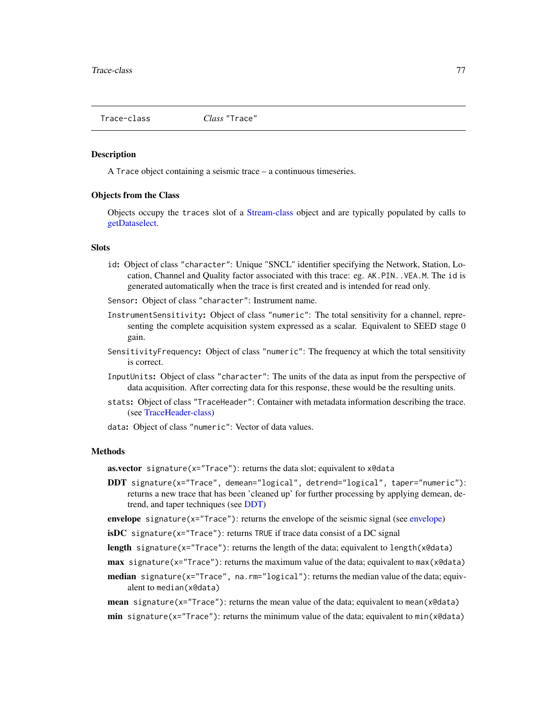<span id="page-76-0"></span>

#### **Description**

A Trace object containing a seismic trace – a continuous timeseries.

#### Objects from the Class

Objects occupy the traces slot of a [Stream-class](#page-72-0) object and are typically populated by calls to [getDataselect.](#page-22-0)

#### **Slots**

- id: Object of class "character": Unique "SNCL" identifier specifying the Network, Station, Location, Channel and Quality factor associated with this trace: eg. AK.PIN. . VEA.M. The id is generated automatically when the trace is first created and is intended for read only.
- Sensor: Object of class "character": Instrument name.
- InstrumentSensitivity: Object of class "numeric": The total sensitivity for a channel, representing the complete acquisition system expressed as a scalar. Equivalent to SEED stage 0 gain.
- SensitivityFrequency: Object of class "numeric": The frequency at which the total sensitivity is correct.
- InputUnits: Object of class "character": The units of the data as input from the perspective of data acquisition. After correcting data for this response, these would be the resulting units.
- stats: Object of class "TraceHeader": Container with metadata information describing the trace. (see [TraceHeader-class\)](#page-78-0)
- data: Object of class "numeric": Vector of data values.

# Methods

**as.vector** signature( $x=$ "Trace"): returns the data slot; equivalent to  $x \cdot \theta$ data

- DDT signature(x="Trace", demean="logical", detrend="logical", taper="numeric"): returns a new trace that has been 'cleaned up' for further processing by applying demean, detrend, and taper techniques (see [DDT\)](#page-14-0)
- envelope signature( $x =$ "Trace"): returns the envelope of the seismic signal (see [envelope\)](#page-15-0)
- $isDC$  signature(x="Trace"): returns TRUE if trace data consist of a DC signal
- length signature(x="Trace"): returns the length of the data; equivalent to length(x@data)
- **max** signature(x="Trace"): returns the maximum value of the data; equivalent to max(x@data)
- median signature(x="Trace", na.rm="logical"): returns the median value of the data; equivalent to median(x@data)
- **mean** signature( $x = "Trace"$ ): returns the mean value of the data; equivalent to mean( $x \cdot \theta$ data)  $min$  signature(x="Trace"): returns the minimum value of the data; equivalent to  $min(x@data)$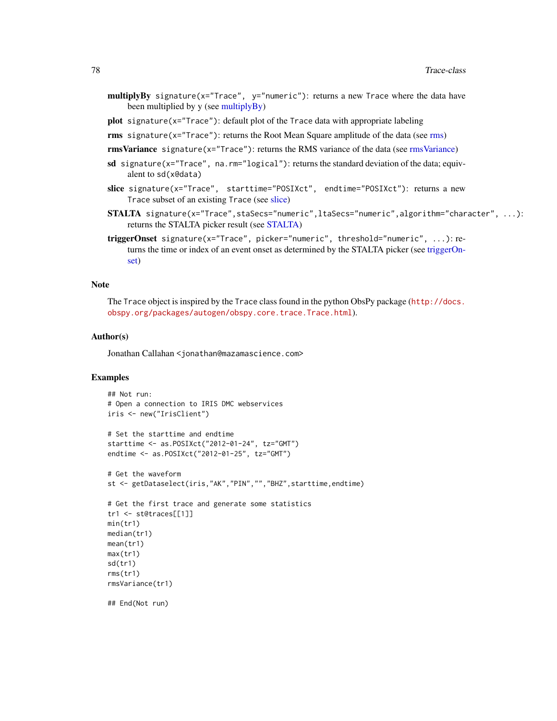- <span id="page-77-0"></span>multiplyBy signature(x="Trace", y="numeric"): returns a new Trace where the data have been multiplied by y (see [multiplyBy\)](#page-53-0)
- plot signature(x="Trace"): default plot of the Trace data with appropriate labeling
- rms signature(x="Trace"): returns the Root Mean Square amplitude of the data (see [rms\)](#page-65-1)

rmsVariance signature( $x=$ "Trace"): returns the RMS variance of the data (see [rmsVariance\)](#page-65-0)

- sd signature( $x = "Trace",$  na.rm="logical"): returns the standard deviation of the data; equivalent to sd(x@data)
- slice signature(x="Trace", starttime="POSIXct", endtime="POSIXct"): returns a new Trace subset of an existing Trace (see [slice\)](#page-68-0)
- **STALTA** signature(x="Trace",staSecs="numeric",ltaSecs="numeric",algorithm="character", ...): returns the STALTA picker result (see [STALTA\)](#page-69-0)
- triggerOnset signature(x="Trace", picker="numeric", threshold="numeric", ...): returns the time or index of an event onset as determined by the STALTA picker (see [triggerOn](#page-79-0)[set\)](#page-79-0)

## Note

The Trace object is inspired by the Trace class found in the python ObsPy package ([http://docs.](http://docs.obspy.org/packages/autogen/obspy.core.trace.Trace.html) [obspy.org/packages/autogen/obspy.core.trace.Trace.html](http://docs.obspy.org/packages/autogen/obspy.core.trace.Trace.html)).

#### Author(s)

Jonathan Callahan <jonathan@mazamascience.com>

#### Examples

```
## Not run:
# Open a connection to IRIS DMC webservices
iris <- new("IrisClient")
```

```
# Set the starttime and endtime
starttime <- as.POSIXct("2012-01-24", tz="GMT")
endtime <- as.POSIXct("2012-01-25", tz="GMT")
```

```
# Get the waveform
st <- getDataselect(iris,"AK","PIN","","BHZ",starttime,endtime)
# Get the first trace and generate some statistics
tr1 <- st@traces[[1]]
min(tr1)
median(tr1)
```

```
mean(tr1)
max(tr1)
sd(tr1)
rms(tr1)
rmsVariance(tr1)
```
## End(Not run)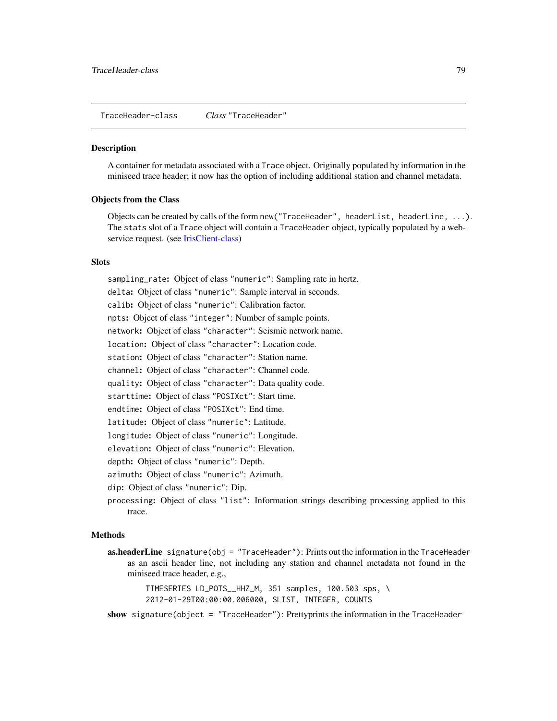<span id="page-78-1"></span><span id="page-78-0"></span>TraceHeader-class *Class* "TraceHeader"

#### Description

A container for metadata associated with a Trace object. Originally populated by information in the miniseed trace header; it now has the option of including additional station and channel metadata.

# Objects from the Class

Objects can be created by calls of the form new("TraceHeader", headerList, headerLine, ...). The stats slot of a Trace object will contain a TraceHeader object, typically populated by a web-service request. (see [IrisClient-class\)](#page-44-0)

## **Slots**

sampling\_rate: Object of class "numeric": Sampling rate in hertz. delta: Object of class "numeric": Sample interval in seconds. calib: Object of class "numeric": Calibration factor. npts: Object of class "integer": Number of sample points. network: Object of class "character": Seismic network name. location: Object of class "character": Location code. station: Object of class "character": Station name. channel: Object of class "character": Channel code. quality: Object of class "character": Data quality code. starttime: Object of class "POSIXct": Start time. endtime: Object of class "POSIXct": End time. latitude: Object of class "numeric": Latitude. longitude: Object of class "numeric": Longitude. elevation: Object of class "numeric": Elevation. depth: Object of class "numeric": Depth. azimuth: Object of class "numeric": Azimuth. dip: Object of class "numeric": Dip.

processing: Object of class "list": Information strings describing processing applied to this trace.

#### Methods

**as.headerLine** signature(obj = "TraceHeader"): Prints out the information in the TraceHeader as an ascii header line, not including any station and channel metadata not found in the miniseed trace header, e.g.,

> TIMESERIES LD\_POTS\_\_HHZ\_M, 351 samples, 100.503 sps, \ 2012-01-29T00:00:00.006000, SLIST, INTEGER, COUNTS

show signature(object = "TraceHeader"): Prettyprints the information in the TraceHeader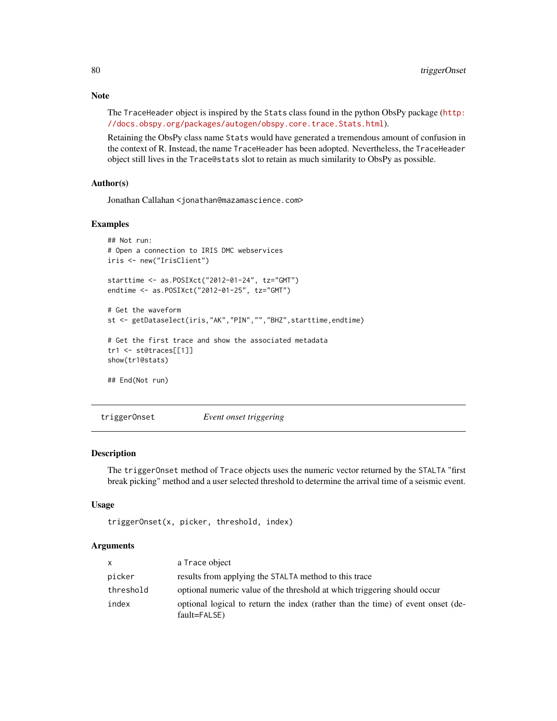The TraceHeader object is inspired by the Stats class found in the python ObsPy package ([http:](http://docs.obspy.org/packages/autogen/obspy.core.trace.Stats.html) [//docs.obspy.org/packages/autogen/obspy.core.trace.Stats.html](http://docs.obspy.org/packages/autogen/obspy.core.trace.Stats.html)).

Retaining the ObsPy class name Stats would have generated a tremendous amount of confusion in the context of R. Instead, the name TraceHeader has been adopted. Nevertheless, the TraceHeader object still lives in the Trace@stats slot to retain as much similarity to ObsPy as possible.

#### Author(s)

Jonathan Callahan <jonathan@mazamascience.com>

#### Examples

```
## Not run:
# Open a connection to IRIS DMC webservices
iris <- new("IrisClient")
starttime <- as.POSIXct("2012-01-24", tz="GMT")
endtime <- as.POSIXct("2012-01-25", tz="GMT")
# Get the waveform
st <- getDataselect(iris,"AK","PIN","","BHZ",starttime,endtime)
# Get the first trace and show the associated metadata
tr1 <- st@traces[[1]]
show(tr1@stats)
## End(Not run)
```
<span id="page-79-0"></span>triggerOnset *Event onset triggering*

#### Description

The triggerOnset method of Trace objects uses the numeric vector returned by the STALTA "first break picking" method and a user selected threshold to determine the arrival time of a seismic event.

# Usage

```
triggerOnset(x, picker, threshold, index)
```
#### Arguments

| $\mathsf{x}$ | a Trace object                                                                                  |
|--------------|-------------------------------------------------------------------------------------------------|
| picker       | results from applying the STALTA method to this trace                                           |
| threshold    | optional numeric value of the threshold at which triggering should occur                        |
| index        | optional logical to return the index (rather than the time) of event onset (de-<br>fault=FALSE) |

<span id="page-79-1"></span>

#### Note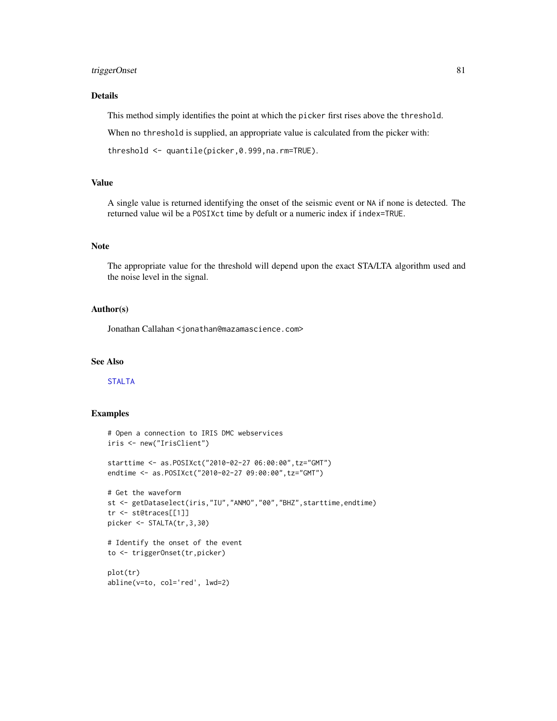# <span id="page-80-0"></span>triggerOnset 81

# Details

This method simply identifies the point at which the picker first rises above the threshold.

When no threshold is supplied, an appropriate value is calculated from the picker with:

threshold <- quantile(picker,0.999,na.rm=TRUE).

#### Value

A single value is returned identifying the onset of the seismic event or NA if none is detected. The returned value wil be a POSIXct time by defult or a numeric index if index=TRUE.

# Note

The appropriate value for the threshold will depend upon the exact STA/LTA algorithm used and the noise level in the signal.

#### Author(s)

Jonathan Callahan <jonathan@mazamascience.com>

## See Also

#### [STALTA](#page-69-0)

#### Examples

```
# Open a connection to IRIS DMC webservices
iris <- new("IrisClient")
starttime <- as.POSIXct("2010-02-27 06:00:00",tz="GMT")
endtime <- as.POSIXct("2010-02-27 09:00:00",tz="GMT")
# Get the waveform
st <- getDataselect(iris,"IU","ANMO","00","BHZ",starttime,endtime)
tr <- st@traces[[1]]
picker <- STALTA(tr,3,30)
# Identify the onset of the event
to <- triggerOnset(tr,picker)
plot(tr)
abline(v=to, col='red', lwd=2)
```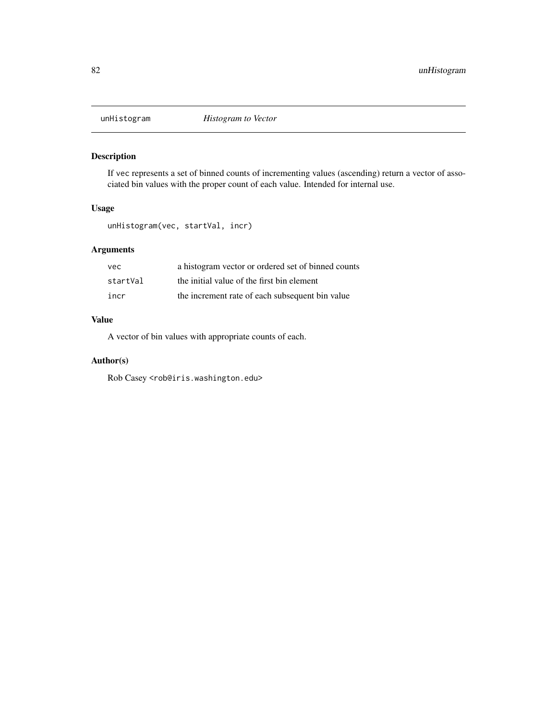<span id="page-81-0"></span>

# Description

If vec represents a set of binned counts of incrementing values (ascending) return a vector of associated bin values with the proper count of each value. Intended for internal use.

#### Usage

unHistogram(vec, startVal, incr)

# Arguments

| vec      | a histogram vector or ordered set of binned counts |
|----------|----------------------------------------------------|
| startVal | the initial value of the first bin element         |
| incr     | the increment rate of each subsequent bin value    |

# Value

A vector of bin values with appropriate counts of each.

# Author(s)

Rob Casey <rob@iris.washington.edu>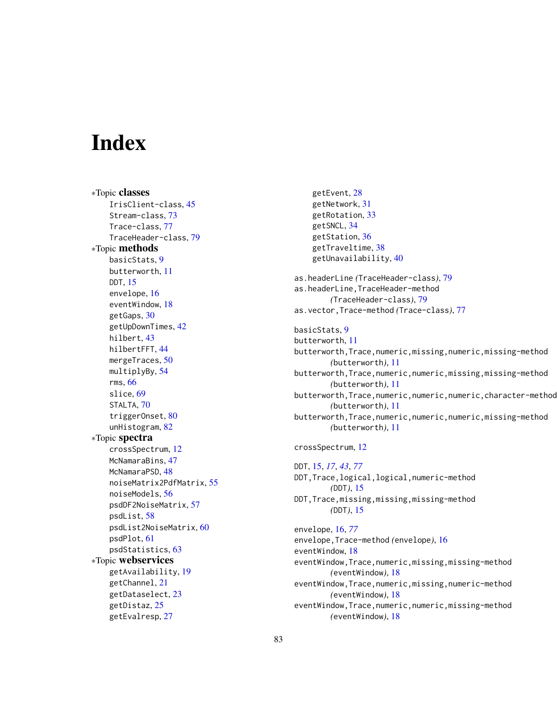# **Index**

∗Topic classes IrisClient-class, [45](#page-44-1) Stream-class, [73](#page-72-1) Trace-class, [77](#page-76-0) TraceHeader-class, [79](#page-78-1) ∗Topic methods basicStats, [9](#page-8-0) butterworth, [11](#page-10-0) DDT, [15](#page-14-1) envelope, [16](#page-15-1) eventWindow, [18](#page-17-0) getGaps, [30](#page-29-1) getUpDownTimes, [42](#page-41-1) hilbert, [43](#page-42-0) hilbertFFT, [44](#page-43-0) mergeTraces, [50](#page-49-1) multiplyBy, [54](#page-53-1) rms, [66](#page-65-2) slice, [69](#page-68-1) STALTA, [70](#page-69-1) triggerOnset, [80](#page-79-1) unHistogram, [82](#page-81-0) ∗Topic spectra crossSpectrum, [12](#page-11-0) McNamaraBins, [47](#page-46-0) McNamaraPSD, [48](#page-47-0) noiseMatrix2PdfMatrix, [55](#page-54-0) noiseModels, [56](#page-55-0) psdDF2NoiseMatrix, [57](#page-56-0) psdList, [58](#page-57-0) psdList2NoiseMatrix, [60](#page-59-0) psdPlot, [61](#page-60-0) psdStatistics, [63](#page-62-0) ∗Topic webservices getAvailability, [19](#page-18-0) getChannel, [21](#page-20-0) getDataselect, [23](#page-22-1) getDistaz, [25](#page-24-0) getEvalresp, [27](#page-26-0)

getEvent, [28](#page-27-0) getNetwork, [31](#page-30-0) getRotation, [33](#page-32-0) getSNCL, [34](#page-33-0) getStation, [36](#page-35-0) getTraveltime, [38](#page-37-0) getUnavailability, [40](#page-39-0) as.headerLine *(*TraceHeader-class*)*, [79](#page-78-1) as.headerLine,TraceHeader-method *(*TraceHeader-class*)*, [79](#page-78-1) as.vector,Trace-method *(*Trace-class*)*, [77](#page-76-0) basicStats, [9](#page-8-0) butterworth, [11](#page-10-0) butterworth,Trace,numeric,missing,numeric,missing-method *(*butterworth*)*, [11](#page-10-0) butterworth,Trace,numeric,numeric,missing,missing-method *(*butterworth*)*, [11](#page-10-0) butterworth, Trace, numeric, numeric, numeric, character-method *(*butterworth*)*, [11](#page-10-0) butterworth,Trace,numeric,numeric,numeric,missing-method *(*butterworth*)*, [11](#page-10-0) crossSpectrum, [12](#page-11-0) DDT, [15,](#page-14-1) *[17](#page-16-0)*, *[43](#page-42-0)*, *[77](#page-76-0)* DDT,Trace,logical,logical,numeric-method *(*DDT*)*, [15](#page-14-1) DDT,Trace,missing,missing,missing-method *(*DDT*)*, [15](#page-14-1) envelope, [16,](#page-15-1) *[77](#page-76-0)* envelope,Trace-method *(*envelope*)*, [16](#page-15-1) eventWindow, [18](#page-17-0) eventWindow,Trace,numeric,missing,missing-method *(*eventWindow*)*, [18](#page-17-0) eventWindow,Trace,numeric,missing,numeric-method *(*eventWindow*)*, [18](#page-17-0) eventWindow,Trace,numeric,numeric,missing-method *(*eventWindow*)*, [18](#page-17-0)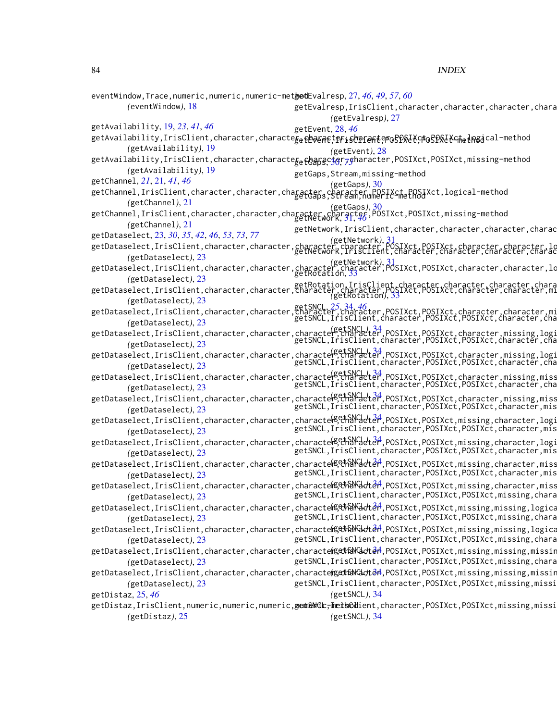eventWindow,Trace,numeric,numeric,numeric-method getEvalresp, [27,](#page-26-0) *[46](#page-45-0)*, *[49](#page-48-0)*, *[57](#page-56-0)*, *[60](#page-59-0) (*eventWindow*)*, [18](#page-17-0) getAvailability, [19,](#page-18-0) *[23](#page-22-1)*, *[41](#page-40-0)*, *[46](#page-45-0)* getAvailability,IrisClient,character,characte $\vec{\rm g}_e$ ęeagetter,Sopracterosp $\%$ ł $\%$ posp $\%$ ł $\%$ c $\pm$ ne $\pm$ n $\%$ acal-method *(*getAvailability*)*, [19](#page-18-0) getAvailability,IrisClient,character,characte<sub>getGa</sub>pgcigr<sub>7</sub>gharacter,POSIXct,POSIXct,missing-method *(*getAvailability*)*, [19](#page-18-0) getChannel, *[21](#page-20-0)*, [21,](#page-20-0) *[41](#page-40-0)*, *[46](#page-45-0)* getChannel,IrisClient,character,character,character,character,POSIXct,POSIXct,logical-method<br>getChannel,IrisClient,character,character,character,character,POSIXct,POSIXct,logical-method *(*getChannel*)*, [21](#page-20-0) getChannel,IrisClient,character,character,character,character,POSIXct,POSIXct,missing-method *(*getGaps*)*, [30](#page-29-1) *(*getChannel*)*, [21](#page-20-0) getDataselect, [23,](#page-22-1) *[30](#page-29-1)*, *[35](#page-34-0)*, *[42](#page-41-1)*, *[46](#page-45-0)*, *[53](#page-52-0)*, *[73](#page-72-1)*, *[77](#page-76-0)* getDataselect,IrisClient,character,character,character,character,POSIXct,POSIXct,character,character,logical-m<br>getNetwork,IrisClient,character,character,character,character,character,character,character,character,charac *(*getDataselect*)*, [23](#page-22-1) getDataselect,IrisClient,character,character,character,character,POSIXct,POSIXct,character,character,logical,missing-method *(*getNetwork*)*, [31](#page-30-0) *(*getDataselect*)*, [23](#page-22-1) getDataselect,*E5 .*<br>getDataselect,IrisClient,character,character,character,Character,<u>character,P</u>OSIXct,POSIXct,character,character,mi *(*getDataselect*)*, [23](#page-22-1) getDataselect,IrisClient,character,character,<del>character,character,character,P</del>OSIXct,P<u>OSIXct,character,character,missing-method</u> *(*getDataselect*)*, [23](#page-22-1) getDataselect,IrisClient,character,character,character,character,character,character,poSIXct,P<u>OSIX</u>ct,character,missing,logi<br>getDataselect,IrisClient,character,character,character,character,character,poSIXct,P<u>OSIX</u>ct,cha *(*getDataselect*)*, [23](#page-22-1) getDataselect,IrisClient,character,character,character,character,character,poSIXct,P<u>OSIXct,character,missing,log</u>i *(*getDataselect*)*, [23](#page-22-1) getDataselect,IrisClient,character,character,character,character,character,poSIXct,POSIXct,character,missing,miss *(*getDataselect*)*, [23](#page-22-1) getDataselect,IrisClient,character,character,character,character, http://www.posixct,POSIXct,character,missing,miss *(*getDataselect*)*, [23](#page-22-1) getDataselect,IrisClient,character,character,characte<sup>(getSNC</sup>dde<sup>24</sup>,POSIXct,POSIXct,missing,character,logi *(*getDataselect*)*, [23](#page-22-1) getDataselect,IrisClient,character,character,character,characte<sup>red</sup>,POSIXct,POSIXct,missing,character,logi *(*getDataselect*)*, [23](#page-22-1) getDataselect,IrisClient,character,character,character,characte<sup>red</sup>,POSIXct,POSIXct,missing,character,miss *(*getDataselect*)*, [23](#page-22-1) getDataselect,IrisClient,character,character,characteKዴ<del>ሮከ</del>እሥ<del>U</del>dtaႆn,POSIXct,POSIXct,missing,character,miss *(*getDataselect*)*, [23](#page-22-1) getDataselect,IrisClient,charac[ter,](#page-33-0)character,character,scharactel<del>ler,</del>POSIXct,POSIXct,missing,missing,logica *(*getDataselect*)*, [23](#page-22-1) getDataselect,IrisClient,charac[ter,](#page-33-0)character,character,scharactel and all and star, POSIXct, missing,missing,logica *(*getDataselect*)*, [23](#page-22-1) getDataselect,IrisClient,charac[ter,](#page-33-0)character,character,gedhaNGdde<sup>2</sup>,POSIXct,POSIXct,missing,missing,missin *(*getDataselect*)*, [23](#page-22-1) getDataselect,IrisClient,charac[ter,](#page-33-0)character,character,gedt&NGdot&A,POSIXct,POSIXct,missing,missing,missin *(*getDataselect*)*, [23](#page-22-1) getDistaz, [25,](#page-24-0) *[46](#page-45-0)* getDistaz,IrisClient,numeric,numeric,numeric,**getGMGL;Tmet5GH**ient,character,POSIXct,POSIXct,missing,missi *(*getDistaz*)*, [25](#page-24-0) getEvalresp, IrisClient, character, character, character, chara *(*getEvalresp*)*, [27](#page-26-0) getEvent, [28,](#page-27-0) *[46](#page-45-0) (*getEvent*)*, [28](#page-27-0) getGaps,Stream,missing-method *(*getGaps*)*, [30](#page-29-1) getNetwork, [31,](#page-30-0) *[46](#page-45-0)* getNetwork, IrisClient, character, character, character, charac *(*getNetwork*)*, [31](#page-30-0) getRotation, [33](#page-32-0) *(*getRotation*)*, [33](#page-32-0) getSNCL,IrisClient,character,POSIXct,POSIXct,character,cha getSNCL,IrisClient,character,POSIXct,POSIXct,character,cha getSNCL,IrisClient,character,POSIXct,POSIXct,character,cha getSNCL, IrisClient, character, POSIXct, POSIXct, character, cha getSNCL, IrisClient, character, POSIXct, POSIXct, character, mis getSNCL,IrisClient,character,POSIXct,POSIXct,character,mis getSNCL, IrisClient, character, POSIXct, POSIXct, character, mis getSNCL, IrisClient, character, POSIXct, POSIXct, character, mis getSNCL, IrisClient, character, POSIXct, POSIXct, missing, chara getSNCL, IrisClient, character, POSIXct, POSIXct, missing, chara getSNCL, IrisClient, character, POSIXct, POSIXct, missing, chara getSNCL, IrisClient, character, POSIXct, POSIXct, missing, chara getSNCL, IrisClient, character, POSIXct, POSIXct, missing, missi *(*getSNCL*)*, [34](#page-33-0) *(*getSNCL*)*, [34](#page-33-0)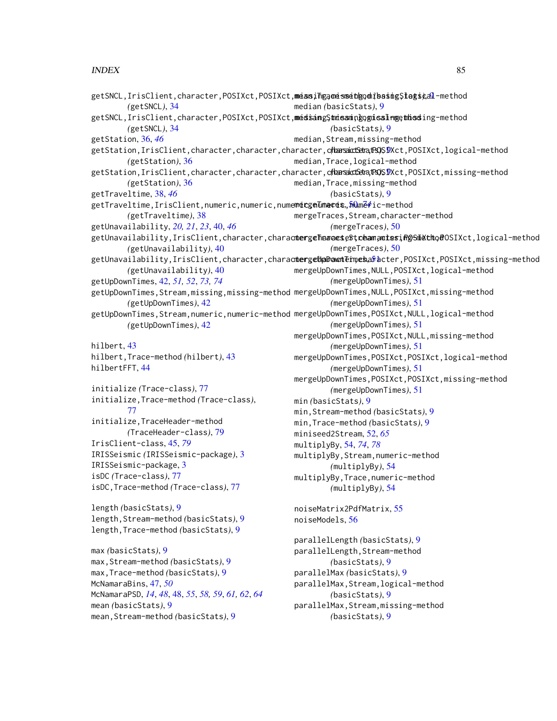#### $INDEX$  85

```
getSNCL,IrisClient,character,POSIXct,POSIXct,missing,missing,missing,logical-method
mean,Trace-method (basicStats), 9
        (getSNCL), 34
getSNCL,IrisClient,character,POSIXct,POSIXct,medsangStmiesningognisalngethieding-method
        (getSNCL), 34
getStation, 36, 46
SIXct,logical-method
        (getStation), 36
getStation,IrisClient,character,character,character,charaicGeta,t30SIXct,missing-method
        (getStation), 36
getTraveltime, 38, 46
,numeric,numeric,numemecgeTumaces,,50,méfic-method
        (getTraveltime), 38
getUnavailability, 20, 21, 23, 40, 46
getUnavailability,IrisClient,character,charactergeTharaese$tchamantesiRgSiMctho@OSIXct,logical-method
        (getUnavailability), 40
aracter,charactergeUpDawtEimesaracter,POSIXct,POSIXct,missing-method
        (getUnavailability), 40
getUpDownTimes, 42, 51, 52, 73, 74
getUpDownTimes,Stream,missing,missing-method
mergeUpDownTimes,NULL,POSIXct,missing-method
        (getUpDownTimes), 42
getUpDownTimes,Stream,numeric,numeric-method
mergeUpDownTimes,POSIXct,NULL,logical-method
        (getUpDownTimes), 42
hilbert, 43
hilbert,Trace-method (hilbert), 43
hilbertFFT, 44
initialize (Trace-class), 77
initialize,Trace-method (Trace-class),
        77
initialize,TraceHeader-method
        (TraceHeader-class), 79
IrisClient-class, 45, 79
IRISSeismic (IRISSeismic-package), 3
IRISSeismic-package, 3
isDC (Trace-class), 77
isDC,Trace-method (Trace-class), 77
length (basicStats), 9
length,Stream-method (basicStats), 9
length,Trace-method (basicStats), 9
max (basicStats), 9
max,Stream-method (basicStats), 9
max,Trace-method (basicStats), 9
McNamaraBins, 47, 50
McNamaraPSD, 14, 48, 48, 55, 58, 59, 61, 62, 64
                                             median (basicStats), 9
                                                      (basicStats), 9
                                             median,Stream,missing-method
                                             median,Trace,logical-method
                                             median,Trace,missing-method
                                                      (basicStats), 9
                                             mergeTraces,Stream,character-method
                                                      (mergeTraces), 50
                                                      (mergeTraces), 50
                                             mergeUpDownTimes,NULL,POSIXct,logical-method
                                                      (mergeUpDownTimes), 51
                                                      (mergeUpDownTimes), 51
                                                      (mergeUpDownTimes), 51
                                             mergeUpDownTimes,POSIXct,NULL,missing-method
                                                      (mergeUpDownTimes), 51
                                             mergeUpDownTimes,POSIXct,POSIXct,logical-method
                                                      (mergeUpDownTimes), 51
                                             mergeUpDownTimes,POSIXct,POSIXct,missing-method
                                                      (mergeUpDownTimes), 51
                                             min (basicStats), 9
                                             min,Stream-method (basicStats), 9
                                             min,Trace-method (basicStats), 9
                                             miniseed2Stream, 52, 65
                                             multiplyBy, 54, 74, 78
                                             multiplyBy,Stream,numeric-method
                                                      (multiplyBy), 54
                                             multiplyBy,Trace,numeric-method
                                                      (multiplyBy), 54
                                             noiseMatrix2PdfMatrix, 55
                                             noiseModels, 56
                                             parallelLength (basicStats), 9
                                             parallelLength, Stream-method
                                                      (basicStats), 9
                                             parallelMax (basicStats), 9
                                              parallelMax,Stream,logical-method
                                                      (basicStats), 9
```
mean *(*basicStats*)*, [9](#page-8-0) mean,Stream-method *(*basicStats*)*, [9](#page-8-0) parallelMax,Stream,missing-method *(*basicStats*)*, [9](#page-8-0)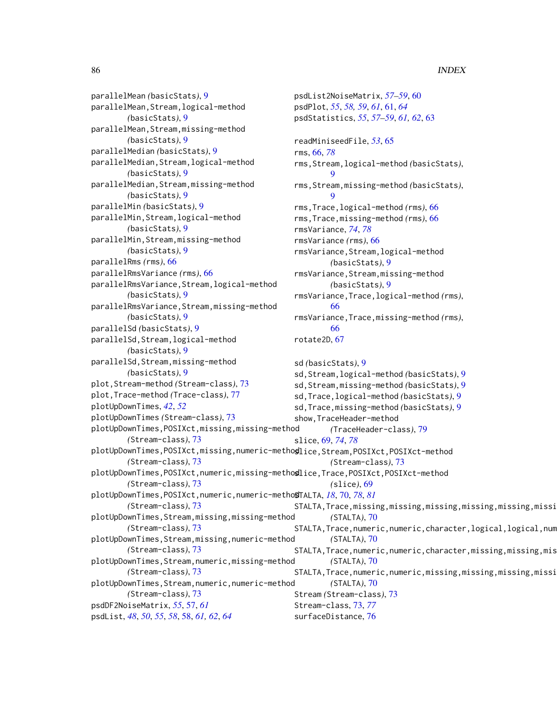parallelMean *(*basicStats*)*, [9](#page-8-0) parallelMean,Stream,logical-method *(*basicStats*)*, [9](#page-8-0) parallelMean,Stream,missing-method *(*basicStats*)*, [9](#page-8-0) parallelMedian *(*basicStats*)*, [9](#page-8-0) parallelMedian,Stream,logical-method *(*basicStats*)*, [9](#page-8-0) parallelMedian,Stream,missing-method *(*basicStats*)*, [9](#page-8-0) parallelMin *(*basicStats*)*, [9](#page-8-0) parallelMin,Stream,logical-method *(*basicStats*)*, [9](#page-8-0) parallelMin,Stream,missing-method *(*basicStats*)*, [9](#page-8-0) parallelRms *(*rms*)*, [66](#page-65-2) parallelRmsVariance *(*rms*)*, [66](#page-65-2) parallelRmsVariance,Stream,logical-method *(*basicStats*)*, [9](#page-8-0) parallelRmsVariance,Stream,missing-method *(*basicStats*)*, [9](#page-8-0) parallelSd *(*basicStats*)*, [9](#page-8-0) parallelSd,Stream,logical-method *(*basicStats*)*, [9](#page-8-0) parallelSd,Stream,missing-method *(*basicStats*)*, [9](#page-8-0) plot,Stream-method *(*Stream-class*)*, [73](#page-72-1) plot,Trace-method *(*Trace-class*)*, [77](#page-76-0) plotUpDownTimes, *[42](#page-41-1)*, *[52](#page-51-0)* plotUpDownTimes *(*Stream-class*)*, [73](#page-72-1) plotUpDownTimes,POSIXct,missing,missing-method *(*Stream-class*)*, [73](#page-72-1) plotUpDownTimes,POSIXct,missing,numeric-method slice,Stream,POSIXct,POSIXct-method *(*Stream-class*)*, [73](#page-72-1) plotUpDownTimes,POSIXct,numeric,missing-method slice,Trace,POSIXct,POSIXct-method *(*Stream-class*)*, [73](#page-72-1) plotUpDownTimes,POSIXct,numeric,numeric-method STALTA, *[18](#page-17-0)*, [70,](#page-69-1) *[78](#page-77-0)*, *[81](#page-80-0) (*Stream-class*)*, [73](#page-72-1) plotUpDownTimes,Stream,missing,missing-method *(*Stream-class*)*, [73](#page-72-1) plotUpDownTimes,Stream,missing,numeric-method *(*Stream-class*)*, [73](#page-72-1) plotUpDownTimes,Stream,numeric,missing-method *(*Stream-class*)*, [73](#page-72-1) plotUpDownTimes,Stream,numeric,numeric-method *(*Stream-class*)*, [73](#page-72-1) psdDF2NoiseMatrix, *[55](#page-54-0)*, [57,](#page-56-0) *[61](#page-60-0)* psdList, *[48](#page-47-0)*, *[50](#page-49-1)*, *[55](#page-54-0)*, *[58](#page-57-0)*, [58,](#page-57-0) *[61,](#page-60-0) [62](#page-61-0)*, *[64](#page-63-0)* psdList2NoiseMatrix, *[57](#page-56-0)[–59](#page-58-0)*, [60](#page-59-0) psdPlot, *[55](#page-54-0)*, *[58,](#page-57-0) [59](#page-58-0)*, *[61](#page-60-0)*, [61,](#page-60-0) *[64](#page-63-0)* psdStatistics, *[55](#page-54-0)*, *[57](#page-56-0)[–59](#page-58-0)*, *[61,](#page-60-0) [62](#page-61-0)*, [63](#page-62-0) readMiniseedFile, *[53](#page-52-0)*, [65](#page-64-0) rms, [66,](#page-65-2) *[78](#page-77-0)* rms,Stream,logical-method *(*basicStats*)*, [9](#page-8-0) rms,Stream,missing-method *(*basicStats*)*,  $\mathbf Q$ rms,Trace,logical-method *(*rms*)*, [66](#page-65-2) rms,Trace,missing-method *(*rms*)*, [66](#page-65-2) rmsVariance, *[74](#page-73-0)*, *[78](#page-77-0)* rmsVariance *(*rms*)*, [66](#page-65-2) rmsVariance,Stream,logical-method *(*basicStats*)*, [9](#page-8-0) rmsVariance,Stream,missing-method *(*basicStats*)*, [9](#page-8-0) rmsVariance,Trace,logical-method *(*rms*)*, [66](#page-65-2) rmsVariance,Trace,missing-method *(*rms*)*, [66](#page-65-2) rotate2D, [67](#page-66-0) sd *(*basicStats*)*, [9](#page-8-0) sd,Stream,logical-method *(*basicStats*)*, [9](#page-8-0) sd,Stream,missing-method *(*basicStats*)*, [9](#page-8-0) sd,Trace,logical-method *(*basicStats*)*, [9](#page-8-0) sd,Trace,missing-method *(*basicStats*)*, [9](#page-8-0) show,TraceHeader-method *(*TraceHeader-class*)*, [79](#page-78-1) slice, [69,](#page-68-1) *[74](#page-73-0)*, *[78](#page-77-0) (*Stream-class*)*, [73](#page-72-1) *(*slice*)*, [69](#page-68-1) STALTA, Trace, missing, missing, missing, missing, missing, missi *(*STALTA*)*, [70](#page-69-1) STALTA, Trace, numeric, numeric, character, logical, logical, num *(*STALTA*)*, [70](#page-69-1) STALTA, Trace, numeric, numeric, character, missing, missing, mis *(*STALTA*)*, [70](#page-69-1) STALTA, Trace, numeric, numeric, missing, missing, missing, missi *(*STALTA*)*, [70](#page-69-1) Stream *(*Stream-class*)*, [73](#page-72-1) Stream-class, [73,](#page-72-1) *[77](#page-76-0)* surfaceDistance, [76](#page-75-0)